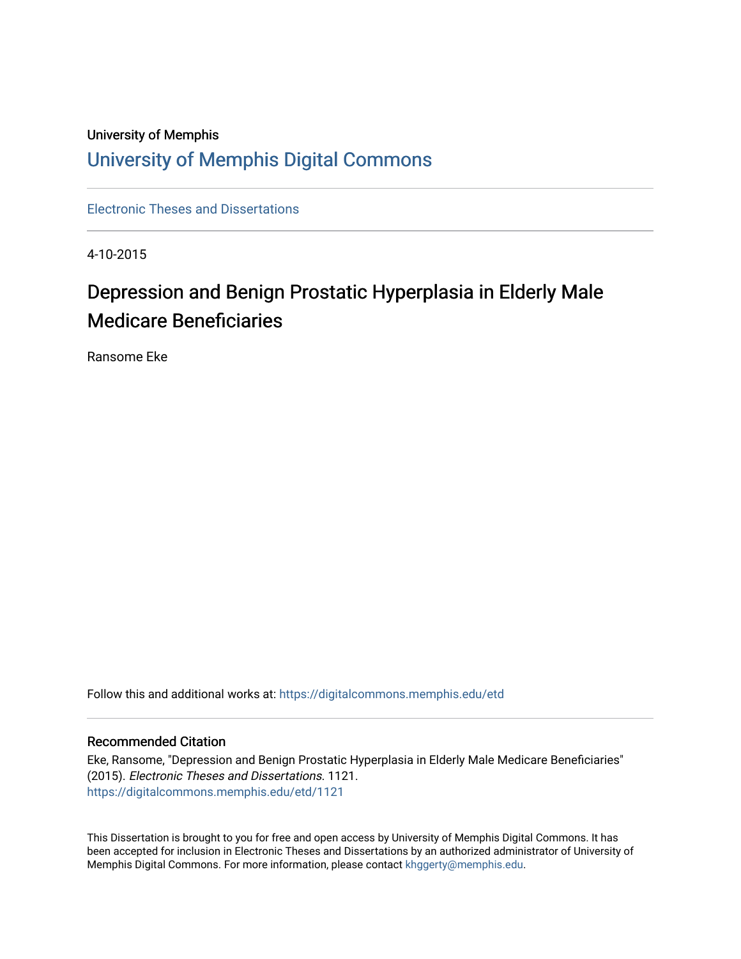## University of Memphis [University of Memphis Digital Commons](https://digitalcommons.memphis.edu/)

[Electronic Theses and Dissertations](https://digitalcommons.memphis.edu/etd)

4-10-2015

# Depression and Benign Prostatic Hyperplasia in Elderly Male Medicare Beneficiaries

Ransome Eke

Follow this and additional works at: [https://digitalcommons.memphis.edu/etd](https://digitalcommons.memphis.edu/etd?utm_source=digitalcommons.memphis.edu%2Fetd%2F1121&utm_medium=PDF&utm_campaign=PDFCoverPages) 

#### Recommended Citation

Eke, Ransome, "Depression and Benign Prostatic Hyperplasia in Elderly Male Medicare Beneficiaries" (2015). Electronic Theses and Dissertations. 1121. [https://digitalcommons.memphis.edu/etd/1121](https://digitalcommons.memphis.edu/etd/1121?utm_source=digitalcommons.memphis.edu%2Fetd%2F1121&utm_medium=PDF&utm_campaign=PDFCoverPages) 

This Dissertation is brought to you for free and open access by University of Memphis Digital Commons. It has been accepted for inclusion in Electronic Theses and Dissertations by an authorized administrator of University of Memphis Digital Commons. For more information, please contact [khggerty@memphis.edu.](mailto:khggerty@memphis.edu)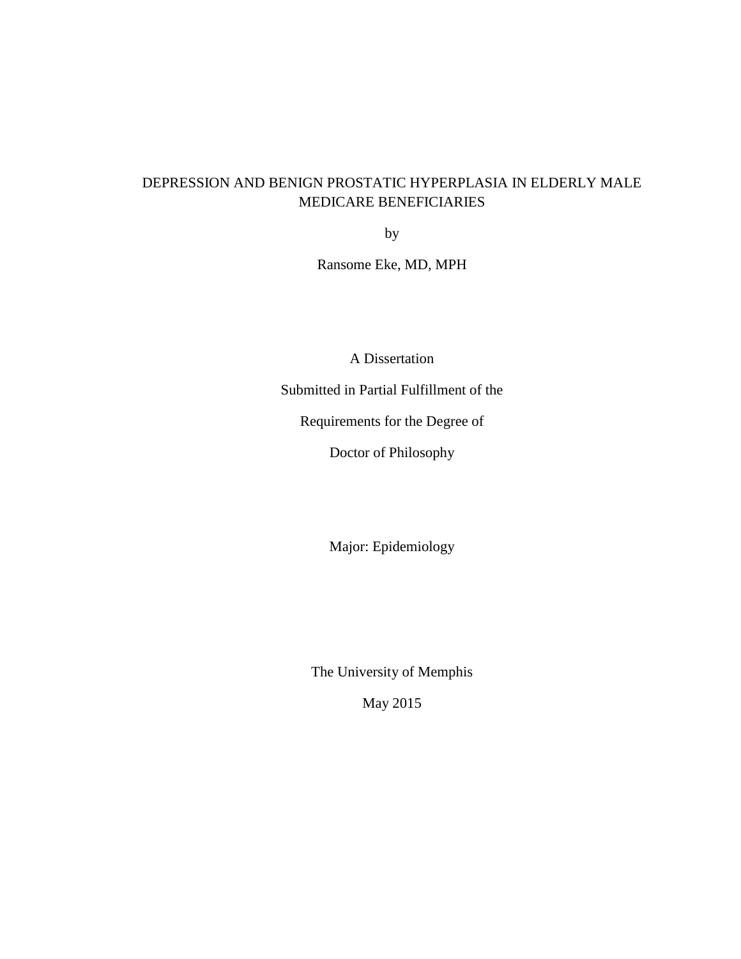### DEPRESSION AND BENIGN PROSTATIC HYPERPLASIA IN ELDERLY MALE MEDICARE BENEFICIARIES

by

Ransome Eke, MD, MPH

A Dissertation

Submitted in Partial Fulfillment of the

Requirements for the Degree of

Doctor of Philosophy

Major: Epidemiology

The University of Memphis

May 2015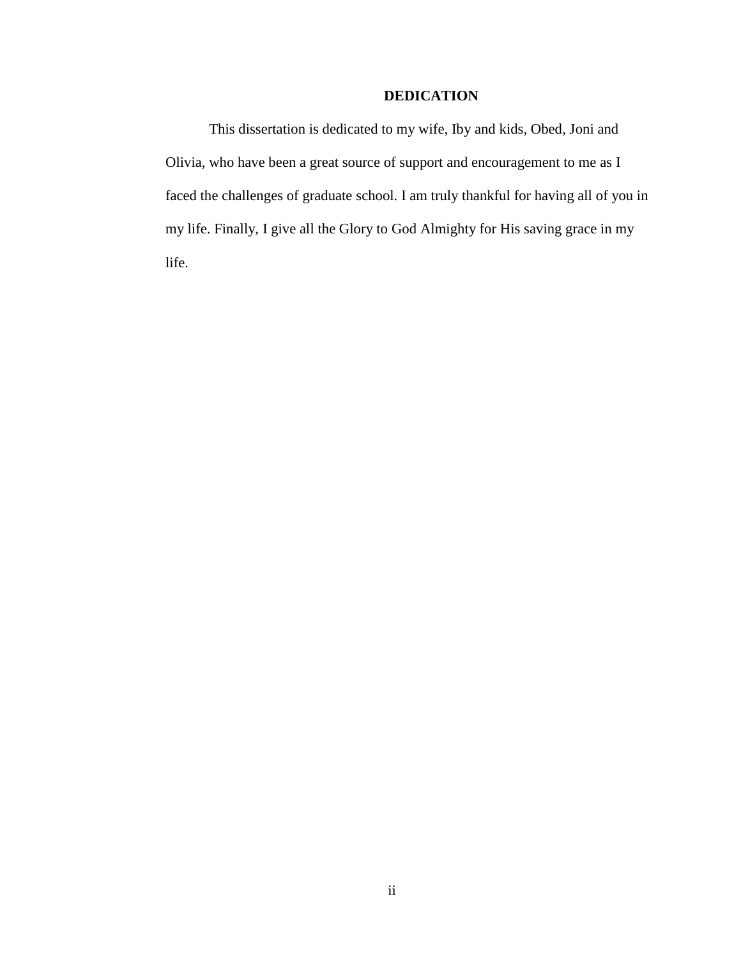### **DEDICATION**

This dissertation is dedicated to my wife, Iby and kids, Obed, Joni and Olivia, who have been a great source of support and encouragement to me as I faced the challenges of graduate school. I am truly thankful for having all of you in my life. Finally, I give all the Glory to God Almighty for His saving grace in my life.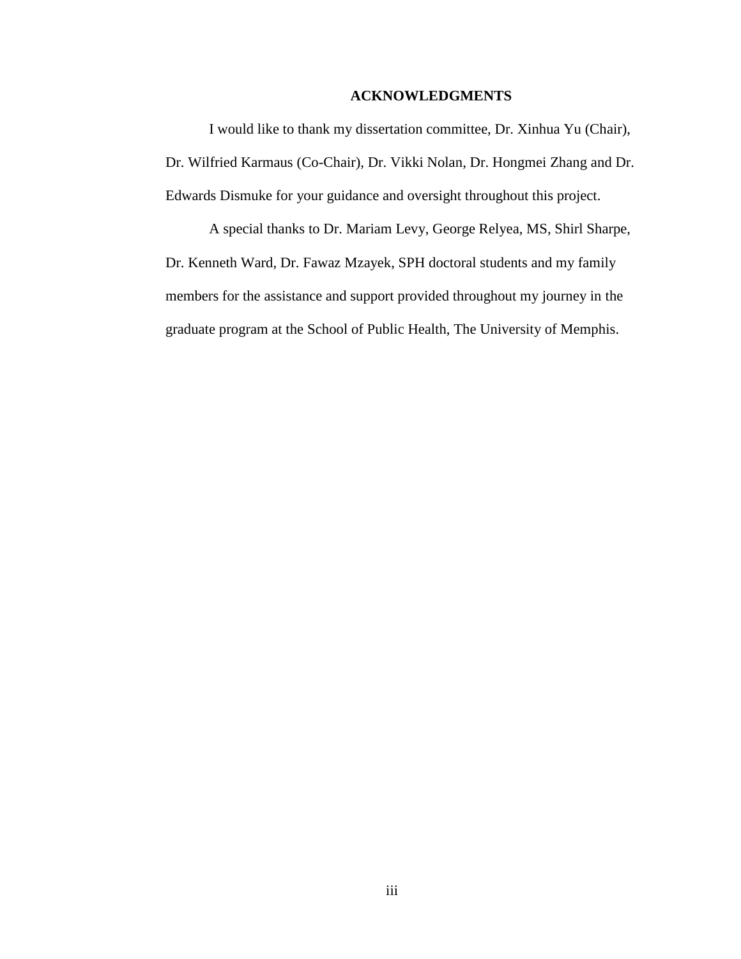#### **ACKNOWLEDGMENTS**

I would like to thank my dissertation committee, Dr. Xinhua Yu (Chair), Dr. Wilfried Karmaus (Co-Chair), Dr. Vikki Nolan, Dr. Hongmei Zhang and Dr. Edwards Dismuke for your guidance and oversight throughout this project.

A special thanks to Dr. Mariam Levy, George Relyea, MS, Shirl Sharpe, Dr. Kenneth Ward, Dr. Fawaz Mzayek, SPH doctoral students and my family members for the assistance and support provided throughout my journey in the graduate program at the School of Public Health, The University of Memphis.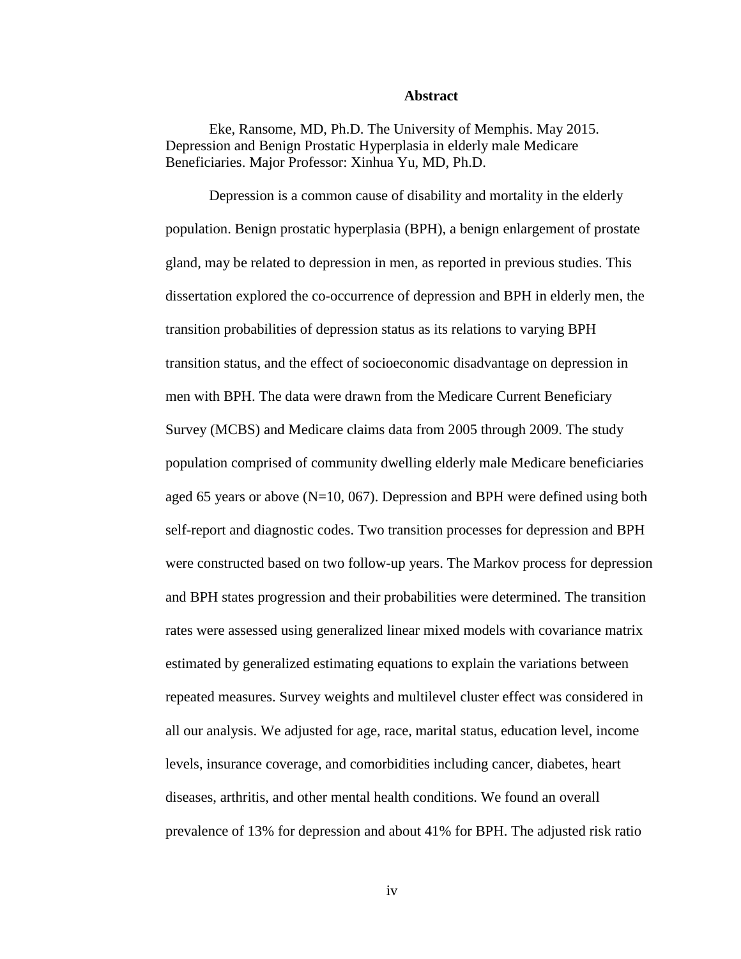#### **Abstract**

Eke, Ransome, MD, Ph.D. The University of Memphis. May 2015. Depression and Benign Prostatic Hyperplasia in elderly male Medicare Beneficiaries. Major Professor: Xinhua Yu, MD, Ph.D.

Depression is a common cause of disability and mortality in the elderly population. Benign prostatic hyperplasia (BPH), a benign enlargement of prostate gland, may be related to depression in men, as reported in previous studies. This dissertation explored the co-occurrence of depression and BPH in elderly men, the transition probabilities of depression status as its relations to varying BPH transition status, and the effect of socioeconomic disadvantage on depression in men with BPH. The data were drawn from the Medicare Current Beneficiary Survey (MCBS) and Medicare claims data from 2005 through 2009. The study population comprised of community dwelling elderly male Medicare beneficiaries aged 65 years or above (N=10, 067). Depression and BPH were defined using both self-report and diagnostic codes. Two transition processes for depression and BPH were constructed based on two follow-up years. The Markov process for depression and BPH states progression and their probabilities were determined. The transition rates were assessed using generalized linear mixed models with covariance matrix estimated by generalized estimating equations to explain the variations between repeated measures. Survey weights and multilevel cluster effect was considered in all our analysis. We adjusted for age, race, marital status, education level, income levels, insurance coverage, and comorbidities including cancer, diabetes, heart diseases, arthritis, and other mental health conditions. We found an overall prevalence of 13% for depression and about 41% for BPH. The adjusted risk ratio

iv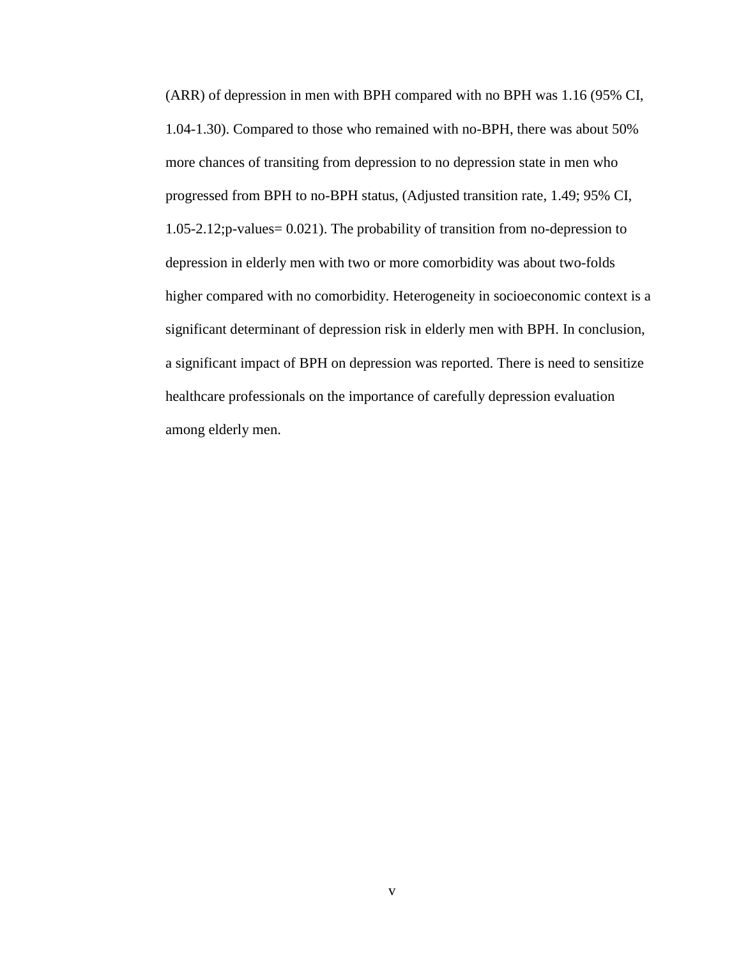(ARR) of depression in men with BPH compared with no BPH was 1.16 (95% CI, 1.04-1.30). Compared to those who remained with no-BPH, there was about 50% more chances of transiting from depression to no depression state in men who progressed from BPH to no-BPH status, (Adjusted transition rate, 1.49; 95% CI, 1.05-2.12;p-values= 0.021). The probability of transition from no-depression to depression in elderly men with two or more comorbidity was about two-folds higher compared with no comorbidity. Heterogeneity in socioeconomic context is a significant determinant of depression risk in elderly men with BPH. In conclusion, a significant impact of BPH on depression was reported. There is need to sensitize healthcare professionals on the importance of carefully depression evaluation among elderly men.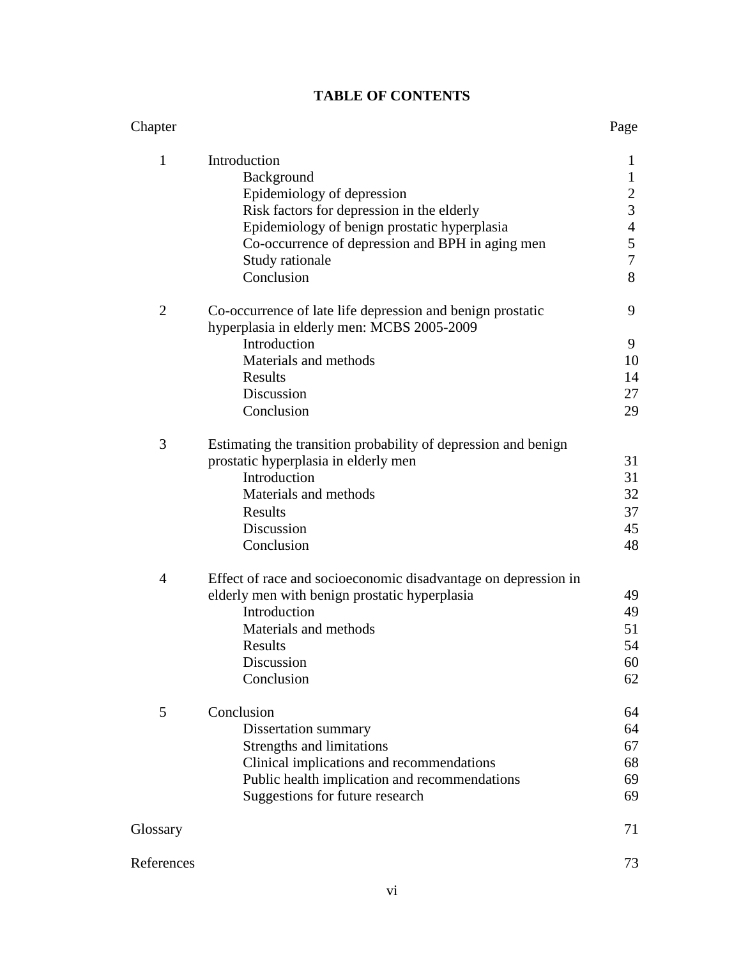### **TABLE OF CONTENTS**

| Chapter        |                                                                                                          | Page             |
|----------------|----------------------------------------------------------------------------------------------------------|------------------|
| $\mathbf{1}$   | Introduction                                                                                             | 1                |
|                | Background                                                                                               | $\mathbf{1}$     |
|                | Epidemiology of depression                                                                               | $\overline{c}$   |
|                | Risk factors for depression in the elderly                                                               | $\overline{3}$   |
|                | Epidemiology of benign prostatic hyperplasia                                                             | $\overline{4}$   |
|                | Co-occurrence of depression and BPH in aging men                                                         | $\sqrt{5}$       |
|                | Study rationale                                                                                          | $\boldsymbol{7}$ |
|                | Conclusion                                                                                               | 8                |
| $\overline{2}$ | Co-occurrence of late life depression and benign prostatic<br>hyperplasia in elderly men: MCBS 2005-2009 | 9                |
|                | Introduction                                                                                             | 9                |
|                | Materials and methods                                                                                    | 10               |
|                | Results                                                                                                  | 14               |
|                | Discussion                                                                                               | 27               |
|                | Conclusion                                                                                               | 29               |
| 3              | Estimating the transition probability of depression and benign                                           |                  |
|                | prostatic hyperplasia in elderly men                                                                     | 31               |
|                | Introduction                                                                                             | 31               |
|                | Materials and methods                                                                                    | 32               |
|                | Results                                                                                                  | 37               |
|                | Discussion                                                                                               | 45               |
|                | Conclusion                                                                                               | 48               |
| $\overline{4}$ | Effect of race and socioeconomic disadvantage on depression in                                           |                  |
|                | elderly men with benign prostatic hyperplasia                                                            | 49               |
|                | Introduction                                                                                             | 49               |
|                | Materials and methods                                                                                    | 51               |
|                | Results                                                                                                  | 54               |
|                | Discussion                                                                                               | 60               |
|                | Conclusion                                                                                               | 62               |
| 5              | Conclusion                                                                                               | 64               |
|                | Dissertation summary                                                                                     | 64               |
|                | Strengths and limitations                                                                                | 67               |
|                | Clinical implications and recommendations                                                                | 68               |
|                | Public health implication and recommendations                                                            | 69               |
|                | Suggestions for future research                                                                          | 69               |
| Glossary       |                                                                                                          | 71               |
| References     |                                                                                                          | 73               |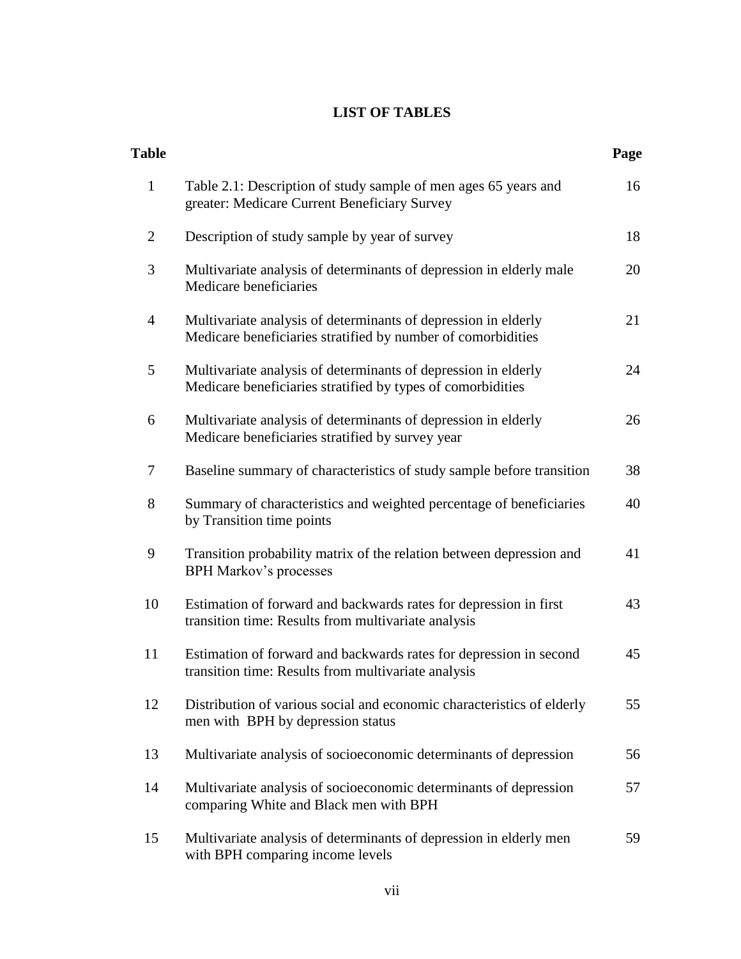### **LIST OF TABLES**

| <b>Table</b>   |                                                                                                                                | Page |
|----------------|--------------------------------------------------------------------------------------------------------------------------------|------|
| $\mathbf{1}$   | Table 2.1: Description of study sample of men ages 65 years and<br>greater: Medicare Current Beneficiary Survey                | 16   |
| $\overline{2}$ | Description of study sample by year of survey                                                                                  | 18   |
| 3              | Multivariate analysis of determinants of depression in elderly male<br>Medicare beneficiaries                                  | 20   |
| 4              | Multivariate analysis of determinants of depression in elderly<br>Medicare beneficiaries stratified by number of comorbidities | 21   |
| 5              | Multivariate analysis of determinants of depression in elderly<br>Medicare beneficiaries stratified by types of comorbidities  | 24   |
| 6              | Multivariate analysis of determinants of depression in elderly<br>Medicare beneficiaries stratified by survey year             | 26   |
| 7              | Baseline summary of characteristics of study sample before transition                                                          | 38   |
| 8              | Summary of characteristics and weighted percentage of beneficiaries<br>by Transition time points                               | 40   |
| 9              | Transition probability matrix of the relation between depression and<br><b>BPH Markov's processes</b>                          | 41   |
| 10             | Estimation of forward and backwards rates for depression in first<br>transition time: Results from multivariate analysis       | 43   |
| 11             | Estimation of forward and backwards rates for depression in second<br>transition time: Results from multivariate analysis      | 45   |
| 12             | Distribution of various social and economic characteristics of elderly<br>men with BPH by depression status                    | 55   |
| 13             | Multivariate analysis of socioeconomic determinants of depression                                                              | 56   |
| 14             | Multivariate analysis of socioeconomic determinants of depression<br>comparing White and Black men with BPH                    | 57   |
| 15             | Multivariate analysis of determinants of depression in elderly men<br>with BPH comparing income levels                         | 59   |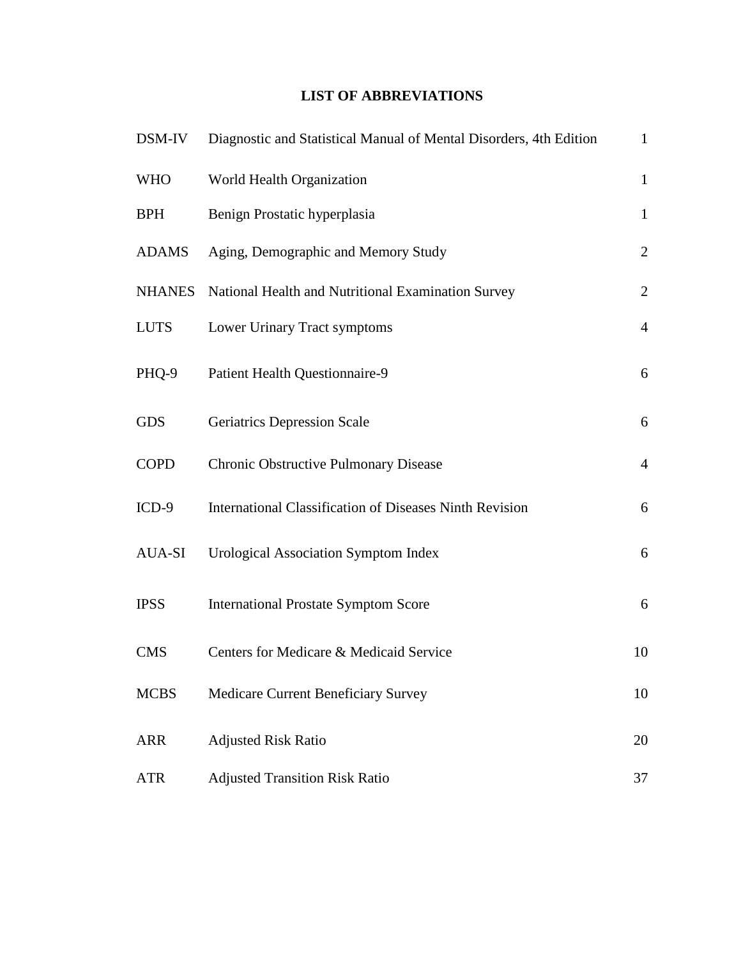### **LIST OF ABBREVIATIONS**

| DSM-IV        | Diagnostic and Statistical Manual of Mental Disorders, 4th Edition | $\mathbf{1}$   |
|---------------|--------------------------------------------------------------------|----------------|
| <b>WHO</b>    | World Health Organization                                          | $\mathbf{1}$   |
| <b>BPH</b>    | Benign Prostatic hyperplasia                                       | $\mathbf{1}$   |
| <b>ADAMS</b>  | Aging, Demographic and Memory Study                                | $\overline{2}$ |
| <b>NHANES</b> | National Health and Nutritional Examination Survey                 | $\overline{2}$ |
| <b>LUTS</b>   | Lower Urinary Tract symptoms                                       | $\overline{4}$ |
| PHQ-9         | Patient Health Questionnaire-9                                     | 6              |
| <b>GDS</b>    | <b>Geriatrics Depression Scale</b>                                 | 6              |
| <b>COPD</b>   | Chronic Obstructive Pulmonary Disease                              | $\overline{4}$ |
| $ICD-9$       | <b>International Classification of Diseases Ninth Revision</b>     | 6              |
| AUA-SI        | <b>Urological Association Symptom Index</b>                        | 6              |
| <b>IPSS</b>   | <b>International Prostate Symptom Score</b>                        | 6              |
| <b>CMS</b>    | Centers for Medicare & Medicaid Service                            | 10             |
| <b>MCBS</b>   | Medicare Current Beneficiary Survey                                | 10             |
| <b>ARR</b>    | <b>Adjusted Risk Ratio</b>                                         | 20             |
| <b>ATR</b>    | <b>Adjusted Transition Risk Ratio</b>                              | 37             |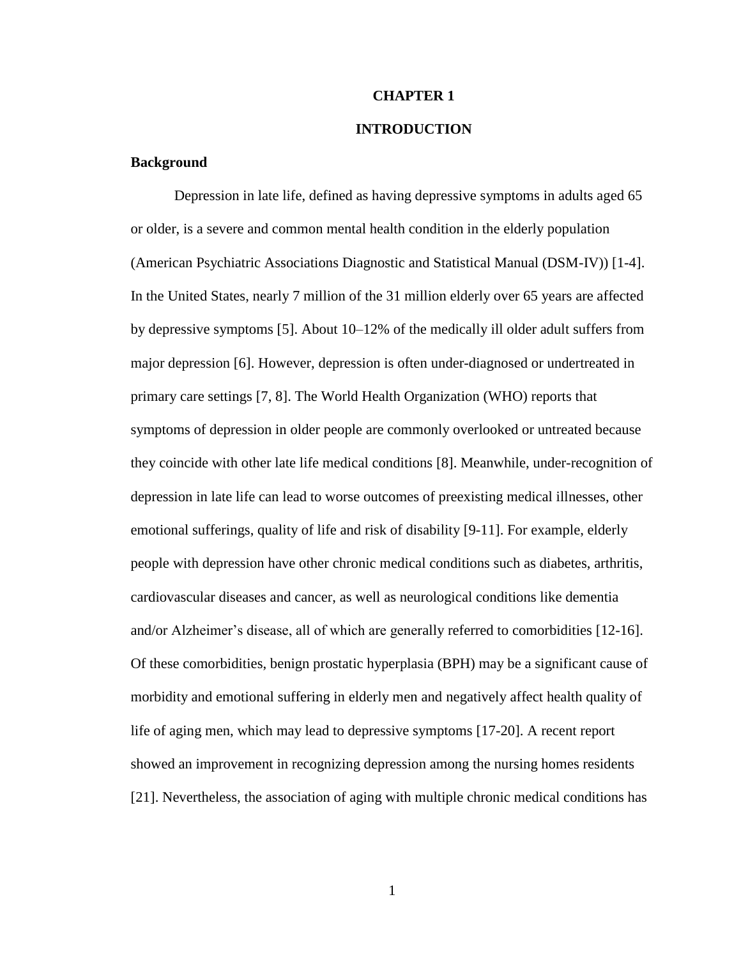#### **CHAPTER 1**

#### **INTRODUCTION**

#### **Background**

Depression in late life, defined as having depressive symptoms in adults aged 65 or older, is a severe and common mental health condition in the elderly population (American Psychiatric Associations Diagnostic and Statistical Manual (DSM-IV)) [1-4]. In the United States, nearly 7 million of the 31 million elderly over 65 years are affected by depressive symptoms [5]. About 10–12% of the medically ill older adult suffers from major depression [6]. However, depression is often under-diagnosed or undertreated in primary care settings [7, 8]. The World Health Organization (WHO) reports that symptoms of depression in older people are commonly overlooked or untreated because they coincide with other late life medical conditions [8]. Meanwhile, under-recognition of depression in late life can lead to worse outcomes of preexisting medical illnesses, other emotional sufferings, quality of life and risk of disability [9-11]. For example, elderly people with depression have other chronic medical conditions such as diabetes, arthritis, cardiovascular diseases and cancer, as well as neurological conditions like dementia and/or Alzheimer's disease, all of which are generally referred to comorbidities [12-16]. Of these comorbidities, benign prostatic hyperplasia (BPH) may be a significant cause of morbidity and emotional suffering in elderly men and negatively affect health quality of life of aging men, which may lead to depressive symptoms [17-20]. A recent report showed an improvement in recognizing depression among the nursing homes residents [21]. Nevertheless, the association of aging with multiple chronic medical conditions has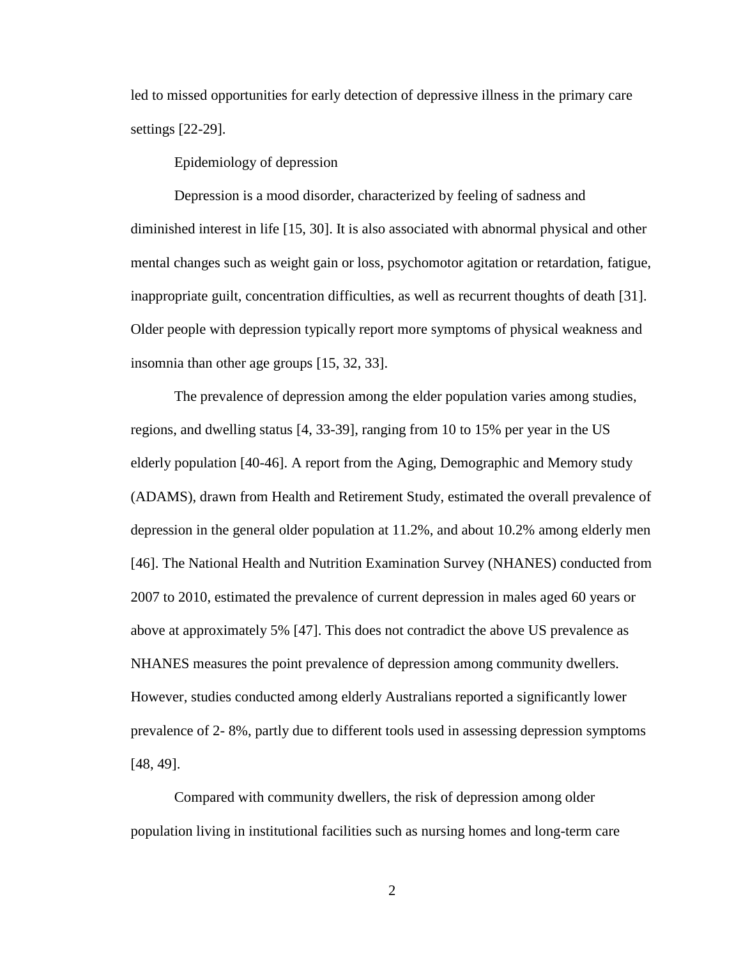led to missed opportunities for early detection of depressive illness in the primary care settings [22-29].

Epidemiology of depression

Depression is a mood disorder, characterized by feeling of sadness and diminished interest in life [15, 30]. It is also associated with abnormal physical and other mental changes such as weight gain or loss, psychomotor agitation or retardation, fatigue, inappropriate guilt, concentration difficulties, as well as recurrent thoughts of death [31]. Older people with depression typically report more symptoms of physical weakness and insomnia than other age groups [15, 32, 33].

The prevalence of depression among the elder population varies among studies, regions, and dwelling status [4, 33-39], ranging from 10 to 15% per year in the US elderly population [40-46]. A report from the Aging, Demographic and Memory study (ADAMS), drawn from Health and Retirement Study, estimated the overall prevalence of depression in the general older population at 11.2%, and about 10.2% among elderly men [46]. The National Health and Nutrition Examination Survey (NHANES) conducted from 2007 to 2010, estimated the prevalence of current depression in males aged 60 years or above at approximately 5% [47]. This does not contradict the above US prevalence as NHANES measures the point prevalence of depression among community dwellers. However, studies conducted among elderly Australians reported a significantly lower prevalence of 2- 8%, partly due to different tools used in assessing depression symptoms [48, 49].

Compared with community dwellers, the risk of depression among older population living in institutional facilities such as nursing homes and long-term care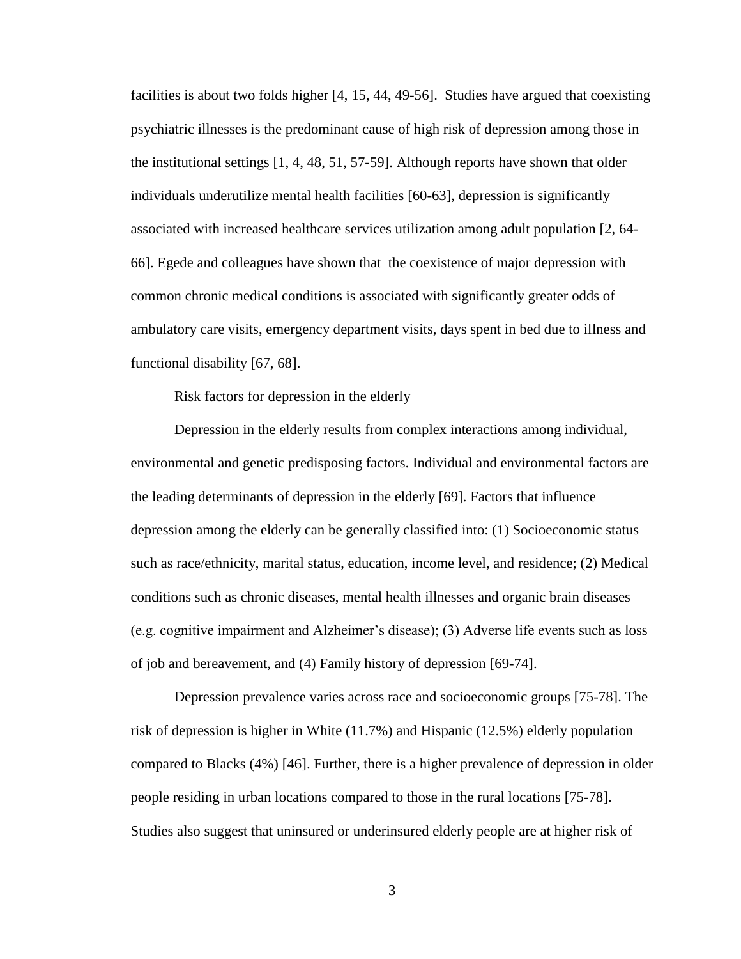facilities is about two folds higher [4, 15, 44, 49-56]. Studies have argued that coexisting psychiatric illnesses is the predominant cause of high risk of depression among those in the institutional settings [1, 4, 48, 51, 57-59]. Although reports have shown that older individuals underutilize mental health facilities [60-63], depression is significantly associated with increased healthcare services utilization among adult population [2, 64- 66]. Egede and colleagues have shown that the coexistence of major depression with common chronic medical conditions is associated with significantly greater odds of ambulatory care visits, emergency department visits, days spent in bed due to illness and functional disability [67, 68].

Risk factors for depression in the elderly

Depression in the elderly results from complex interactions among individual, environmental and genetic predisposing factors. Individual and environmental factors are the leading determinants of depression in the elderly [69]. Factors that influence depression among the elderly can be generally classified into: (1) Socioeconomic status such as race/ethnicity, marital status, education, income level, and residence; (2) Medical conditions such as chronic diseases, mental health illnesses and organic brain diseases (e.g. cognitive impairment and Alzheimer's disease); (3) Adverse life events such as loss of job and bereavement, and (4) Family history of depression [69-74].

Depression prevalence varies across race and socioeconomic groups [75-78]. The risk of depression is higher in White (11.7%) and Hispanic (12.5%) elderly population compared to Blacks (4%) [46]. Further, there is a higher prevalence of depression in older people residing in urban locations compared to those in the rural locations [75-78]. Studies also suggest that uninsured or underinsured elderly people are at higher risk of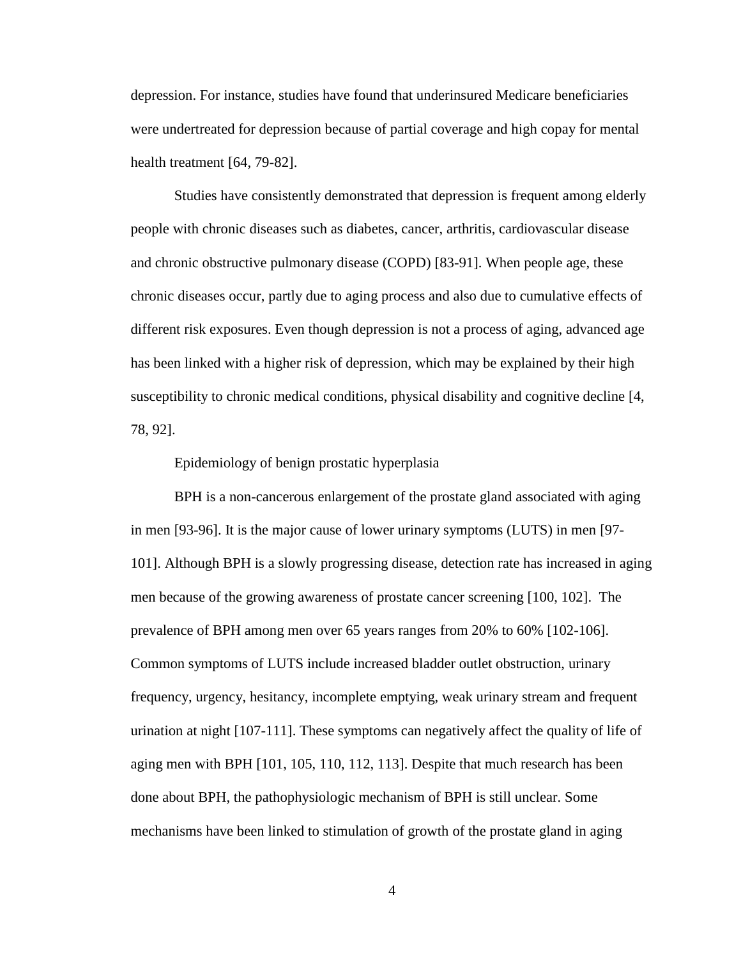depression. For instance, studies have found that underinsured Medicare beneficiaries were undertreated for depression because of partial coverage and high copay for mental health treatment [64, 79-82].

Studies have consistently demonstrated that depression is frequent among elderly people with chronic diseases such as diabetes, cancer, arthritis, cardiovascular disease and chronic obstructive pulmonary disease (COPD) [83-91]. When people age, these chronic diseases occur, partly due to aging process and also due to cumulative effects of different risk exposures. Even though depression is not a process of aging, advanced age has been linked with a higher risk of depression, which may be explained by their high susceptibility to chronic medical conditions, physical disability and cognitive decline [4, 78, 92].

#### Epidemiology of benign prostatic hyperplasia

BPH is a non-cancerous enlargement of the prostate gland associated with aging in men [93-96]. It is the major cause of lower urinary symptoms (LUTS) in men [97- 101]. Although BPH is a slowly progressing disease, detection rate has increased in aging men because of the growing awareness of prostate cancer screening [100, 102]. The prevalence of BPH among men over 65 years ranges from 20% to 60% [102-106]. Common symptoms of LUTS include increased bladder outlet obstruction, urinary frequency, urgency, hesitancy, incomplete emptying, weak urinary stream and frequent urination at night [107-111]. These symptoms can negatively affect the quality of life of aging men with BPH [101, 105, 110, 112, 113]. Despite that much research has been done about BPH, the pathophysiologic mechanism of BPH is still unclear. Some mechanisms have been linked to stimulation of growth of the prostate gland in aging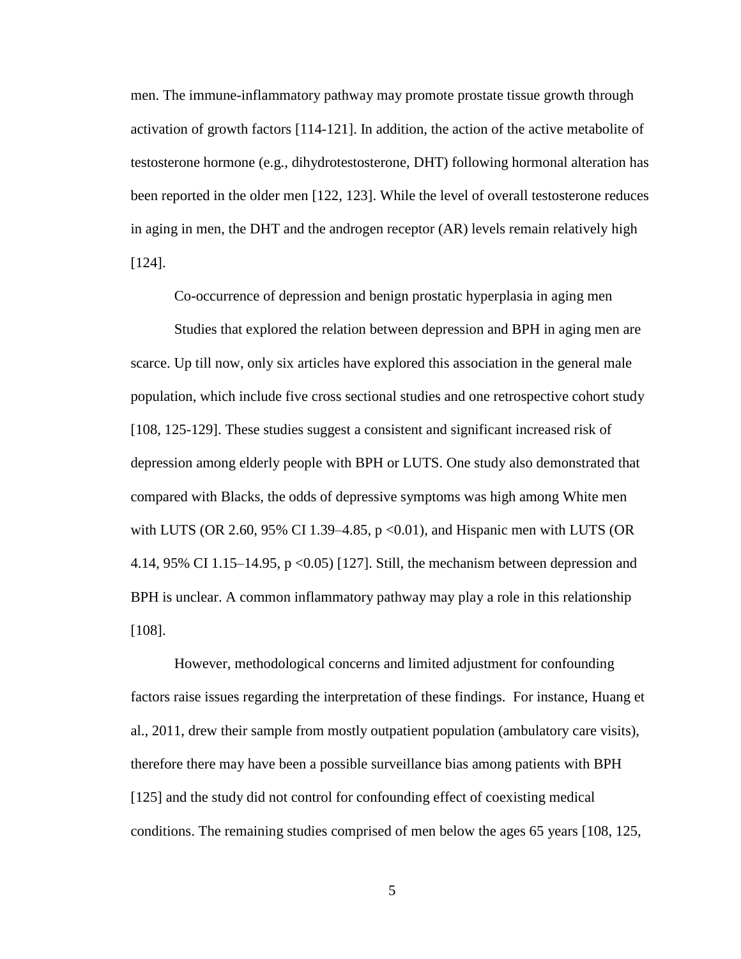men. The immune-inflammatory pathway may promote prostate tissue growth through activation of growth factors [114-121]. In addition, the action of the active metabolite of testosterone hormone (e.g., dihydrotestosterone, DHT) following hormonal alteration has been reported in the older men [122, 123]. While the level of overall testosterone reduces in aging in men, the DHT and the androgen receptor (AR) levels remain relatively high [124].

Co-occurrence of depression and benign prostatic hyperplasia in aging men

Studies that explored the relation between depression and BPH in aging men are scarce. Up till now, only six articles have explored this association in the general male population, which include five cross sectional studies and one retrospective cohort study [108, 125-129]. These studies suggest a consistent and significant increased risk of depression among elderly people with BPH or LUTS. One study also demonstrated that compared with Blacks, the odds of depressive symptoms was high among White men with LUTS (OR 2.60, 95% CI 1.39–4.85,  $p \le 0.01$ ), and Hispanic men with LUTS (OR 4.14, 95% CI 1.15–14.95, p <0.05) [127]. Still, the mechanism between depression and BPH is unclear. A common inflammatory pathway may play a role in this relationship [108].

However, methodological concerns and limited adjustment for confounding factors raise issues regarding the interpretation of these findings. For instance, Huang et al., 2011, drew their sample from mostly outpatient population (ambulatory care visits), therefore there may have been a possible surveillance bias among patients with BPH [125] and the study did not control for confounding effect of coexisting medical conditions. The remaining studies comprised of men below the ages 65 years [108, 125,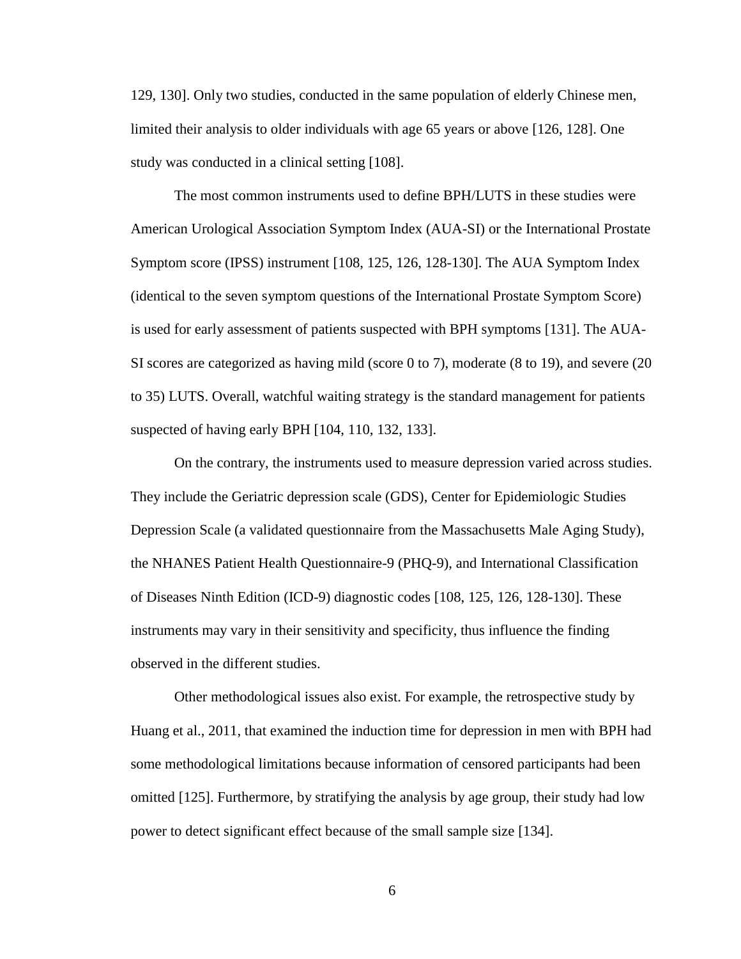129, 130]. Only two studies, conducted in the same population of elderly Chinese men, limited their analysis to older individuals with age 65 years or above [126, 128]. One study was conducted in a clinical setting [108].

The most common instruments used to define BPH/LUTS in these studies were American Urological Association Symptom Index (AUA-SI) or the International Prostate Symptom score (IPSS) instrument [108, 125, 126, 128-130]. The AUA Symptom Index (identical to the seven symptom questions of the International Prostate Symptom Score) is used for early assessment of patients suspected with BPH symptoms [131]. The AUA-SI scores are categorized as having mild (score 0 to 7), moderate (8 to 19), and severe (20 to 35) LUTS. Overall, watchful waiting strategy is the standard management for patients suspected of having early BPH [104, 110, 132, 133].

On the contrary, the instruments used to measure depression varied across studies. They include the Geriatric depression scale (GDS), Center for Epidemiologic Studies Depression Scale (a validated questionnaire from the Massachusetts Male Aging Study), the NHANES Patient Health Questionnaire-9 (PHQ-9), and International Classification of Diseases Ninth Edition (ICD-9) diagnostic codes [108, 125, 126, 128-130]. These instruments may vary in their sensitivity and specificity, thus influence the finding observed in the different studies.

Other methodological issues also exist. For example, the retrospective study by Huang et al., 2011, that examined the induction time for depression in men with BPH had some methodological limitations because information of censored participants had been omitted [125]. Furthermore, by stratifying the analysis by age group, their study had low power to detect significant effect because of the small sample size [134].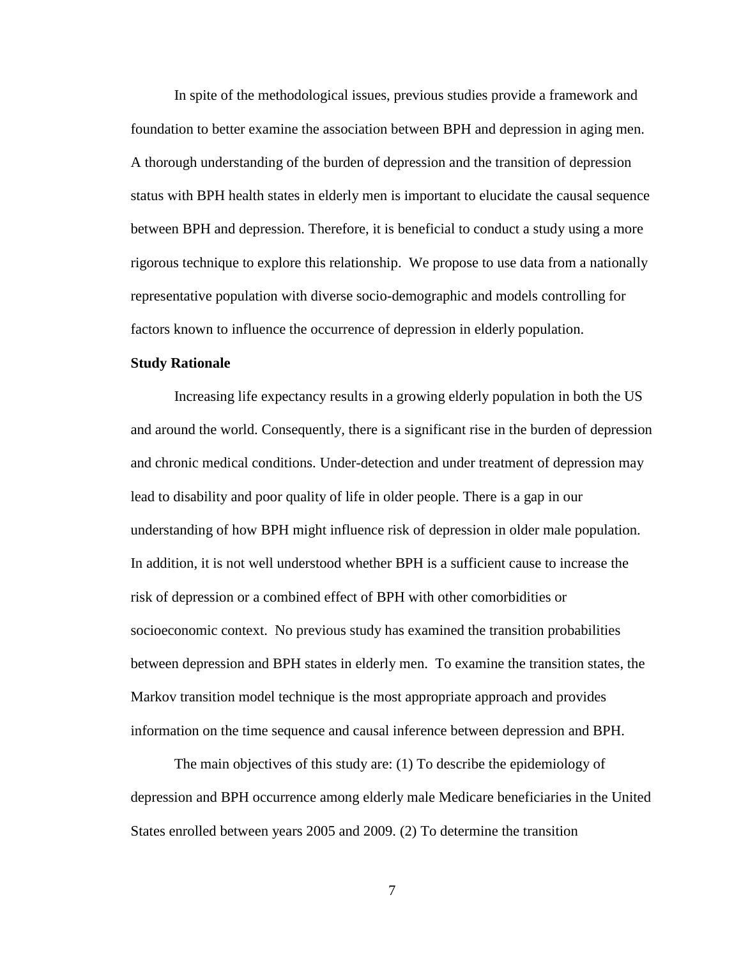In spite of the methodological issues, previous studies provide a framework and foundation to better examine the association between BPH and depression in aging men. A thorough understanding of the burden of depression and the transition of depression status with BPH health states in elderly men is important to elucidate the causal sequence between BPH and depression. Therefore, it is beneficial to conduct a study using a more rigorous technique to explore this relationship. We propose to use data from a nationally representative population with diverse socio-demographic and models controlling for factors known to influence the occurrence of depression in elderly population.

#### **Study Rationale**

Increasing life expectancy results in a growing elderly population in both the US and around the world. Consequently, there is a significant rise in the burden of depression and chronic medical conditions. Under-detection and under treatment of depression may lead to disability and poor quality of life in older people. There is a gap in our understanding of how BPH might influence risk of depression in older male population. In addition, it is not well understood whether BPH is a sufficient cause to increase the risk of depression or a combined effect of BPH with other comorbidities or socioeconomic context. No previous study has examined the transition probabilities between depression and BPH states in elderly men. To examine the transition states, the Markov transition model technique is the most appropriate approach and provides information on the time sequence and causal inference between depression and BPH.

The main objectives of this study are: (1) To describe the epidemiology of depression and BPH occurrence among elderly male Medicare beneficiaries in the United States enrolled between years 2005 and 2009. (2) To determine the transition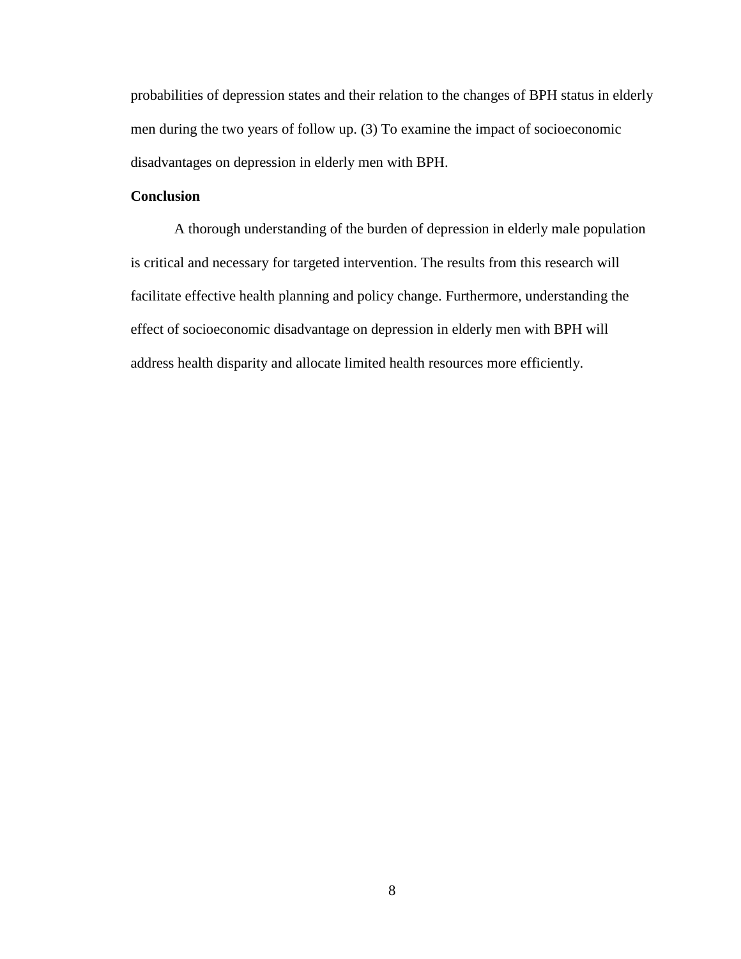probabilities of depression states and their relation to the changes of BPH status in elderly men during the two years of follow up. (3) To examine the impact of socioeconomic disadvantages on depression in elderly men with BPH.

#### **Conclusion**

A thorough understanding of the burden of depression in elderly male population is critical and necessary for targeted intervention. The results from this research will facilitate effective health planning and policy change. Furthermore, understanding the effect of socioeconomic disadvantage on depression in elderly men with BPH will address health disparity and allocate limited health resources more efficiently.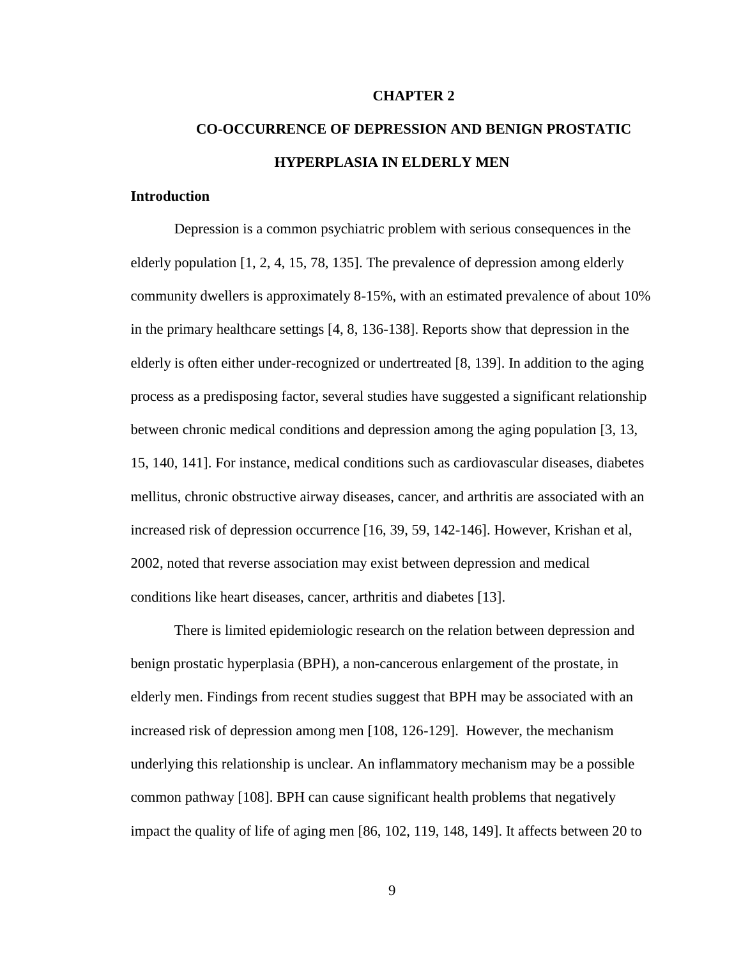#### **CHAPTER 2**

## **CO-OCCURRENCE OF DEPRESSION AND BENIGN PROSTATIC HYPERPLASIA IN ELDERLY MEN**

#### **Introduction**

Depression is a common psychiatric problem with serious consequences in the elderly population [1, 2, 4, 15, 78, 135]. The prevalence of depression among elderly community dwellers is approximately 8-15%, with an estimated prevalence of about 10% in the primary healthcare settings [4, 8, 136-138]. Reports show that depression in the elderly is often either under-recognized or undertreated [8, 139]. In addition to the aging process as a predisposing factor, several studies have suggested a significant relationship between chronic medical conditions and depression among the aging population [3, 13, 15, 140, 141]. For instance, medical conditions such as cardiovascular diseases, diabetes mellitus, chronic obstructive airway diseases, cancer, and arthritis are associated with an increased risk of depression occurrence [16, 39, 59, 142-146]. However, Krishan et al, 2002, noted that reverse association may exist between depression and medical conditions like heart diseases, cancer, arthritis and diabetes [13].

There is limited epidemiologic research on the relation between depression and benign prostatic hyperplasia (BPH), a non-cancerous enlargement of the prostate, in elderly men. Findings from recent studies suggest that BPH may be associated with an increased risk of depression among men [108, 126-129]. However, the mechanism underlying this relationship is unclear. An inflammatory mechanism may be a possible common pathway [108]. BPH can cause significant health problems that negatively impact the quality of life of aging men [86, 102, 119, 148, 149]. It affects between 20 to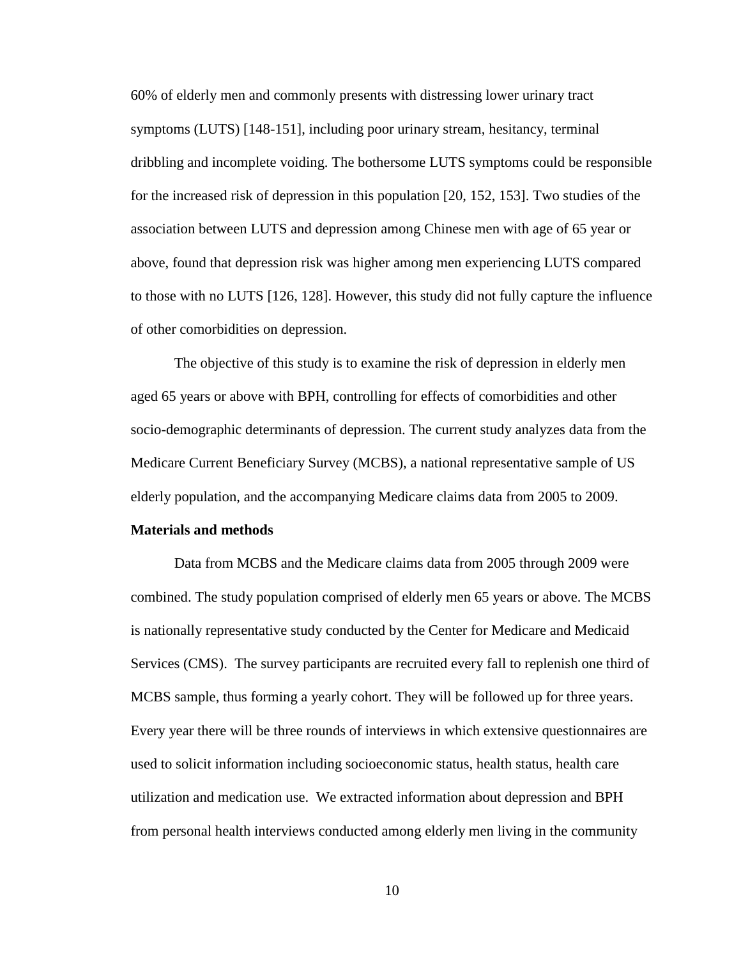60% of elderly men and commonly presents with distressing lower urinary tract symptoms (LUTS) [148-151], including poor urinary stream, hesitancy, terminal dribbling and incomplete voiding. The bothersome LUTS symptoms could be responsible for the increased risk of depression in this population [20, 152, 153]. Two studies of the association between LUTS and depression among Chinese men with age of 65 year or above, found that depression risk was higher among men experiencing LUTS compared to those with no LUTS [126, 128]. However, this study did not fully capture the influence of other comorbidities on depression.

The objective of this study is to examine the risk of depression in elderly men aged 65 years or above with BPH, controlling for effects of comorbidities and other socio-demographic determinants of depression. The current study analyzes data from the Medicare Current Beneficiary Survey (MCBS), a national representative sample of US elderly population, and the accompanying Medicare claims data from 2005 to 2009.

#### **Materials and methods**

Data from MCBS and the Medicare claims data from 2005 through 2009 were combined. The study population comprised of elderly men 65 years or above. The MCBS is nationally representative study conducted by the Center for Medicare and Medicaid Services (CMS). The survey participants are recruited every fall to replenish one third of MCBS sample, thus forming a yearly cohort. They will be followed up for three years. Every year there will be three rounds of interviews in which extensive questionnaires are used to solicit information including socioeconomic status, health status, health care utilization and medication use. We extracted information about depression and BPH from personal health interviews conducted among elderly men living in the community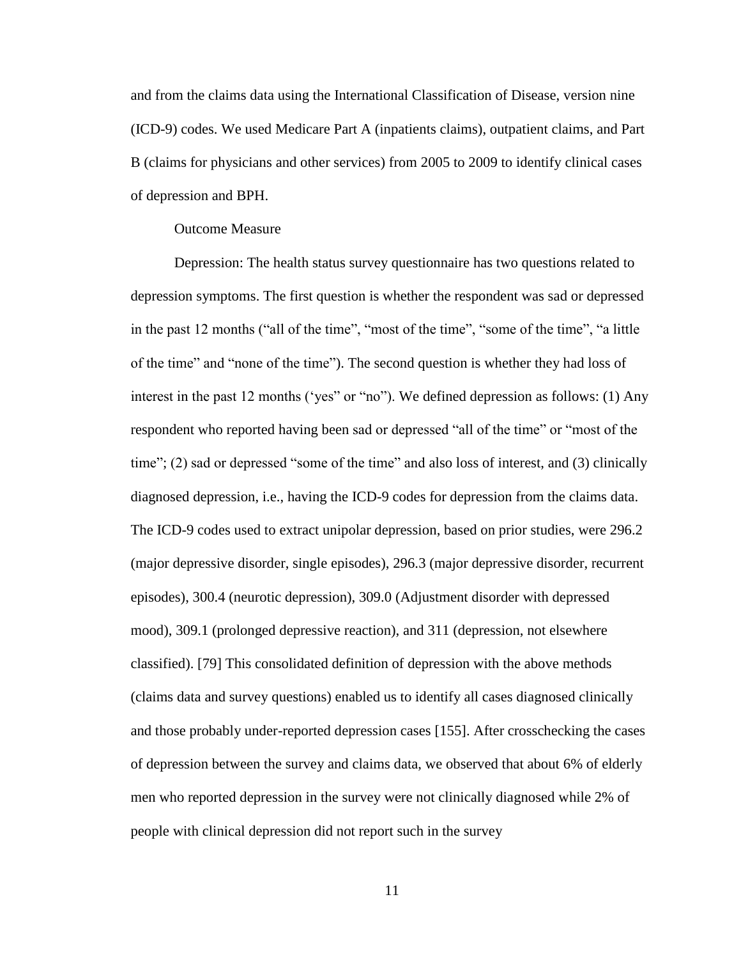and from the claims data using the International Classification of Disease, version nine (ICD-9) codes. We used Medicare Part A (inpatients claims), outpatient claims, and Part B (claims for physicians and other services) from 2005 to 2009 to identify clinical cases of depression and BPH.

#### Outcome Measure

Depression: The health status survey questionnaire has two questions related to depression symptoms. The first question is whether the respondent was sad or depressed in the past 12 months ("all of the time", "most of the time", "some of the time", "a little of the time" and "none of the time"). The second question is whether they had loss of interest in the past 12 months ('yes" or "no"). We defined depression as follows: (1) Any respondent who reported having been sad or depressed "all of the time" or "most of the time"; (2) sad or depressed "some of the time" and also loss of interest, and (3) clinically diagnosed depression, i.e., having the ICD-9 codes for depression from the claims data. The ICD-9 codes used to extract unipolar depression, based on prior studies, were 296.2 (major depressive disorder, single episodes), 296.3 (major depressive disorder, recurrent episodes), 300.4 (neurotic depression), 309.0 (Adjustment disorder with depressed mood), 309.1 (prolonged depressive reaction), and 311 (depression, not elsewhere classified). [79] This consolidated definition of depression with the above methods (claims data and survey questions) enabled us to identify all cases diagnosed clinically and those probably under-reported depression cases [155]. After crosschecking the cases of depression between the survey and claims data, we observed that about 6% of elderly men who reported depression in the survey were not clinically diagnosed while 2% of people with clinical depression did not report such in the survey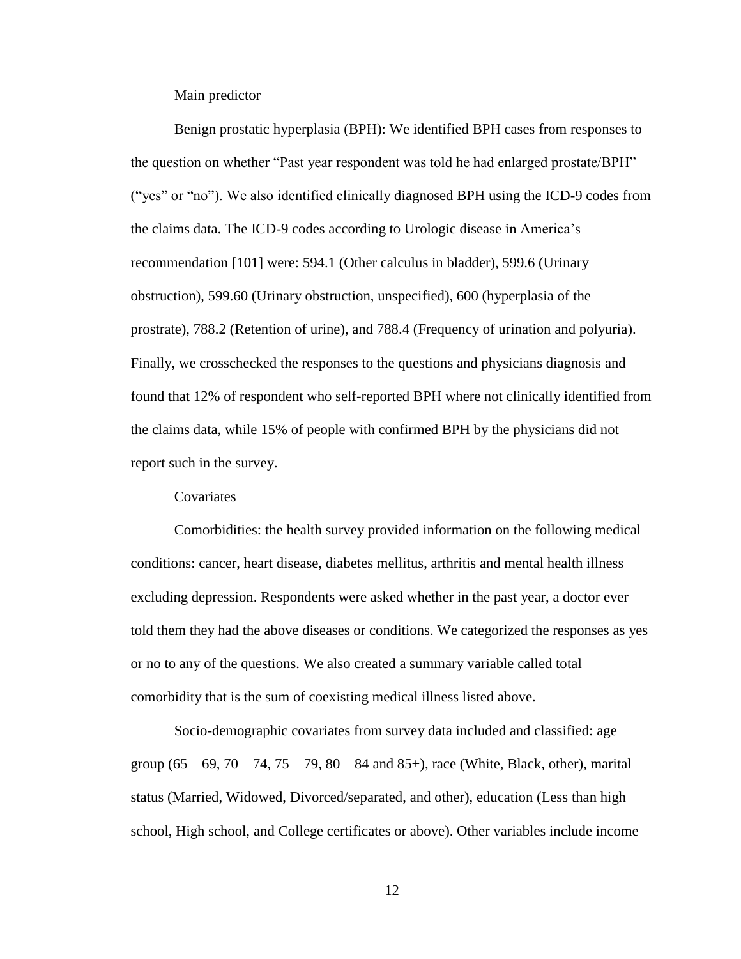Main predictor

Benign prostatic hyperplasia (BPH): We identified BPH cases from responses to the question on whether "Past year respondent was told he had enlarged prostate/BPH" ("yes" or "no"). We also identified clinically diagnosed BPH using the ICD-9 codes from the claims data. The ICD-9 codes according to Urologic disease in America's recommendation [101] were: 594.1 (Other calculus in bladder), 599.6 (Urinary obstruction), 599.60 (Urinary obstruction, unspecified), 600 (hyperplasia of the prostrate), 788.2 (Retention of urine), and 788.4 (Frequency of urination and polyuria). Finally, we crosschecked the responses to the questions and physicians diagnosis and found that 12% of respondent who self-reported BPH where not clinically identified from the claims data, while 15% of people with confirmed BPH by the physicians did not report such in the survey.

#### **Covariates**

Comorbidities: the health survey provided information on the following medical conditions: cancer, heart disease, diabetes mellitus, arthritis and mental health illness excluding depression. Respondents were asked whether in the past year, a doctor ever told them they had the above diseases or conditions. We categorized the responses as yes or no to any of the questions. We also created a summary variable called total comorbidity that is the sum of coexisting medical illness listed above.

Socio-demographic covariates from survey data included and classified: age group  $(65 - 69, 70 - 74, 75 - 79, 80 - 84 \text{ and } 85+)$ , race (White, Black, other), marital status (Married, Widowed, Divorced/separated, and other), education (Less than high school, High school, and College certificates or above). Other variables include income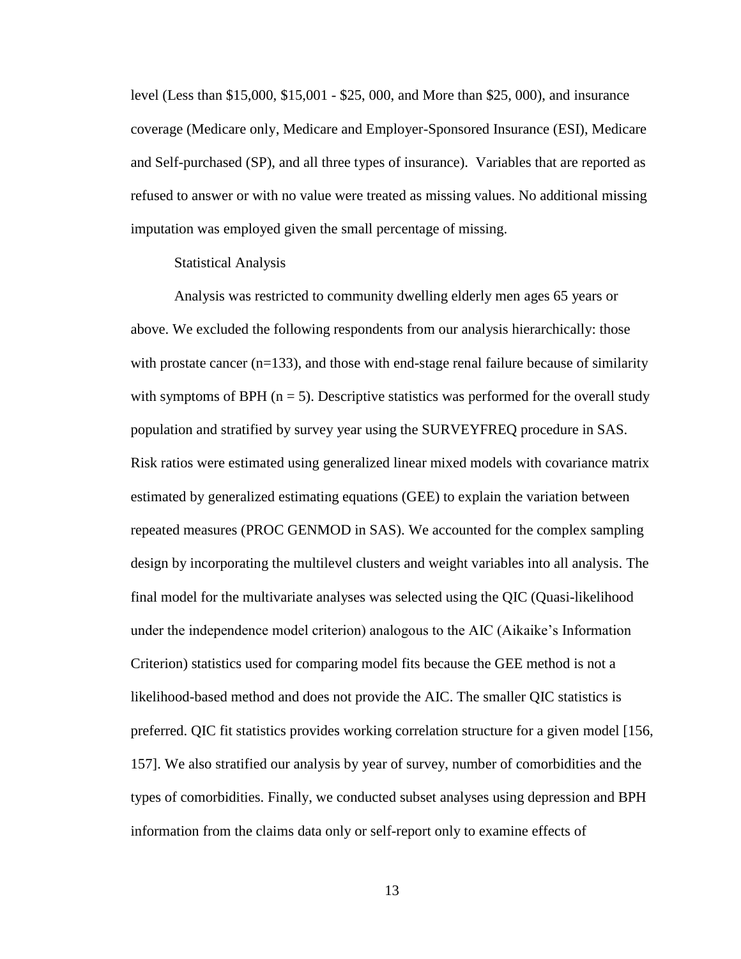level (Less than \$15,000, \$15,001 - \$25, 000, and More than \$25, 000), and insurance coverage (Medicare only, Medicare and Employer-Sponsored Insurance (ESI), Medicare and Self-purchased (SP), and all three types of insurance). Variables that are reported as refused to answer or with no value were treated as missing values. No additional missing imputation was employed given the small percentage of missing.

#### Statistical Analysis

Analysis was restricted to community dwelling elderly men ages 65 years or above. We excluded the following respondents from our analysis hierarchically: those with prostate cancer  $(n=133)$ , and those with end-stage renal failure because of similarity with symptoms of BPH  $(n = 5)$ . Descriptive statistics was performed for the overall study population and stratified by survey year using the SURVEYFREQ procedure in SAS. Risk ratios were estimated using generalized linear mixed models with covariance matrix estimated by generalized estimating equations (GEE) to explain the variation between repeated measures (PROC GENMOD in SAS). We accounted for the complex sampling design by incorporating the multilevel clusters and weight variables into all analysis. The final model for the multivariate analyses was selected using the QIC (Quasi-likelihood under the independence model criterion) analogous to the AIC (Aikaike's Information Criterion) statistics used for comparing model fits because the GEE method is not a likelihood-based method and does not provide the AIC. The smaller QIC statistics is preferred. QIC fit statistics provides working correlation structure for a given model [156, 157]. We also stratified our analysis by year of survey, number of comorbidities and the types of comorbidities. Finally, we conducted subset analyses using depression and BPH information from the claims data only or self-report only to examine effects of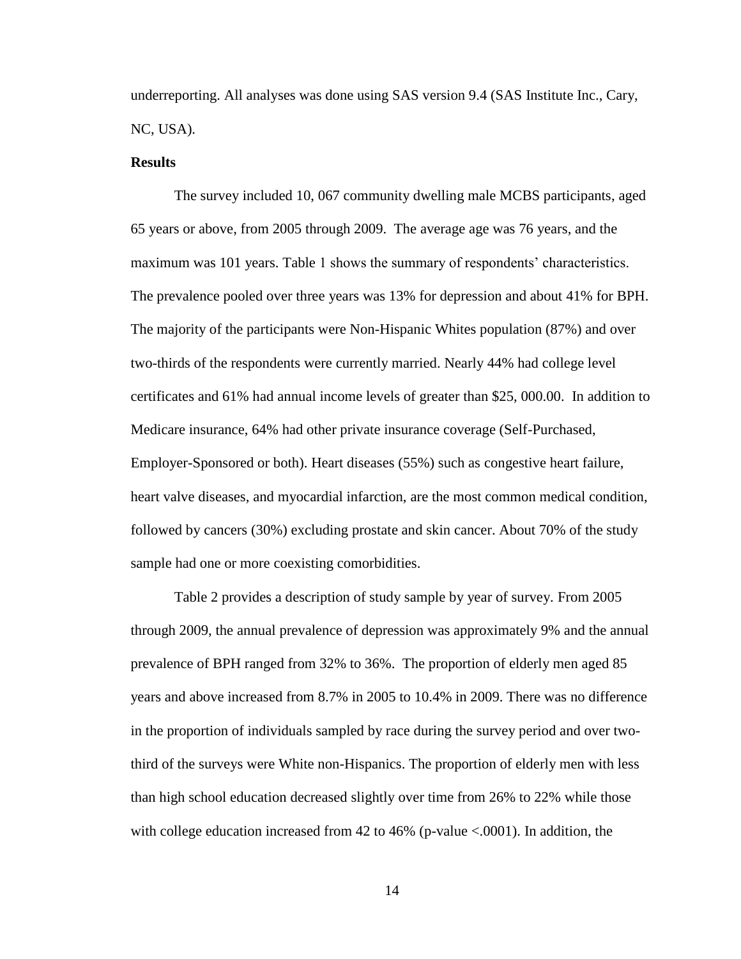underreporting. All analyses was done using SAS version 9.4 (SAS Institute Inc., Cary, NC, USA).

#### **Results**

The survey included 10, 067 community dwelling male MCBS participants, aged 65 years or above, from 2005 through 2009. The average age was 76 years, and the maximum was 101 years. Table 1 shows the summary of respondents' characteristics. The prevalence pooled over three years was 13% for depression and about 41% for BPH. The majority of the participants were Non-Hispanic Whites population (87%) and over two-thirds of the respondents were currently married. Nearly 44% had college level certificates and 61% had annual income levels of greater than \$25, 000.00. In addition to Medicare insurance, 64% had other private insurance coverage (Self-Purchased, Employer-Sponsored or both). Heart diseases (55%) such as congestive heart failure, heart valve diseases, and myocardial infarction, are the most common medical condition, followed by cancers (30%) excluding prostate and skin cancer. About 70% of the study sample had one or more coexisting comorbidities.

Table 2 provides a description of study sample by year of survey. From 2005 through 2009, the annual prevalence of depression was approximately 9% and the annual prevalence of BPH ranged from 32% to 36%. The proportion of elderly men aged 85 years and above increased from 8.7% in 2005 to 10.4% in 2009. There was no difference in the proportion of individuals sampled by race during the survey period and over twothird of the surveys were White non-Hispanics. The proportion of elderly men with less than high school education decreased slightly over time from 26% to 22% while those with college education increased from  $42$  to  $46\%$  (p-value  $\lt.0001$ ). In addition, the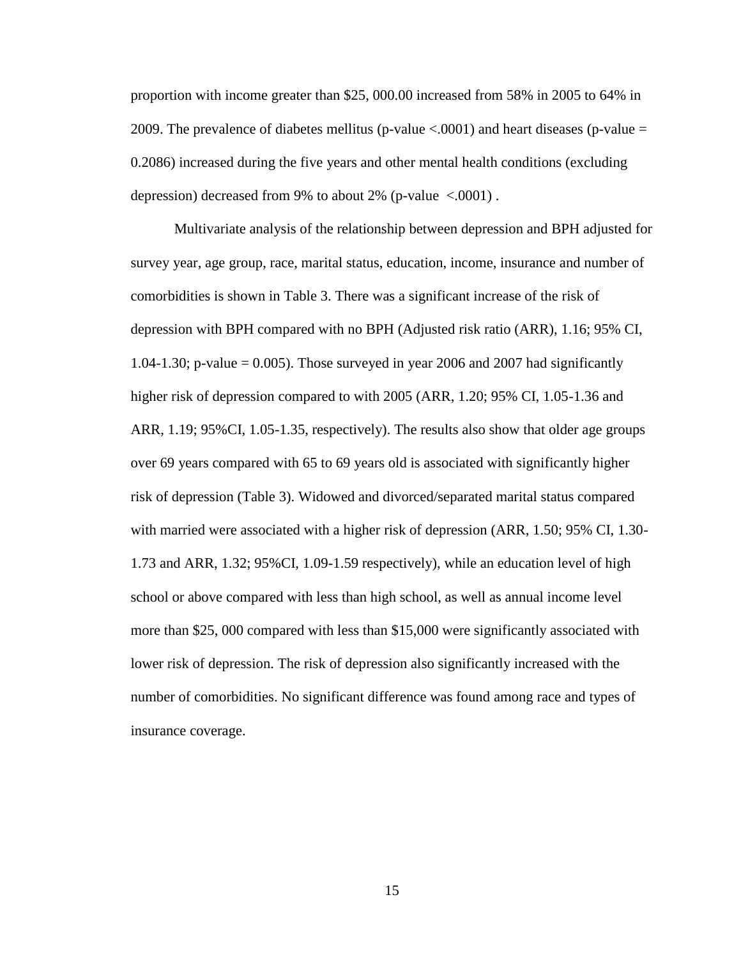proportion with income greater than \$25, 000.00 increased from 58% in 2005 to 64% in 2009. The prevalence of diabetes mellitus (p-value  $\lt$  0001) and heart diseases (p-value = 0.2086) increased during the five years and other mental health conditions (excluding depression) decreased from 9% to about 2% (p-value  $\leq 0.0001$ ).

Multivariate analysis of the relationship between depression and BPH adjusted for survey year, age group, race, marital status, education, income, insurance and number of comorbidities is shown in Table 3. There was a significant increase of the risk of depression with BPH compared with no BPH (Adjusted risk ratio (ARR), 1.16; 95% CI, 1.04-1.30; p-value = 0.005). Those surveyed in year 2006 and 2007 had significantly higher risk of depression compared to with 2005 (ARR, 1.20; 95% CI, 1.05-1.36 and ARR, 1.19; 95%CI, 1.05-1.35, respectively). The results also show that older age groups over 69 years compared with 65 to 69 years old is associated with significantly higher risk of depression (Table 3). Widowed and divorced/separated marital status compared with married were associated with a higher risk of depression (ARR, 1.50; 95% CI, 1.30- 1.73 and ARR, 1.32; 95%CI, 1.09-1.59 respectively), while an education level of high school or above compared with less than high school, as well as annual income level more than \$25, 000 compared with less than \$15,000 were significantly associated with lower risk of depression. The risk of depression also significantly increased with the number of comorbidities. No significant difference was found among race and types of insurance coverage.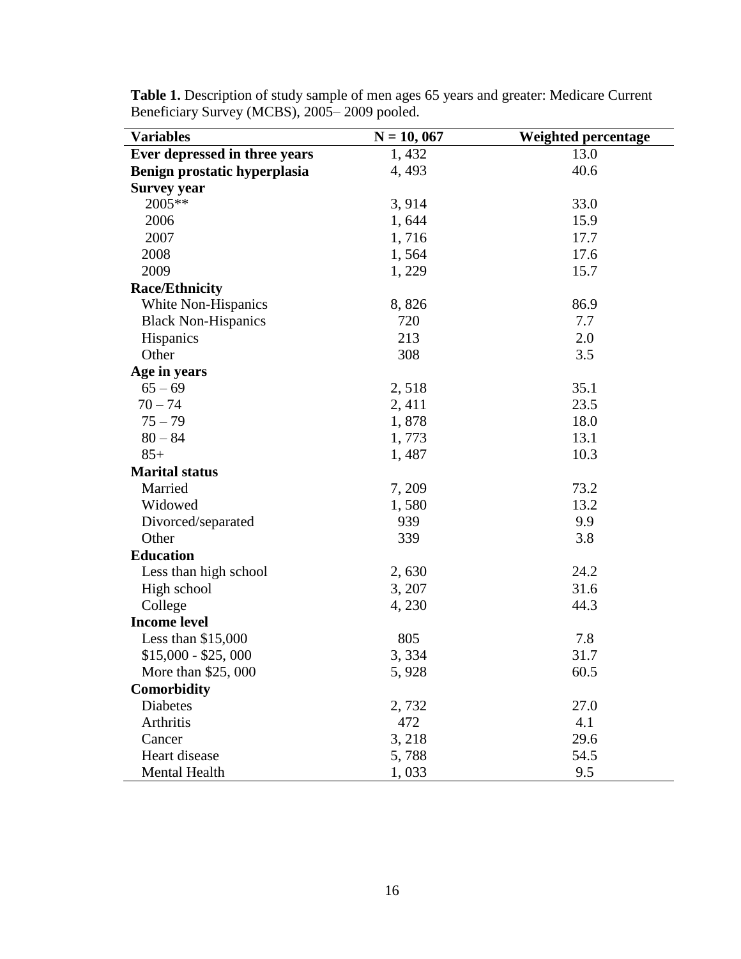| <b>Variables</b>              | $N = 10,067$ | <b>Weighted percentage</b> |
|-------------------------------|--------------|----------------------------|
| Ever depressed in three years | 1,432        | 13.0                       |
| Benign prostatic hyperplasia  | 4,493        | 40.6                       |
| <b>Survey year</b>            |              |                            |
| 2005**                        | 3,914        | 33.0                       |
| 2006                          | 1,644        | 15.9                       |
| 2007                          | 1,716        | 17.7                       |
| 2008                          | 1,564        | 17.6                       |
| 2009                          | 1,229        | 15.7                       |
| <b>Race/Ethnicity</b>         |              |                            |
| White Non-Hispanics           | 8,826        | 86.9                       |
| <b>Black Non-Hispanics</b>    | 720          | 7.7                        |
| Hispanics                     | 213          | 2.0                        |
| Other                         | 308          | 3.5                        |
| Age in years                  |              |                            |
| $65 - 69$                     | 2,518        | 35.1                       |
| $70 - 74$                     | 2, 411       | 23.5                       |
| $75 - 79$                     | 1,878        | 18.0                       |
| $80 - 84$                     | 1,773        | 13.1                       |
| $85+$                         | 1,487        | 10.3                       |
| <b>Marital status</b>         |              |                            |
| Married                       | 7,209        | 73.2                       |
| Widowed                       | 1,580        | 13.2                       |
| Divorced/separated            | 939          | 9.9                        |
| Other                         | 339          | 3.8                        |
| <b>Education</b>              |              |                            |
| Less than high school         | 2,630        | 24.2                       |
| High school                   | 3, 207       | 31.6                       |
| College                       | 4,230        | 44.3                       |
| <b>Income level</b>           |              |                            |
| Less than $$15,000$           | 805          | 7.8                        |
| $$15,000 - $25,000$           | 3,334        | 31.7                       |
| More than \$25,000            | 5,928        | 60.5                       |
| Comorbidity                   |              |                            |
| Diabetes                      | 2,732        | 27.0                       |
| Arthritis                     | 472          | 4.1                        |
| Cancer                        | 3,218        | 29.6                       |
| Heart disease                 | 5,788        | 54.5                       |
| Mental Health                 | 1,033        | 9.5                        |

**Table 1.** Description of study sample of men ages 65 years and greater: Medicare Current Beneficiary Survey (MCBS), 2005– 2009 pooled.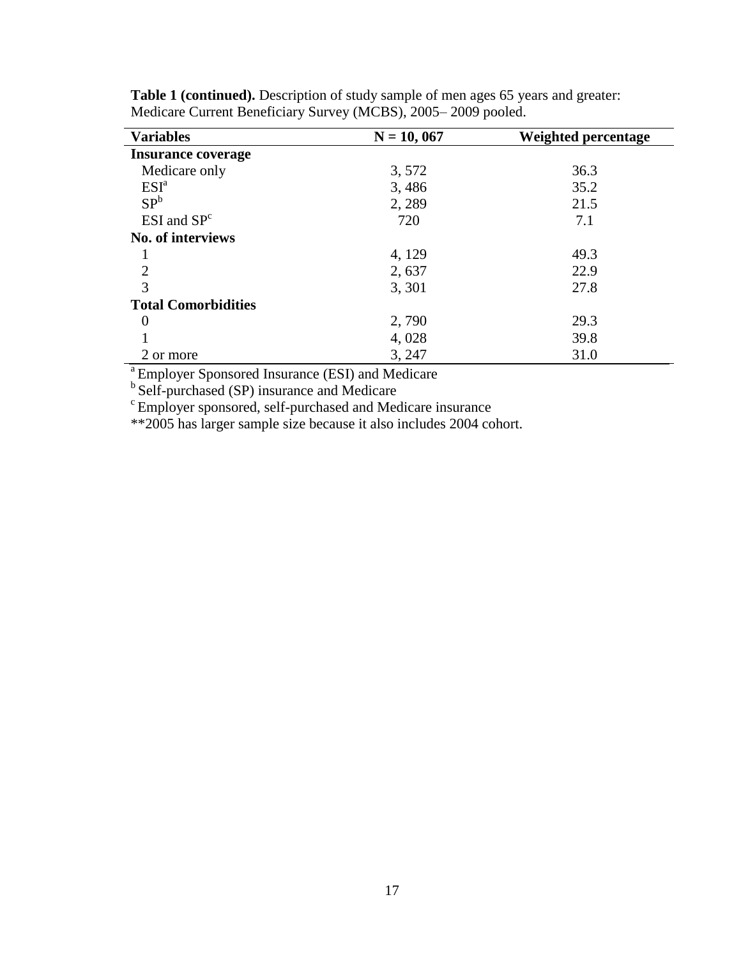| <b>Variables</b>           | $N = 10,067$ | Weighted percentage |
|----------------------------|--------------|---------------------|
| <b>Insurance coverage</b>  |              |                     |
| Medicare only              | 3,572        | 36.3                |
| ESI <sup>a</sup>           | 3,486        | 35.2                |
| SP <sup>b</sup>            | 2, 289       | 21.5                |
| $ESI$ and $SPc$            | 720          | 7.1                 |
| <b>No. of interviews</b>   |              |                     |
|                            | 4, 129       | 49.3                |
| $\overline{2}$             | 2,637        | 22.9                |
| 3                          | 3, 301       | 27.8                |
| <b>Total Comorbidities</b> |              |                     |
| $\theta$                   | 2,790        | 29.3                |
|                            | 4,028        | 39.8                |
| 2 or more                  | 3, 247       | 31.0                |

**Table 1 (continued).** Description of study sample of men ages 65 years and greater: Medicare Current Beneficiary Survey (MCBS), 2005– 2009 pooled.

<sup>a</sup> Employer Sponsored Insurance (ESI) and Medicare

<sup>b</sup> Self-purchased (SP) insurance and Medicare

<sup>c</sup> Employer sponsored, self-purchased and Medicare insurance

\*\*2005 has larger sample size because it also includes 2004 cohort.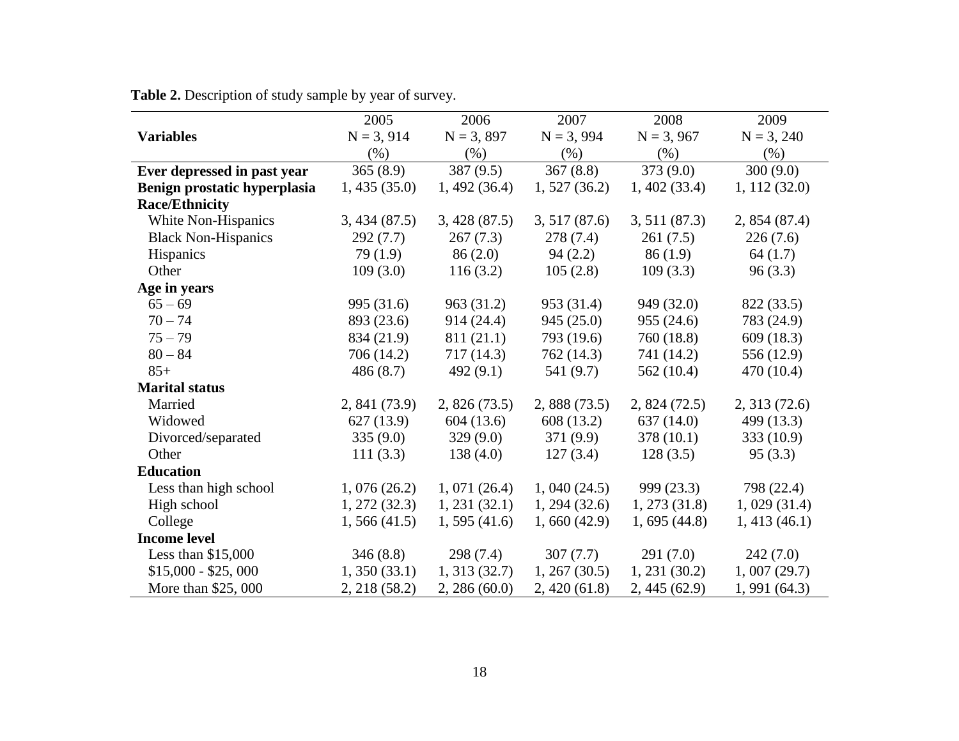|                              | 2005          | 2006          | 2007          | 2008          | 2009         |
|------------------------------|---------------|---------------|---------------|---------------|--------------|
| <b>Variables</b>             | $N = 3, 914$  | $N = 3, 897$  | $N = 3,994$   | $N = 3,967$   | $N = 3, 240$ |
|                              | $(\% )$       | (% )          | (% )          | (% )          | (% )         |
| Ever depressed in past year  | 365(8.9)      | 387(9.5)      | 367(8.8)      | 373(9.0)      | 300(9.0)     |
| Benign prostatic hyperplasia | 1,435(35.0)   | 1,492(36.4)   | 1,527(36.2)   | 1,402(33.4)   | 1, 112(32.0) |
| <b>Race/Ethnicity</b>        |               |               |               |               |              |
| White Non-Hispanics          | 3,434(87.5)   | 3,428(87.5)   | 3,517(87.6)   | 3,511(87.3)   | 2,854(87.4)  |
| <b>Black Non-Hispanics</b>   | 292(7.7)      | 267(7.3)      | 278(7.4)      | 261(7.5)      | 226(7.6)     |
| Hispanics                    | 79(1.9)       | 86(2.0)       | 94(2.2)       | 86(1.9)       | 64(1.7)      |
| Other                        | 109(3.0)      | 116(3.2)      | 105(2.8)      | 109(3.3)      | 96(3.3)      |
| Age in years                 |               |               |               |               |              |
| $65 - 69$                    | 995 (31.6)    | 963 (31.2)    | 953 (31.4)    | 949 (32.0)    | 822 (33.5)   |
| $70 - 74$                    | 893 (23.6)    | 914 (24.4)    | 945(25.0)     | 955(24.6)     | 783 (24.9)   |
| $75 - 79$                    | 834 (21.9)    | 811 (21.1)    | 793 (19.6)    | 760 (18.8)    | 609(18.3)    |
| $80 - 84$                    | 706 (14.2)    | 717 (14.3)    | 762 (14.3)    | 741 (14.2)    | 556 (12.9)   |
| $85+$                        | 486(8.7)      | 492(9.1)      | 541 (9.7)     | 562 $(10.4)$  | 470 (10.4)   |
| <b>Marital status</b>        |               |               |               |               |              |
| Married                      | 2, 841 (73.9) | 2,826(73.5)   | 2,888(73.5)   | 2,824(72.5)   | 2,313(72.6)  |
| Widowed                      | 627(13.9)     | 604(13.6)     | 608 (13.2)    | 637(14.0)     | 499 (13.3)   |
| Divorced/separated           | 335(9.0)      | 329(9.0)      | 371 (9.9)     | 378 (10.1)    | 333(10.9)    |
| Other                        | 111(3.3)      | 138(4.0)      | 127(3.4)      | 128(3.5)      | 95(3.3)      |
| <b>Education</b>             |               |               |               |               |              |
| Less than high school        | 1,076(26.2)   | 1,071(26.4)   | 1,040(24.5)   | 999(23.3)     | 798 (22.4)   |
| High school                  | 1, 272(32.3)  | 1, 231 (32.1) | 1, 294 (32.6) | 1, 273(31.8)  | 1,029(31.4)  |
| College                      | 1,566(41.5)   | 1,595(41.6)   | 1,660(42.9)   | 1,695(44.8)   | 1,413(46.1)  |
| <b>Income level</b>          |               |               |               |               |              |
| Less than $$15,000$          | 346(8.8)      | 298 (7.4)     | 307(7.7)      | 291(7.0)      | 242(7.0)     |
| $$15,000 - $25,000$          | 1,350(33.1)   | 1, 313(32.7)  | 1, 267 (30.5) | 1, 231 (30.2) | 1,007(29.7)  |
| More than \$25, 000          | 2, 218 (58.2) | 2,286(60.0)   | 2,420(61.8)   | 2,445(62.9)   | 1,991(64.3)  |

**Table 2.** Description of study sample by year of survey.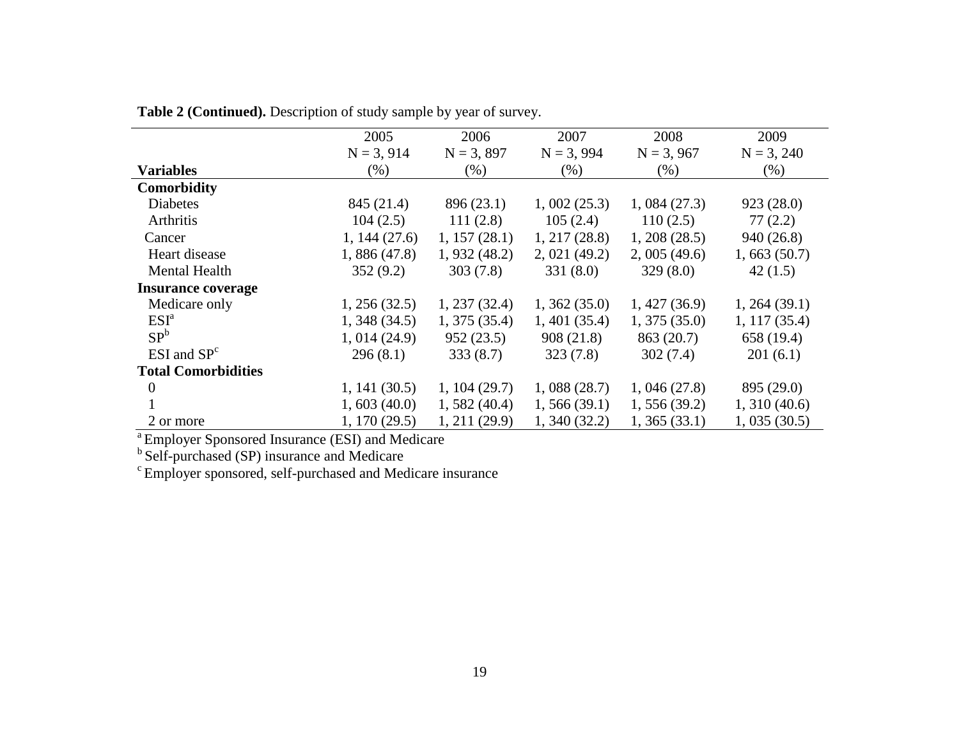|                            | 2005          | 2006          | 2007         | 2008         | 2009          |
|----------------------------|---------------|---------------|--------------|--------------|---------------|
|                            | $N = 3, 914$  | $N = 3, 897$  | $N = 3,994$  | $N = 3,967$  | $N = 3, 240$  |
| <b>Variables</b>           | (% )          | (% )          | (% )         | (% )         | $(\% )$       |
| <b>Comorbidity</b>         |               |               |              |              |               |
| <b>Diabetes</b>            | 845 (21.4)    | 896 (23.1)    | 1,002(25.3)  | 1,084(27.3)  | 923(28.0)     |
| Arthritis                  | 104(2.5)      | 111(2.8)      | 105(2.4)     | 110(2.5)     | 77(2.2)       |
| Cancer                     | 1, 144(27.6)  | 1, 157(28.1)  | 1, 217(28.8) | 1,208(28.5)  | 940 (26.8)    |
| Heart disease              | 1,886(47.8)   | 1,932(48.2)   | 2,021(49.2)  | 2,005(49.6)  | 1,663(50.7)   |
| <b>Mental Health</b>       | 352(9.2)      | 303(7.8)      | 331(8.0)     | 329(8.0)     | 42(1.5)       |
| <b>Insurance coverage</b>  |               |               |              |              |               |
| Medicare only              | 1, 256(32.5)  | 1, 237(32.4)  | 1,362(35.0)  | 1,427(36.9)  | 1, 264 (39.1) |
| ESI <sup>a</sup>           | 1,348(34.5)   | 1,375(35.4)   | 1,401(35.4)  | 1,375(35.0)  | 1, 117(35.4)  |
| SP <sup>b</sup>            | 1,014(24.9)   | 952(23.5)     | 908(21.8)    | 863(20.7)    | 658 (19.4)    |
| $ESI$ and $SPc$            | 296(8.1)      | 333(8.7)      | 323(7.8)     | 302(7.4)     | 201(6.1)      |
| <b>Total Comorbidities</b> |               |               |              |              |               |
| $\overline{0}$             | 1, 141 (30.5) | 1, 104(29.7)  | 1,088(28.7)  | 1,046(27.8)  | 895 (29.0)    |
|                            | 1,603(40.0)   | 1,582(40.4)   | 1, 566(39.1) | 1, 556(39.2) | 1,310(40.6)   |
| 2 or more                  | 1, 170(29.5)  | 1, 211 (29.9) | 1,340(32.2)  | 1, 365(33.1) | 1,035(30.5)   |

**Table 2 (Continued).** Description of study sample by year of survey.

<sup>a</sup> Employer Sponsored Insurance (ESI) and Medicare

<sup>b</sup> Self-purchased (SP) insurance and Medicare

 $\textdegree$  Employer sponsored, self-purchased and Medicare insurance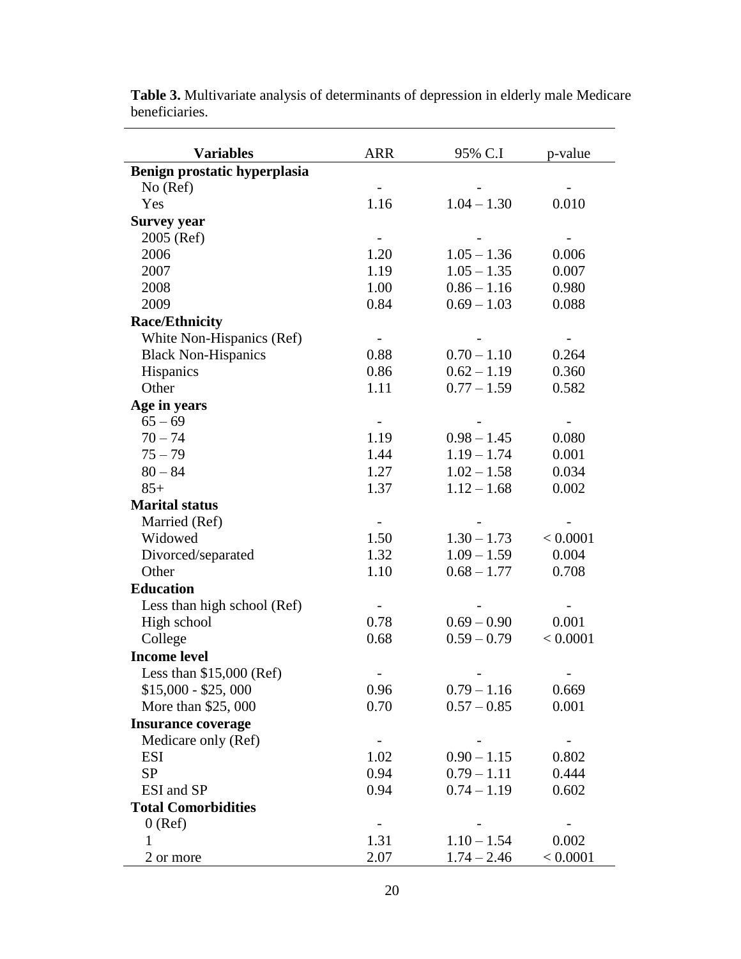| <b>Variables</b>             | <b>ARR</b>               | 95% C.I       | p-value  |
|------------------------------|--------------------------|---------------|----------|
| Benign prostatic hyperplasia |                          |               |          |
| No (Ref)                     |                          |               |          |
| Yes                          | 1.16                     | $1.04 - 1.30$ | 0.010    |
| <b>Survey year</b>           |                          |               |          |
| 2005 (Ref)                   | $\blacksquare$           |               |          |
| 2006                         | 1.20                     | $1.05 - 1.36$ | 0.006    |
| 2007                         | 1.19                     | $1.05 - 1.35$ | 0.007    |
| 2008                         | 1.00                     | $0.86 - 1.16$ | 0.980    |
| 2009                         | 0.84                     | $0.69 - 1.03$ | 0.088    |
| <b>Race/Ethnicity</b>        |                          |               |          |
| White Non-Hispanics (Ref)    | $\overline{\phantom{a}}$ |               |          |
| <b>Black Non-Hispanics</b>   | 0.88                     | $0.70 - 1.10$ | 0.264    |
| Hispanics                    | 0.86                     | $0.62 - 1.19$ | 0.360    |
| Other                        | 1.11                     | $0.77 - 1.59$ | 0.582    |
| Age in years                 |                          |               |          |
| $65 - 69$                    |                          |               |          |
| $70 - 74$                    | 1.19                     | $0.98 - 1.45$ | 0.080    |
| $75 - 79$                    | 1.44                     | $1.19 - 1.74$ | 0.001    |
| $80 - 84$                    | 1.27                     | $1.02 - 1.58$ | 0.034    |
| $85+$                        | 1.37                     | $1.12 - 1.68$ | 0.002    |
| <b>Marital status</b>        |                          |               |          |
| Married (Ref)                |                          |               |          |
| Widowed                      | 1.50                     | $1.30 - 1.73$ | < 0.0001 |
| Divorced/separated           | 1.32                     | $1.09 - 1.59$ | 0.004    |
| Other                        | 1.10                     | $0.68 - 1.77$ | 0.708    |
| <b>Education</b>             |                          |               |          |
| Less than high school (Ref)  |                          |               |          |
| High school                  | 0.78                     | $0.69 - 0.90$ | 0.001    |
| College                      | 0.68                     | $0.59 - 0.79$ | < 0.0001 |
| <b>Income level</b>          |                          |               |          |
| Less than $$15,000$ (Ref)    |                          |               |          |
| $$15,000 - $25,000$          | 0.96                     | $0.79 - 1.16$ | 0.669    |
| More than \$25,000           | 0.70                     | $0.57 - 0.85$ | 0.001    |
| <b>Insurance coverage</b>    |                          |               |          |
| Medicare only (Ref)          | $\overline{\phantom{a}}$ |               |          |
| ESI                          | 1.02                     | $0.90 - 1.15$ | 0.802    |
| <b>SP</b>                    | 0.94                     | $0.79 - 1.11$ | 0.444    |
| ESI and SP                   | 0.94                     | $0.74 - 1.19$ | 0.602    |
| <b>Total Comorbidities</b>   |                          |               |          |
| $0$ (Ref)                    |                          |               |          |
| 1                            | 1.31                     | $1.10 - 1.54$ | 0.002    |
| 2 or more                    | 2.07                     | $1.74 - 2.46$ | < 0.0001 |

**Table 3.** Multivariate analysis of determinants of depression in elderly male Medicare beneficiaries.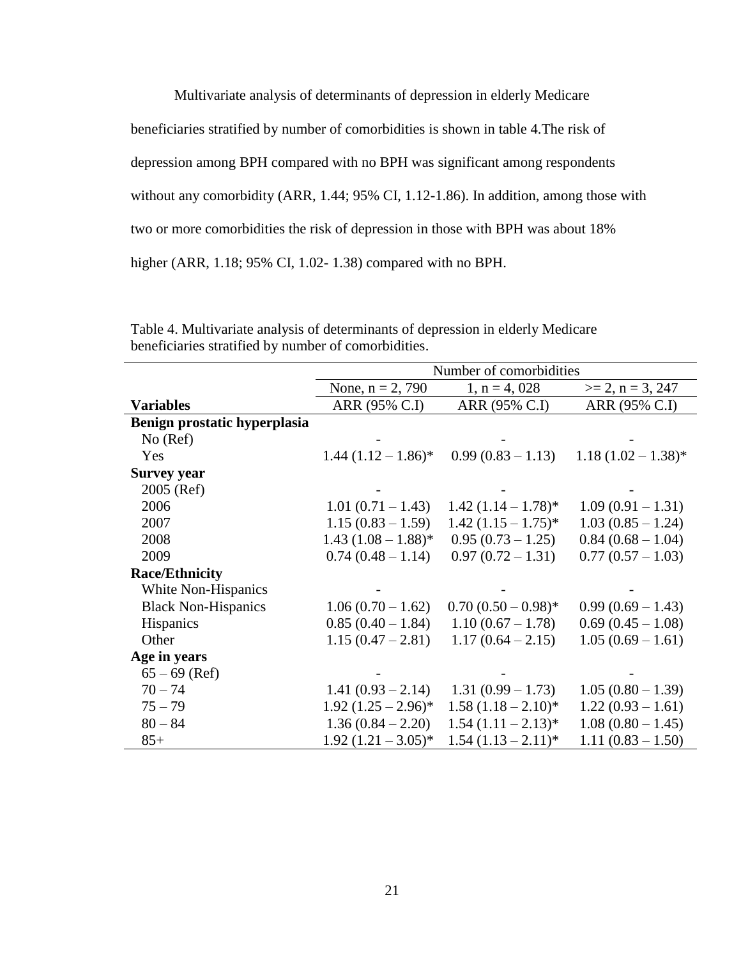Multivariate analysis of determinants of depression in elderly Medicare beneficiaries stratified by number of comorbidities is shown in table 4.The risk of depression among BPH compared with no BPH was significant among respondents without any comorbidity (ARR, 1.44; 95% CI, 1.12-1.86). In addition, among those with two or more comorbidities the risk of depression in those with BPH was about 18% higher (ARR, 1.18; 95% CI, 1.02- 1.38) compared with no BPH.

|                              | Number of comorbidities |                        |                       |  |  |
|------------------------------|-------------------------|------------------------|-----------------------|--|--|
|                              | None, $n = 2, 790$      | $1, n = 4, 028$        | $>= 2, n = 3, 247$    |  |  |
| <b>Variables</b>             | ARR (95% C.I)           | ARR (95% C.I)          | ARR (95% C.I)         |  |  |
| Benign prostatic hyperplasia |                         |                        |                       |  |  |
| No (Ref)                     |                         |                        |                       |  |  |
| Yes                          | $1.44 (1.12 - 1.86)^*$  | $0.99(0.83 - 1.13)$    | $1.18(1.02 - 1.38)^*$ |  |  |
| <b>Survey year</b>           |                         |                        |                       |  |  |
| 2005 (Ref)                   |                         |                        |                       |  |  |
| 2006                         | $1.01(0.71 - 1.43)$     | $1.42(1.14 - 1.78)$ *  | $1.09(0.91 - 1.31)$   |  |  |
| 2007                         | $1.15(0.83 - 1.59)$     | $1.42 (1.15 - 1.75)^*$ | $1.03(0.85 - 1.24)$   |  |  |
| 2008                         | $1.43 (1.08 - 1.88)^*$  | $0.95(0.73-1.25)$      | $0.84(0.68 - 1.04)$   |  |  |
| 2009                         | $0.74(0.48-1.14)$       | $0.97(0.72 - 1.31)$    | $0.77(0.57 - 1.03)$   |  |  |
| <b>Race/Ethnicity</b>        |                         |                        |                       |  |  |
| White Non-Hispanics          |                         |                        |                       |  |  |
| <b>Black Non-Hispanics</b>   | $1.06(0.70-1.62)$       | $0.70(0.50-0.98)$ *    | $0.99(0.69 - 1.43)$   |  |  |
| <b>Hispanics</b>             | $0.85(0.40 - 1.84)$     | $1.10(0.67 - 1.78)$    | $0.69(0.45-1.08)$     |  |  |
| Other                        | $1.15(0.47 - 2.81)$     | $1.17(0.64 - 2.15)$    | $1.05(0.69 - 1.61)$   |  |  |
| Age in years                 |                         |                        |                       |  |  |
| $65 - 69$ (Ref)              |                         |                        |                       |  |  |
| $70 - 74$                    | $1.41(0.93 - 2.14)$     | $1.31(0.99 - 1.73)$    | $1.05(0.80 - 1.39)$   |  |  |
| $75 - 79$                    | $1.92 (1.25 - 2.96)^*$  | $1.58(1.18-2.10)^*$    | $1.22(0.93 - 1.61)$   |  |  |
| $80 - 84$                    | $1.36(0.84 - 2.20)$     | $1.54 (1.11 - 2.13)^*$ | $1.08(0.80 - 1.45)$   |  |  |
| $85+$                        | $1.92 (1.21 - 3.05)^*$  | $1.54(1.13-2.11)*$     | $1.11(0.83 - 1.50)$   |  |  |

Table 4. Multivariate analysis of determinants of depression in elderly Medicare beneficiaries stratified by number of comorbidities.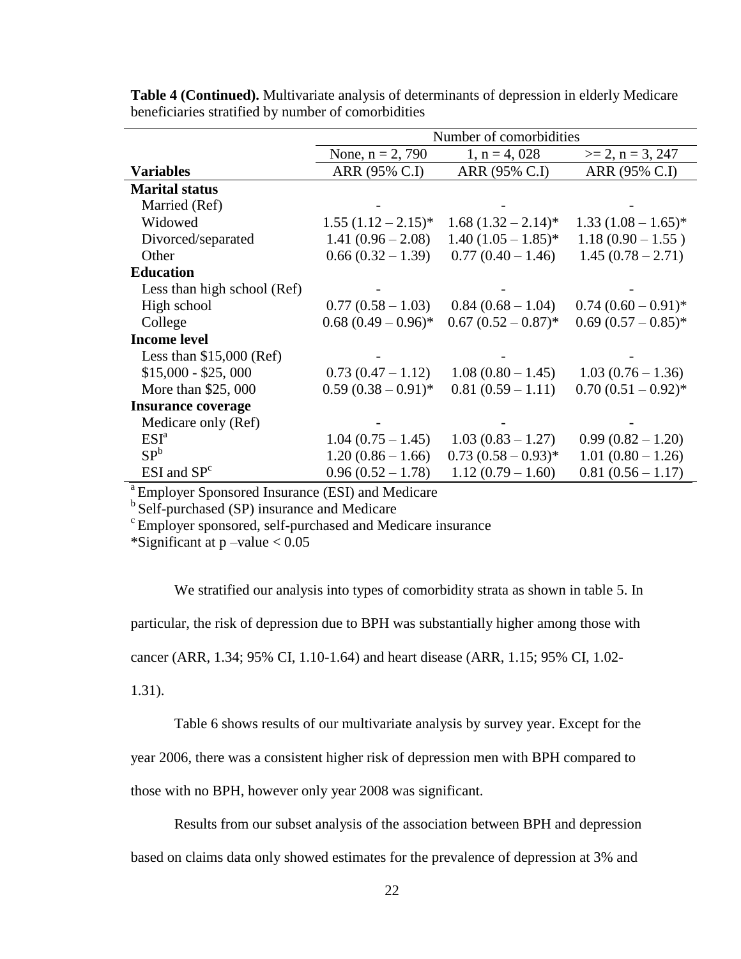|                             | Number of comorbidities |                        |                        |  |  |  |
|-----------------------------|-------------------------|------------------------|------------------------|--|--|--|
|                             | None, $n = 2, 790$      | $1, n = 4, 028$        | $>= 2, n = 3, 247$     |  |  |  |
| <b>Variables</b>            | ARR (95% C.I)           | ARR (95% C.I)          | ARR (95% C.I)          |  |  |  |
| <b>Marital status</b>       |                         |                        |                        |  |  |  |
| Married (Ref)               |                         |                        |                        |  |  |  |
| Widowed                     | $1.55(1.12-2.15)^{*}$   | $1.68 (1.32 - 2.14)^*$ | $1.33 (1.08 - 1.65)^*$ |  |  |  |
| Divorced/separated          | $1.41(0.96 - 2.08)$     | $1.40 (1.05 - 1.85)^*$ | $1.18(0.90 - 1.55)$    |  |  |  |
| Other                       | $0.66(0.32 - 1.39)$     | $0.77(0.40 - 1.46)$    | $1.45(0.78-2.71)$      |  |  |  |
| <b>Education</b>            |                         |                        |                        |  |  |  |
| Less than high school (Ref) |                         |                        |                        |  |  |  |
| High school                 | $0.77(0.58-1.03)$       | $0.84(0.68-1.04)$      | $0.74(0.60-0.91)^*$    |  |  |  |
| College                     | $0.68(0.49-0.96)$ *     | $0.67(0.52-0.87)^*$    | $0.69(0.57-0.85)*$     |  |  |  |
| <b>Income level</b>         |                         |                        |                        |  |  |  |
| Less than $$15,000$ (Ref)   |                         |                        |                        |  |  |  |
| $$15,000 - $25,000$         | $0.73(0.47 - 1.12)$     | $1.08(0.80 - 1.45)$    | $1.03(0.76-1.36)$      |  |  |  |
| More than \$25,000          | $0.59(0.38-0.91)$ *     | $0.81(0.59 - 1.11)$    | $0.70(0.51-0.92)$ *    |  |  |  |
| <b>Insurance coverage</b>   |                         |                        |                        |  |  |  |
| Medicare only (Ref)         |                         |                        |                        |  |  |  |
| ESI <sup>a</sup>            | $1.04(0.75-1.45)$       | $1.03(0.83 - 1.27)$    | $0.99(0.82 - 1.20)$    |  |  |  |
| SP <sup>b</sup>             | $1.20(0.86 - 1.66)$     | $0.73(0.58-0.93)^*$    | $1.01(0.80 - 1.26)$    |  |  |  |
| $ESI$ and $SPc$             | $0.96(0.52 - 1.78)$     | $1.12(0.79 - 1.60)$    | $0.81(0.56 - 1.17)$    |  |  |  |

**Table 4 (Continued).** Multivariate analysis of determinants of depression in elderly Medicare beneficiaries stratified by number of comorbidities

<sup>a</sup> Employer Sponsored Insurance (ESI) and Medicare

<sup>b</sup> Self-purchased (SP) insurance and Medicare

<sup>c</sup> Employer sponsored, self-purchased and Medicare insurance

\*Significant at  $p$  –value  $< 0.05$ 

We stratified our analysis into types of comorbidity strata as shown in table 5. In particular, the risk of depression due to BPH was substantially higher among those with cancer (ARR, 1.34; 95% CI, 1.10-1.64) and heart disease (ARR, 1.15; 95% CI, 1.02- 1.31).

Table 6 shows results of our multivariate analysis by survey year. Except for the

year 2006, there was a consistent higher risk of depression men with BPH compared to

those with no BPH, however only year 2008 was significant.

Results from our subset analysis of the association between BPH and depression based on claims data only showed estimates for the prevalence of depression at 3% and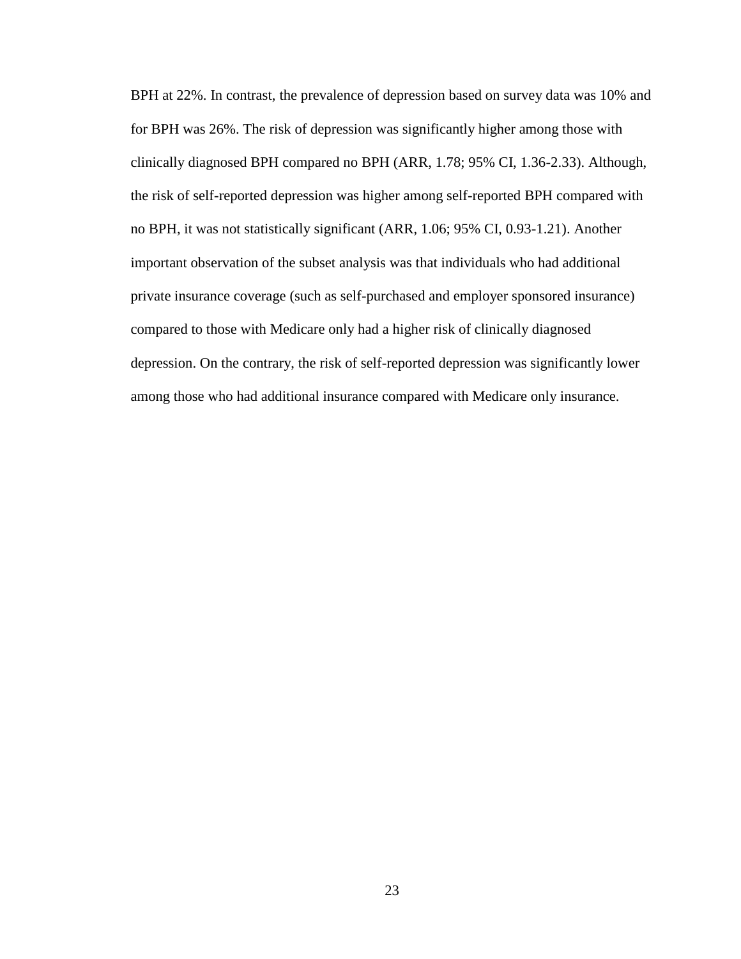BPH at 22%. In contrast, the prevalence of depression based on survey data was 10% and for BPH was 26%. The risk of depression was significantly higher among those with clinically diagnosed BPH compared no BPH (ARR, 1.78; 95% CI, 1.36-2.33). Although, the risk of self-reported depression was higher among self-reported BPH compared with no BPH, it was not statistically significant (ARR, 1.06; 95% CI, 0.93-1.21). Another important observation of the subset analysis was that individuals who had additional private insurance coverage (such as self-purchased and employer sponsored insurance) compared to those with Medicare only had a higher risk of clinically diagnosed depression. On the contrary, the risk of self-reported depression was significantly lower among those who had additional insurance compared with Medicare only insurance.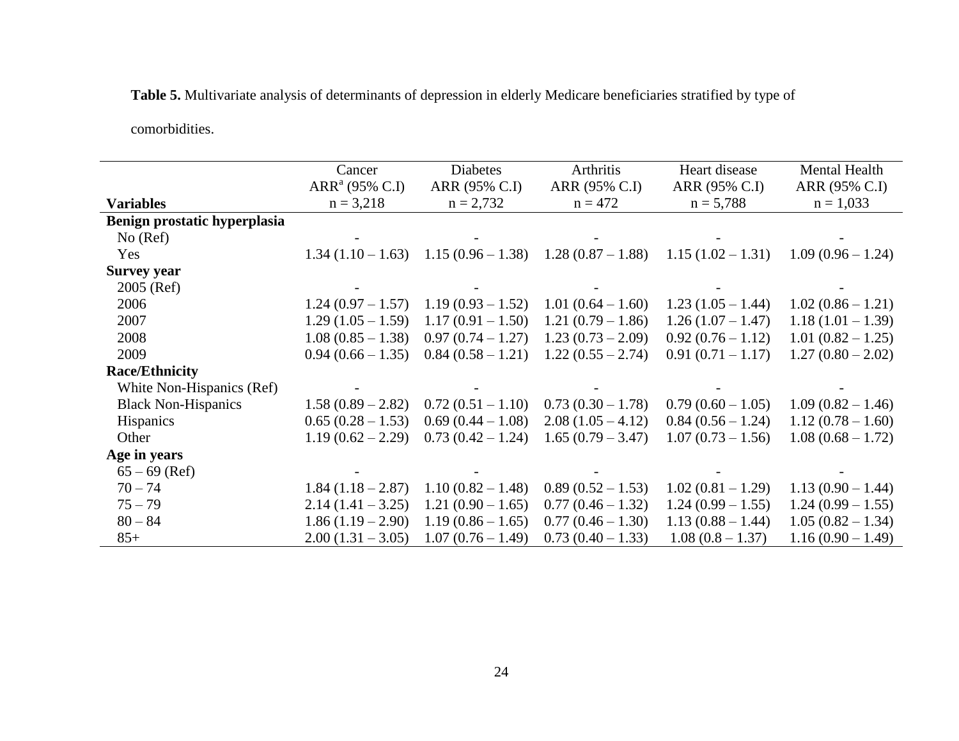**Table 5.** Multivariate analysis of determinants of depression in elderly Medicare beneficiaries stratified by type of

comorbidities.

|                              | Cancer                     | <b>Diabetes</b>     | Arthritis                               | Heart disease       | Mental Health       |
|------------------------------|----------------------------|---------------------|-----------------------------------------|---------------------|---------------------|
|                              | ARR <sup>a</sup> (95% C.I) | ARR (95% C.I)       | ARR (95% C.I)                           | ARR (95% C.I)       | ARR (95% C.I)       |
| <b>Variables</b>             | $n = 3,218$                | $n = 2,732$         | $n = 472$                               | $n = 5,788$         | $n = 1,033$         |
| Benign prostatic hyperplasia |                            |                     |                                         |                     |                     |
| No (Ref)                     |                            |                     |                                         |                     |                     |
| Yes                          | $1.34(1.10-1.63)$          |                     | $1.15(0.96 - 1.38)$ $1.28(0.87 - 1.88)$ | $1.15(1.02 - 1.31)$ | $1.09(0.96-1.24)$   |
| <b>Survey year</b>           |                            |                     |                                         |                     |                     |
| 2005 (Ref)                   |                            |                     |                                         |                     |                     |
| 2006                         | $1.24(0.97-1.57)$          | $1.19(0.93-1.52)$   | $1.01(0.64 - 1.60)$                     | $1.23(1.05-1.44)$   | $1.02(0.86 - 1.21)$ |
| 2007                         | $1.29(1.05 - 1.59)$        | $1.17(0.91 - 1.50)$ | $1.21(0.79-1.86)$                       | $1.26(1.07-1.47)$   | $1.18(1.01 - 1.39)$ |
| 2008                         | $1.08(0.85 - 1.38)$        | $0.97(0.74-1.27)$   | $1.23(0.73-2.09)$                       | $0.92(0.76 - 1.12)$ | $1.01(0.82 - 1.25)$ |
| 2009                         | $0.94(0.66 - 1.35)$        | $0.84(0.58 - 1.21)$ | $1.22(0.55 - 2.74)$                     | $0.91(0.71 - 1.17)$ | $1.27(0.80 - 2.02)$ |
| <b>Race/Ethnicity</b>        |                            |                     |                                         |                     |                     |
| White Non-Hispanics (Ref)    |                            |                     |                                         |                     |                     |
| <b>Black Non-Hispanics</b>   | $1.58(0.89 - 2.82)$        | $0.72(0.51 - 1.10)$ | $0.73(0.30-1.78)$                       | $0.79(0.60 - 1.05)$ | $1.09(0.82 - 1.46)$ |
| <b>Hispanics</b>             | $0.65(0.28-1.53)$          | $0.69(0.44 - 1.08)$ | $2.08(1.05-4.12)$                       | $0.84(0.56 - 1.24)$ | $1.12(0.78-1.60)$   |
| Other                        | $1.19(0.62 - 2.29)$        | $0.73(0.42 - 1.24)$ | $1.65(0.79 - 3.47)$                     | $1.07(0.73 - 1.56)$ | $1.08(0.68 - 1.72)$ |
| Age in years                 |                            |                     |                                         |                     |                     |
| $65 - 69$ (Ref)              |                            |                     |                                         |                     |                     |
| $70 - 74$                    | $1.84(1.18-2.87)$          | $1.10(0.82 - 1.48)$ | $0.89(0.52 - 1.53)$                     | $1.02(0.81 - 1.29)$ | $1.13(0.90 - 1.44)$ |
| $75 - 79$                    | $2.14(1.41 - 3.25)$        | $1.21(0.90 - 1.65)$ | $0.77(0.46 - 1.32)$                     | $1.24(0.99 - 1.55)$ | $1.24(0.99 - 1.55)$ |
| $80 - 84$                    | $1.86(1.19-2.90)$          | $1.19(0.86 - 1.65)$ | $0.77(0.46 - 1.30)$                     | $1.13(0.88 - 1.44)$ | $1.05(0.82 - 1.34)$ |
| $85+$                        | $2.00(1.31 - 3.05)$        | $1.07(0.76 - 1.49)$ | $0.73(0.40 - 1.33)$                     | $1.08(0.8-1.37)$    | $1.16(0.90 - 1.49)$ |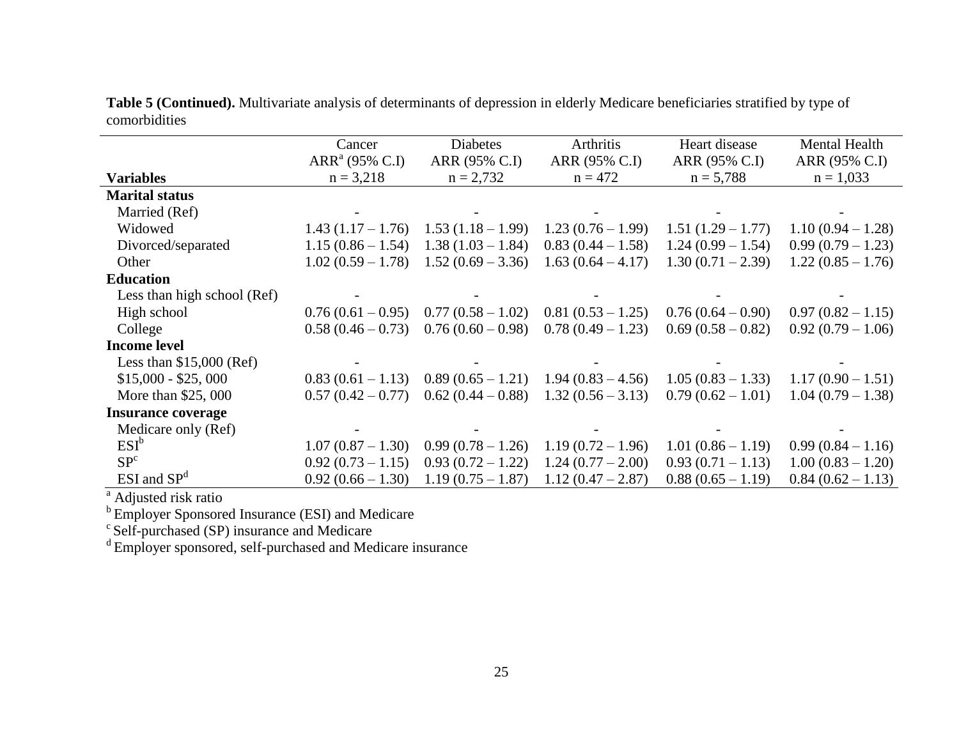**Table 5 (Continued).** Multivariate analysis of determinants of depression in elderly Medicare beneficiaries stratified by type of comorbidities

|                             | Cancer                                    | <b>Diabetes</b>              | Arthritis                  | Heart disease                | <b>Mental Health</b>         |
|-----------------------------|-------------------------------------------|------------------------------|----------------------------|------------------------------|------------------------------|
| <b>Variables</b>            | ARR <sup>a</sup> (95% C.I)<br>$n = 3,218$ | ARR (95% C.I)<br>$n = 2,732$ | ARR (95% C.I)<br>$n = 472$ | ARR (95% C.I)<br>$n = 5,788$ | ARR (95% C.I)<br>$n = 1,033$ |
|                             |                                           |                              |                            |                              |                              |
| <b>Marital status</b>       |                                           |                              |                            |                              |                              |
| Married (Ref)               |                                           |                              |                            |                              |                              |
| Widowed                     | $1.43(1.17-1.76)$                         | $1.53(1.18-1.99)$            | $1.23(0.76-1.99)$          | $1.51(1.29 - 1.77)$          | $1.10(0.94 - 1.28)$          |
| Divorced/separated          | $1.15(0.86 - 1.54)$                       | $1.38(1.03 - 1.84)$          | $0.83(0.44 - 1.58)$        | $1.24(0.99 - 1.54)$          | $0.99(0.79-1.23)$            |
| Other                       | $1.02(0.59-1.78)$                         | $1.52(0.69 - 3.36)$          | $1.63(0.64 - 4.17)$        | $1.30(0.71 - 2.39)$          | $1.22(0.85 - 1.76)$          |
| <b>Education</b>            |                                           |                              |                            |                              |                              |
| Less than high school (Ref) |                                           |                              |                            |                              |                              |
| High school                 | $0.76(0.61-0.95)$                         | $0.77(0.58-1.02)$            | $0.81(0.53-1.25)$          | $0.76(0.64-0.90)$            | $0.97(0.82 - 1.15)$          |
| College                     | $0.58(0.46-0.73)$                         | $0.76(0.60 - 0.98)$          | $0.78(0.49-1.23)$          | $0.69(0.58-0.82)$            | $0.92(0.79-1.06)$            |
| <b>Income level</b>         |                                           |                              |                            |                              |                              |
| Less than $$15,000$ (Ref)   |                                           |                              |                            |                              |                              |
| $$15,000 - $25,000$         | $0.83(0.61-1.13)$                         | $0.89(0.65-1.21)$            | $1.94(0.83 - 4.56)$        | $1.05(0.83 - 1.33)$          | $1.17(0.90 - 1.51)$          |
| More than \$25,000          | $0.57(0.42-0.77)$                         | $0.62(0.44-0.88)$            | $1.32(0.56 - 3.13)$        | $0.79(0.62 - 1.01)$          | $1.04(0.79-1.38)$            |
| <b>Insurance coverage</b>   |                                           |                              |                            |                              |                              |
| Medicare only (Ref)         |                                           |                              |                            |                              |                              |
| $ESI^b$                     | $1.07(0.87-1.30)$                         | $0.99(0.78-1.26)$            | $1.19(0.72 - 1.96)$        | $1.01(0.86 - 1.19)$          | $0.99(0.84 - 1.16)$          |
| SP <sup>c</sup>             | $0.92(0.73-1.15)$                         | $0.93(0.72-1.22)$            | $1.24(0.77-2.00)$          | $0.93(0.71-1.13)$            | $1.00(0.83 - 1.20)$          |
| $ESI$ and $SPd$             | $0.92(0.66 - 1.30)$                       | $1.19(0.75-1.87)$            | $1.12(0.47 - 2.87)$        | $0.88(0.65-1.19)$            | $0.84(0.62 - 1.13)$          |

<sup>a</sup> Adjusted risk ratio

<sup>b</sup> Employer Sponsored Insurance (ESI) and Medicare

 $c$  Self-purchased (SP) insurance and Medicare

<sup>d</sup>Employer sponsored, self-purchased and Medicare insurance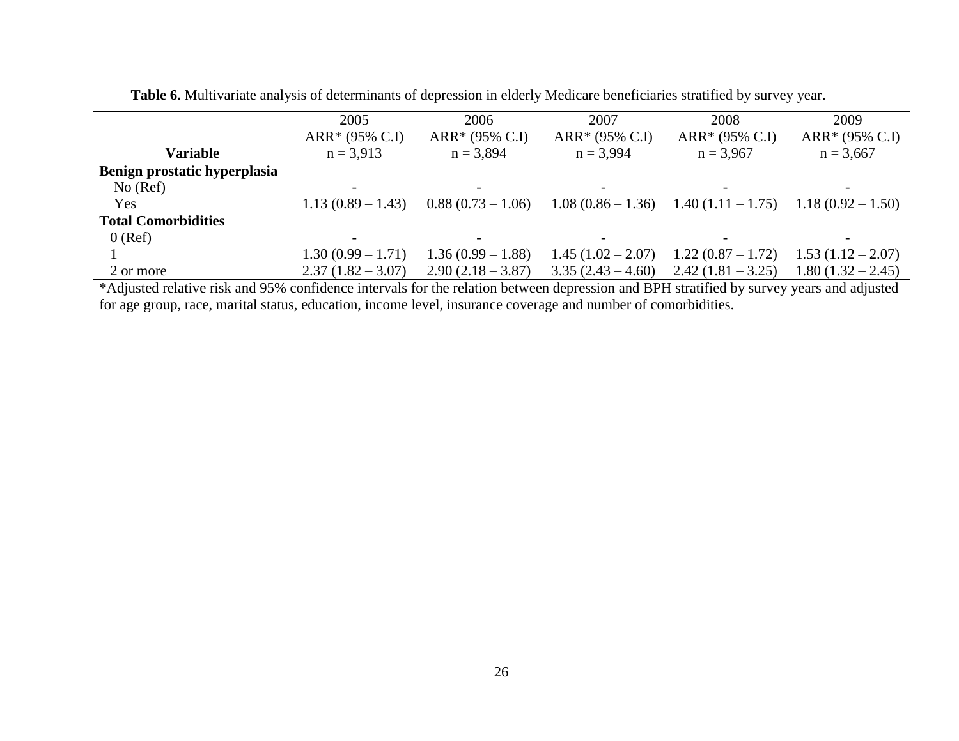|                              | 2005                | 2006                | 2007                | 2008                | 2009                |
|------------------------------|---------------------|---------------------|---------------------|---------------------|---------------------|
|                              | $ARR* (95\% C.I)$   | ARR* (95% C.I)      | ARR* (95% C.I)      | $ARR* (95\% C.I)$   | $ARR* (95\% C.I)$   |
| Variable                     | $n = 3.913$         | $n = 3,894$         | $n = 3,994$         | $n = 3,967$         | $n = 3,667$         |
| Benign prostatic hyperplasia |                     |                     |                     |                     |                     |
| No (Ref)                     |                     |                     |                     |                     |                     |
| Yes                          | $1.13(0.89 - 1.43)$ | $0.88(0.73-1.06)$   | $1.08(0.86-1.36)$   | $1.40(1.11 - 1.75)$ | $1.18(0.92 - 1.50)$ |
| <b>Total Comorbidities</b>   |                     |                     |                     |                     |                     |
| $0$ (Ref)                    |                     |                     |                     |                     |                     |
|                              | $1.30(0.99 - 1.71)$ | $1.36(0.99 - 1.88)$ | $1.45(1.02-2.07)$   | $1.22(0.87-1.72)$   | $1.53(1.12-2.07)$   |
| 2 or more                    | $2.37(1.82 - 3.07)$ | $2.90(2.18 - 3.87)$ | $3.35(2.43 - 4.60)$ | $2.42(1.81 - 3.25)$ | $1.80(1.32 - 2.45)$ |

**Table 6.** Multivariate analysis of determinants of depression in elderly Medicare beneficiaries stratified by survey year.

\*Adjusted relative risk and 95% confidence intervals for the relation between depression and BPH stratified by survey years and adjusted for age group, race, marital status, education, income level, insurance coverage and number of comorbidities.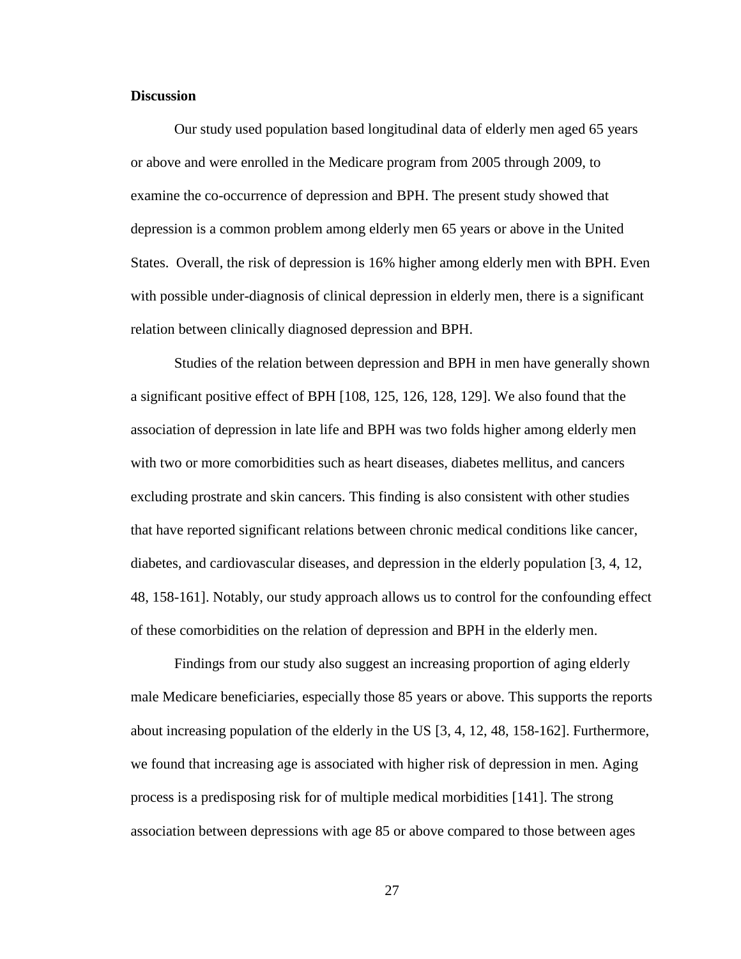#### **Discussion**

Our study used population based longitudinal data of elderly men aged 65 years or above and were enrolled in the Medicare program from 2005 through 2009, to examine the co-occurrence of depression and BPH. The present study showed that depression is a common problem among elderly men 65 years or above in the United States. Overall, the risk of depression is 16% higher among elderly men with BPH. Even with possible under-diagnosis of clinical depression in elderly men, there is a significant relation between clinically diagnosed depression and BPH.

Studies of the relation between depression and BPH in men have generally shown a significant positive effect of BPH [108, 125, 126, 128, 129]. We also found that the association of depression in late life and BPH was two folds higher among elderly men with two or more comorbidities such as heart diseases, diabetes mellitus, and cancers excluding prostrate and skin cancers. This finding is also consistent with other studies that have reported significant relations between chronic medical conditions like cancer, diabetes, and cardiovascular diseases, and depression in the elderly population [3, 4, 12, 48, 158-161]. Notably, our study approach allows us to control for the confounding effect of these comorbidities on the relation of depression and BPH in the elderly men.

Findings from our study also suggest an increasing proportion of aging elderly male Medicare beneficiaries, especially those 85 years or above. This supports the reports about increasing population of the elderly in the US [3, 4, 12, 48, 158-162]. Furthermore, we found that increasing age is associated with higher risk of depression in men. Aging process is a predisposing risk for of multiple medical morbidities [141]. The strong association between depressions with age 85 or above compared to those between ages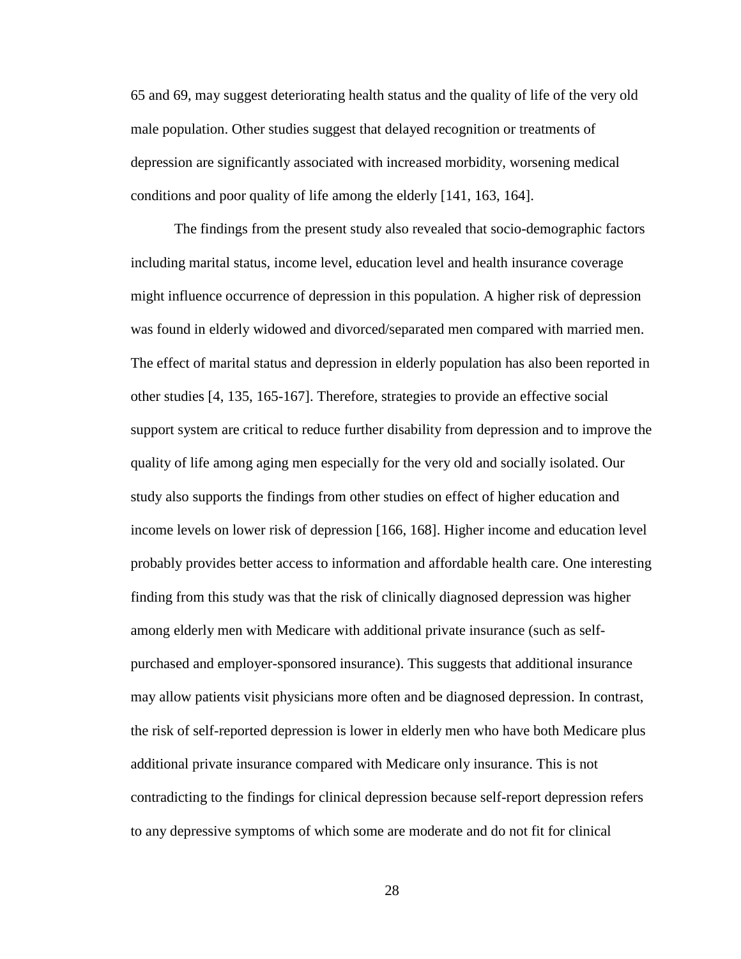65 and 69, may suggest deteriorating health status and the quality of life of the very old male population. Other studies suggest that delayed recognition or treatments of depression are significantly associated with increased morbidity, worsening medical conditions and poor quality of life among the elderly [141, 163, 164].

The findings from the present study also revealed that socio-demographic factors including marital status, income level, education level and health insurance coverage might influence occurrence of depression in this population. A higher risk of depression was found in elderly widowed and divorced/separated men compared with married men. The effect of marital status and depression in elderly population has also been reported in other studies [4, 135, 165-167]. Therefore, strategies to provide an effective social support system are critical to reduce further disability from depression and to improve the quality of life among aging men especially for the very old and socially isolated. Our study also supports the findings from other studies on effect of higher education and income levels on lower risk of depression [166, 168]. Higher income and education level probably provides better access to information and affordable health care. One interesting finding from this study was that the risk of clinically diagnosed depression was higher among elderly men with Medicare with additional private insurance (such as selfpurchased and employer-sponsored insurance). This suggests that additional insurance may allow patients visit physicians more often and be diagnosed depression. In contrast, the risk of self-reported depression is lower in elderly men who have both Medicare plus additional private insurance compared with Medicare only insurance. This is not contradicting to the findings for clinical depression because self-report depression refers to any depressive symptoms of which some are moderate and do not fit for clinical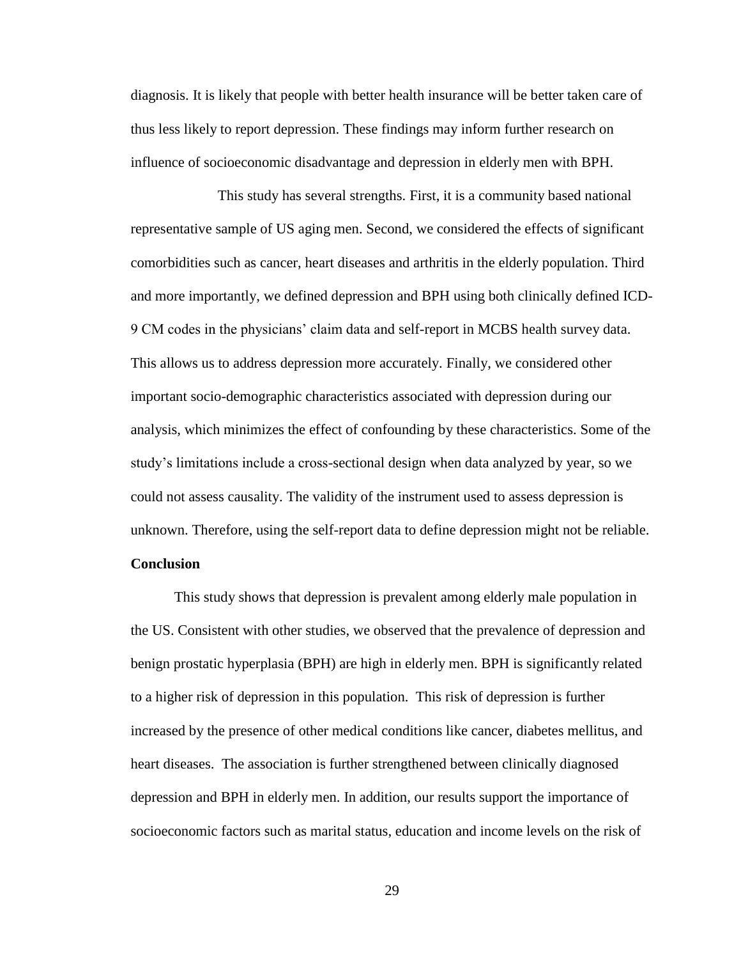diagnosis. It is likely that people with better health insurance will be better taken care of thus less likely to report depression. These findings may inform further research on influence of socioeconomic disadvantage and depression in elderly men with BPH.

This study has several strengths. First, it is a community based national representative sample of US aging men. Second, we considered the effects of significant comorbidities such as cancer, heart diseases and arthritis in the elderly population. Third and more importantly, we defined depression and BPH using both clinically defined ICD-9 CM codes in the physicians' claim data and self-report in MCBS health survey data. This allows us to address depression more accurately. Finally, we considered other important socio-demographic characteristics associated with depression during our analysis, which minimizes the effect of confounding by these characteristics. Some of the study's limitations include a cross-sectional design when data analyzed by year, so we could not assess causality. The validity of the instrument used to assess depression is unknown. Therefore, using the self-report data to define depression might not be reliable. **Conclusion** 

This study shows that depression is prevalent among elderly male population in the US. Consistent with other studies, we observed that the prevalence of depression and benign prostatic hyperplasia (BPH) are high in elderly men. BPH is significantly related to a higher risk of depression in this population. This risk of depression is further increased by the presence of other medical conditions like cancer, diabetes mellitus, and heart diseases. The association is further strengthened between clinically diagnosed depression and BPH in elderly men. In addition, our results support the importance of socioeconomic factors such as marital status, education and income levels on the risk of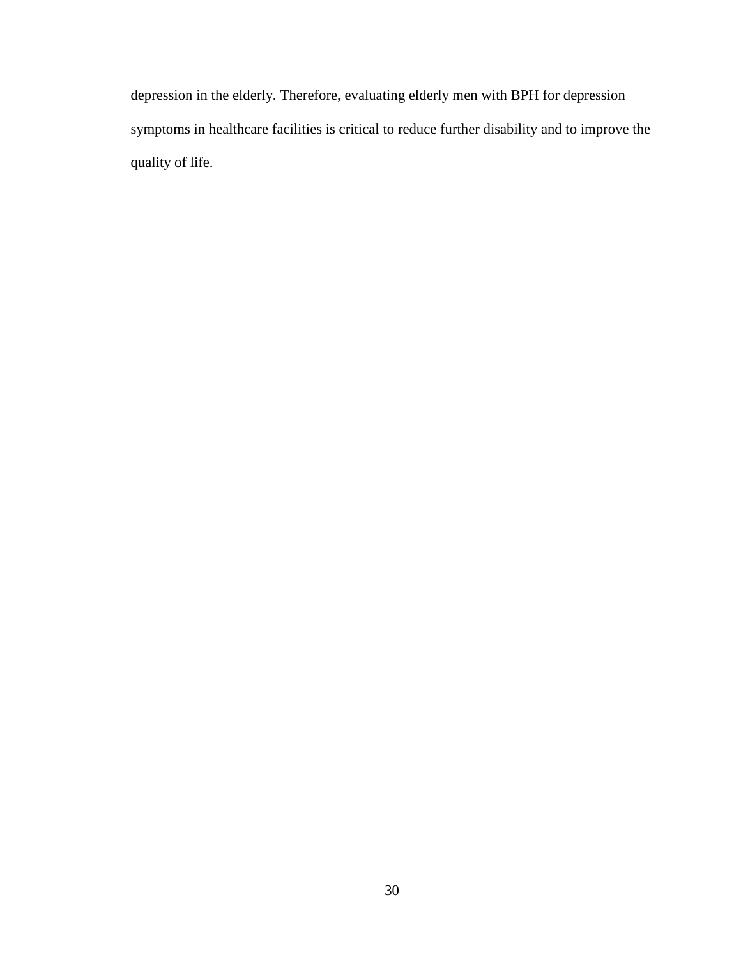depression in the elderly. Therefore, evaluating elderly men with BPH for depression symptoms in healthcare facilities is critical to reduce further disability and to improve the quality of life.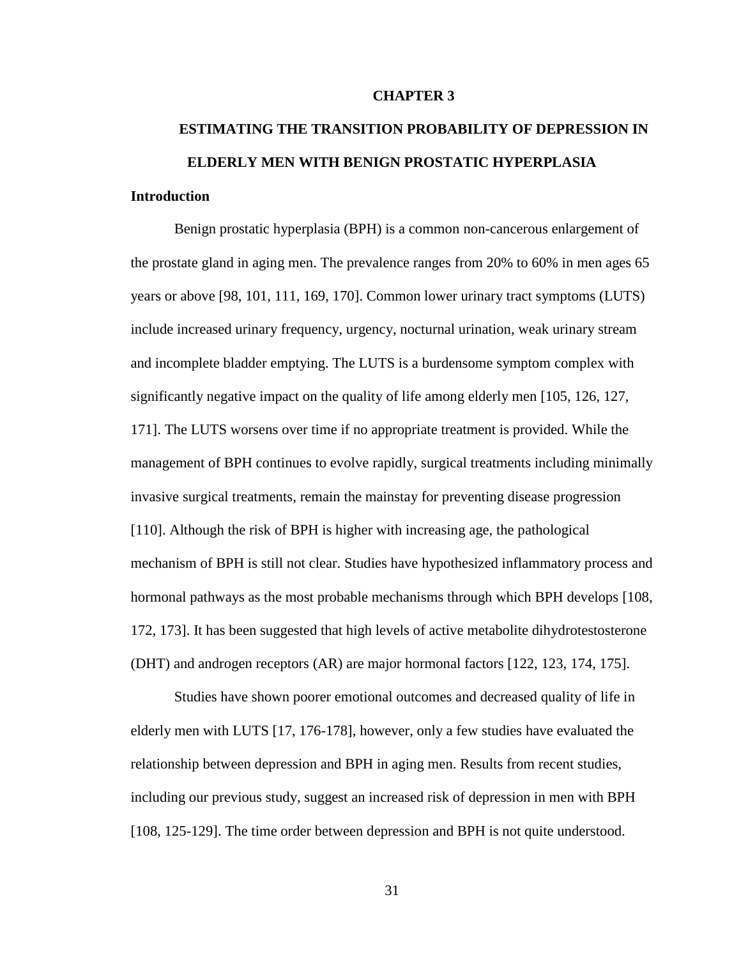### **CHAPTER 3**

# **ESTIMATING THE TRANSITION PROBABILITY OF DEPRESSION IN ELDERLY MEN WITH BENIGN PROSTATIC HYPERPLASIA Introduction**

Benign prostatic hyperplasia (BPH) is a common non-cancerous enlargement of the prostate gland in aging men. The prevalence ranges from 20% to 60% in men ages 65 years or above [98, 101, 111, 169, 170]. Common lower urinary tract symptoms (LUTS) include increased urinary frequency, urgency, nocturnal urination, weak urinary stream and incomplete bladder emptying. The LUTS is a burdensome symptom complex with significantly negative impact on the quality of life among elderly men [105, 126, 127, 171]. The LUTS worsens over time if no appropriate treatment is provided. While the management of BPH continues to evolve rapidly, surgical treatments including minimally invasive surgical treatments, remain the mainstay for preventing disease progression [110]. Although the risk of BPH is higher with increasing age, the pathological mechanism of BPH is still not clear. Studies have hypothesized inflammatory process and hormonal pathways as the most probable mechanisms through which BPH develops [108, 172, 173]. It has been suggested that high levels of active metabolite dihydrotestosterone (DHT) and androgen receptors (AR) are major hormonal factors [122, 123, 174, 175].

Studies have shown poorer emotional outcomes and decreased quality of life in elderly men with LUTS [17, 176-178], however, only a few studies have evaluated the relationship between depression and BPH in aging men. Results from recent studies, including our previous study, suggest an increased risk of depression in men with BPH [108, 125-129]. The time order between depression and BPH is not quite understood.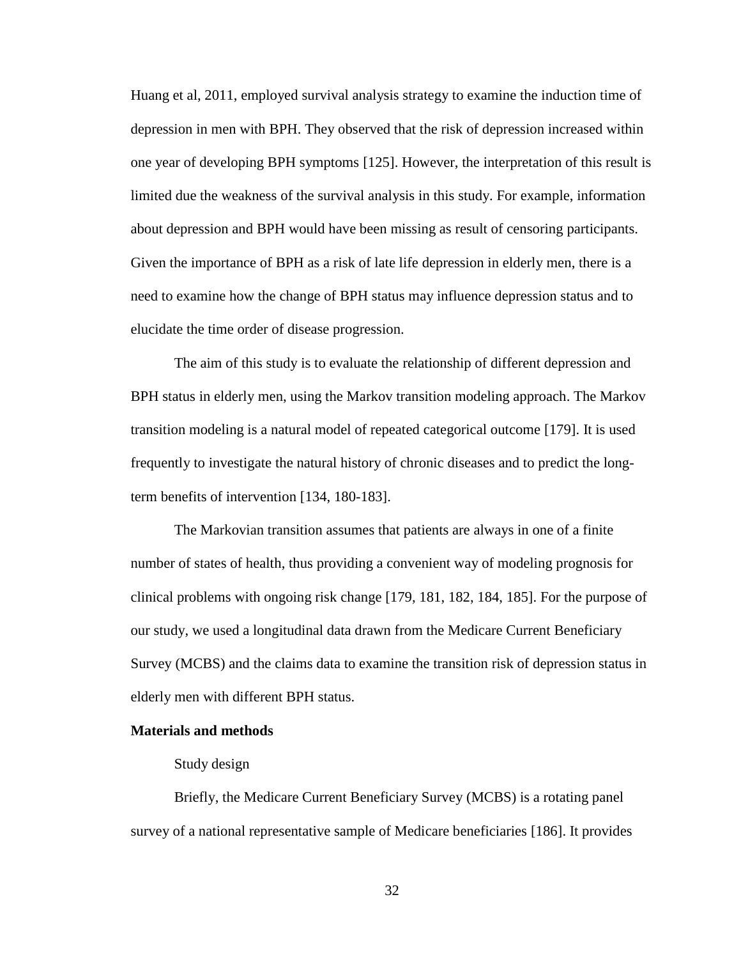Huang et al, 2011, employed survival analysis strategy to examine the induction time of depression in men with BPH. They observed that the risk of depression increased within one year of developing BPH symptoms [125]. However, the interpretation of this result is limited due the weakness of the survival analysis in this study. For example, information about depression and BPH would have been missing as result of censoring participants. Given the importance of BPH as a risk of late life depression in elderly men, there is a need to examine how the change of BPH status may influence depression status and to elucidate the time order of disease progression.

The aim of this study is to evaluate the relationship of different depression and BPH status in elderly men, using the Markov transition modeling approach. The Markov transition modeling is a natural model of repeated categorical outcome [179]. It is used frequently to investigate the natural history of chronic diseases and to predict the longterm benefits of intervention [134, 180-183].

The Markovian transition assumes that patients are always in one of a finite number of states of health, thus providing a convenient way of modeling prognosis for clinical problems with ongoing risk change [179, 181, 182, 184, 185]. For the purpose of our study, we used a longitudinal data drawn from the Medicare Current Beneficiary Survey (MCBS) and the claims data to examine the transition risk of depression status in elderly men with different BPH status.

## **Materials and methods**

### Study design

Briefly, the Medicare Current Beneficiary Survey (MCBS) is a rotating panel survey of a national representative sample of Medicare beneficiaries [186]. It provides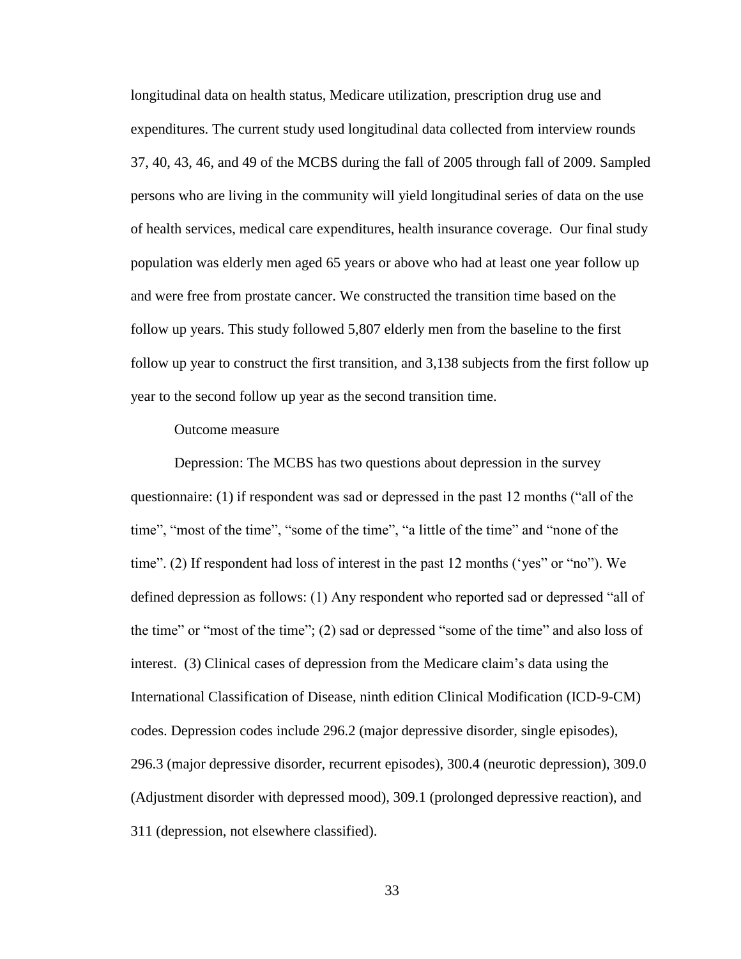longitudinal data on health status, Medicare utilization, prescription drug use and expenditures. The current study used longitudinal data collected from interview rounds 37, 40, 43, 46, and 49 of the MCBS during the fall of 2005 through fall of 2009. Sampled persons who are living in the community will yield longitudinal series of data on the use of health services, medical care expenditures, health insurance coverage. Our final study population was elderly men aged 65 years or above who had at least one year follow up and were free from prostate cancer. We constructed the transition time based on the follow up years. This study followed 5,807 elderly men from the baseline to the first follow up year to construct the first transition, and 3,138 subjects from the first follow up year to the second follow up year as the second transition time.

### Outcome measure

Depression: The MCBS has two questions about depression in the survey questionnaire: (1) if respondent was sad or depressed in the past 12 months ("all of the time", "most of the time", "some of the time", "a little of the time" and "none of the time". (2) If respondent had loss of interest in the past 12 months ('yes" or "no"). We defined depression as follows: (1) Any respondent who reported sad or depressed "all of the time" or "most of the time"; (2) sad or depressed "some of the time" and also loss of interest. (3) Clinical cases of depression from the Medicare claim's data using the International Classification of Disease, ninth edition Clinical Modification (ICD-9-CM) codes. Depression codes include 296.2 (major depressive disorder, single episodes), 296.3 (major depressive disorder, recurrent episodes), 300.4 (neurotic depression), 309.0 (Adjustment disorder with depressed mood), 309.1 (prolonged depressive reaction), and 311 (depression, not elsewhere classified).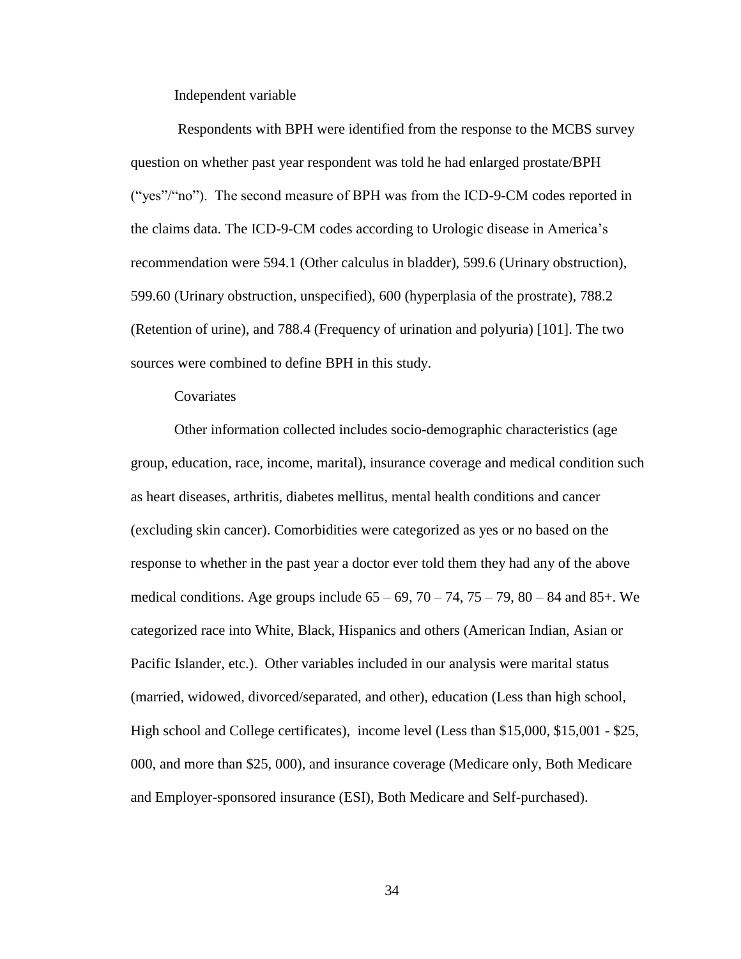Independent variable

Respondents with BPH were identified from the response to the MCBS survey question on whether past year respondent was told he had enlarged prostate/BPH ("yes"/"no"). The second measure of BPH was from the ICD-9-CM codes reported in the claims data. The ICD-9-CM codes according to Urologic disease in America's recommendation were 594.1 (Other calculus in bladder), 599.6 (Urinary obstruction), 599.60 (Urinary obstruction, unspecified), 600 (hyperplasia of the prostrate), 788.2 (Retention of urine), and 788.4 (Frequency of urination and polyuria) [101]. The two sources were combined to define BPH in this study.

**Covariates** 

Other information collected includes socio-demographic characteristics (age group, education, race, income, marital), insurance coverage and medical condition such as heart diseases, arthritis, diabetes mellitus, mental health conditions and cancer (excluding skin cancer). Comorbidities were categorized as yes or no based on the response to whether in the past year a doctor ever told them they had any of the above medical conditions. Age groups include  $65 - 69$ ,  $70 - 74$ ,  $75 - 79$ ,  $80 - 84$  and  $85 +$ . We categorized race into White, Black, Hispanics and others (American Indian, Asian or Pacific Islander, etc.). Other variables included in our analysis were marital status (married, widowed, divorced/separated, and other), education (Less than high school, High school and College certificates), income level (Less than \$15,000, \$15,001 - \$25, 000, and more than \$25, 000), and insurance coverage (Medicare only, Both Medicare and Employer-sponsored insurance (ESI), Both Medicare and Self-purchased).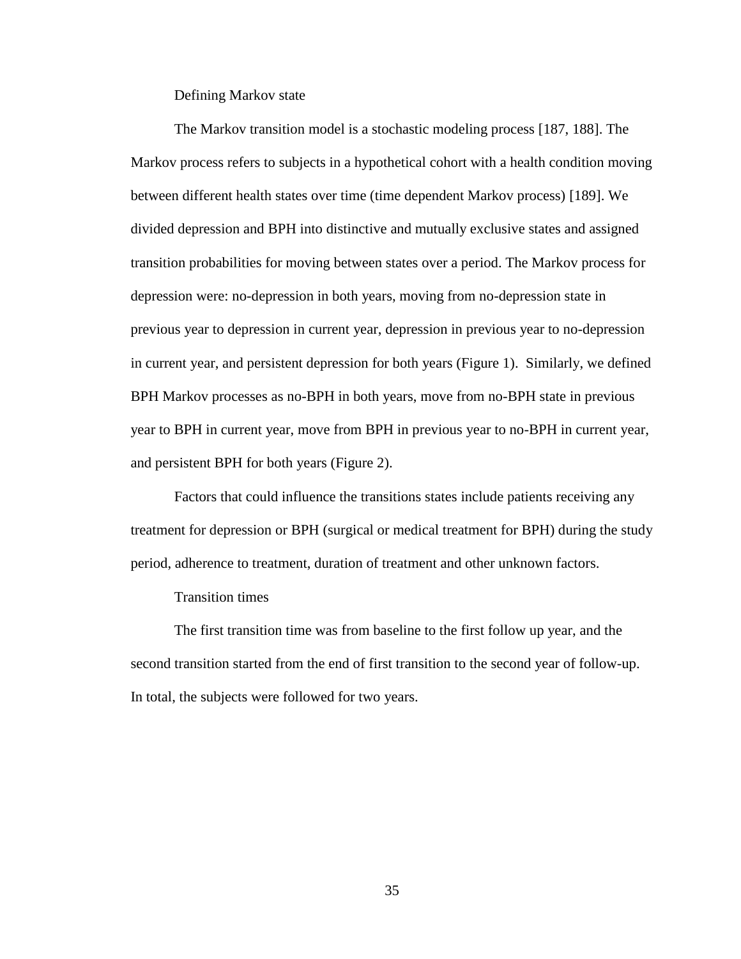Defining Markov state

The Markov transition model is a stochastic modeling process [187, 188]. The Markov process refers to subjects in a hypothetical cohort with a health condition moving between different health states over time (time dependent Markov process) [189]. We divided depression and BPH into distinctive and mutually exclusive states and assigned transition probabilities for moving between states over a period. The Markov process for depression were: no-depression in both years, moving from no-depression state in previous year to depression in current year, depression in previous year to no-depression in current year, and persistent depression for both years (Figure 1). Similarly, we defined BPH Markov processes as no-BPH in both years, move from no-BPH state in previous year to BPH in current year, move from BPH in previous year to no-BPH in current year, and persistent BPH for both years (Figure 2).

Factors that could influence the transitions states include patients receiving any treatment for depression or BPH (surgical or medical treatment for BPH) during the study period, adherence to treatment, duration of treatment and other unknown factors.

Transition times

The first transition time was from baseline to the first follow up year, and the second transition started from the end of first transition to the second year of follow-up. In total, the subjects were followed for two years.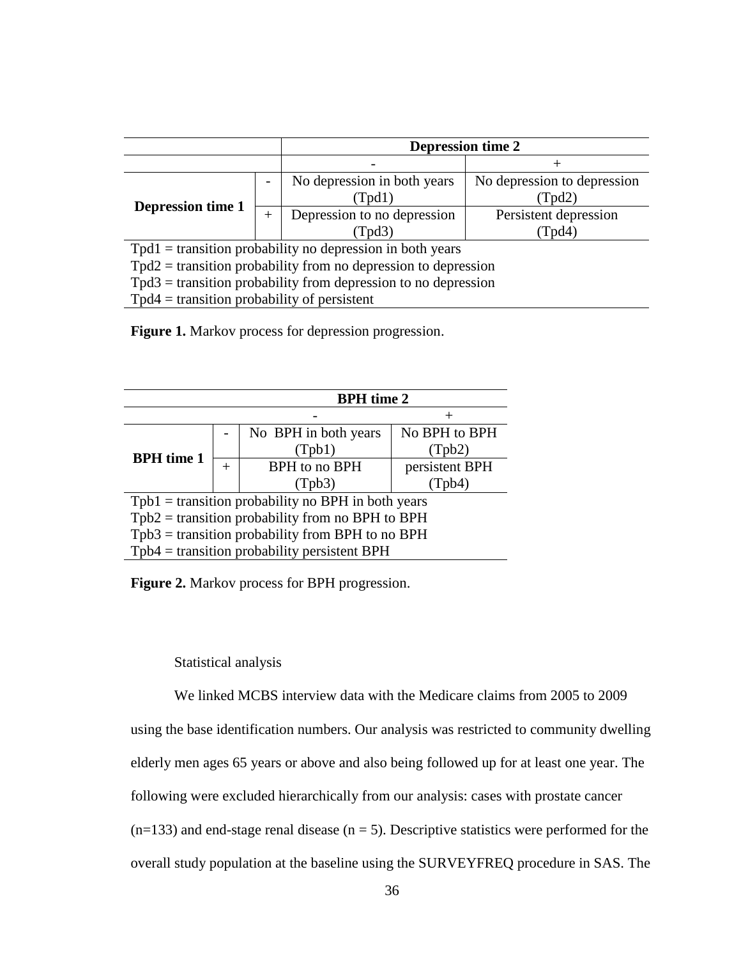|                                                                  |  | <b>Depression time 2</b>              |                                       |  |
|------------------------------------------------------------------|--|---------------------------------------|---------------------------------------|--|
|                                                                  |  |                                       |                                       |  |
|                                                                  |  | No depression in both years<br>(Tpd1) | No depression to depression<br>(Tpd2) |  |
| <b>Depression time 1</b><br>$^{+}$                               |  | Depression to no depression<br>Tpd3)  | Persistent depression<br>(Tpd4)       |  |
| $Tpd1 =$ transition probability no depression in both years      |  |                                       |                                       |  |
| $Tpd2$ = transition probability from no depression to depression |  |                                       |                                       |  |
| $Tpd3$ = transition probability from depression to no depression |  |                                       |                                       |  |
| $Tpd4 =$ transition probability of persistent                    |  |                                       |                                       |  |

Figure 1. Markov process for depression progression.

|                                                      | <b>BPH</b> time 2 |                      |                |  |
|------------------------------------------------------|-------------------|----------------------|----------------|--|
|                                                      |                   |                      |                |  |
|                                                      |                   | No BPH in both years | No BPH to BPH  |  |
| <b>BPH</b> time 1                                    |                   | (Tpb1)               | (Tpb2)         |  |
|                                                      | ┿                 | BPH to no BPH        | persistent BPH |  |
|                                                      |                   | (Tpb3)               | (Tpb4)         |  |
| $Tpb1 =$ transition probability no BPH in both years |                   |                      |                |  |
| $Tpb2$ = transition probability from no BPH to BPH   |                   |                      |                |  |
| $Tpb3$ = transition probability from BPH to no BPH   |                   |                      |                |  |
| $Tpb4$ = transition probability persistent BPH       |                   |                      |                |  |

**Figure 2.** Markov process for BPH progression.

Statistical analysis

We linked MCBS interview data with the Medicare claims from 2005 to 2009 using the base identification numbers. Our analysis was restricted to community dwelling elderly men ages 65 years or above and also being followed up for at least one year. The following were excluded hierarchically from our analysis: cases with prostate cancer  $(n=133)$  and end-stage renal disease  $(n = 5)$ . Descriptive statistics were performed for the overall study population at the baseline using the SURVEYFREQ procedure in SAS. The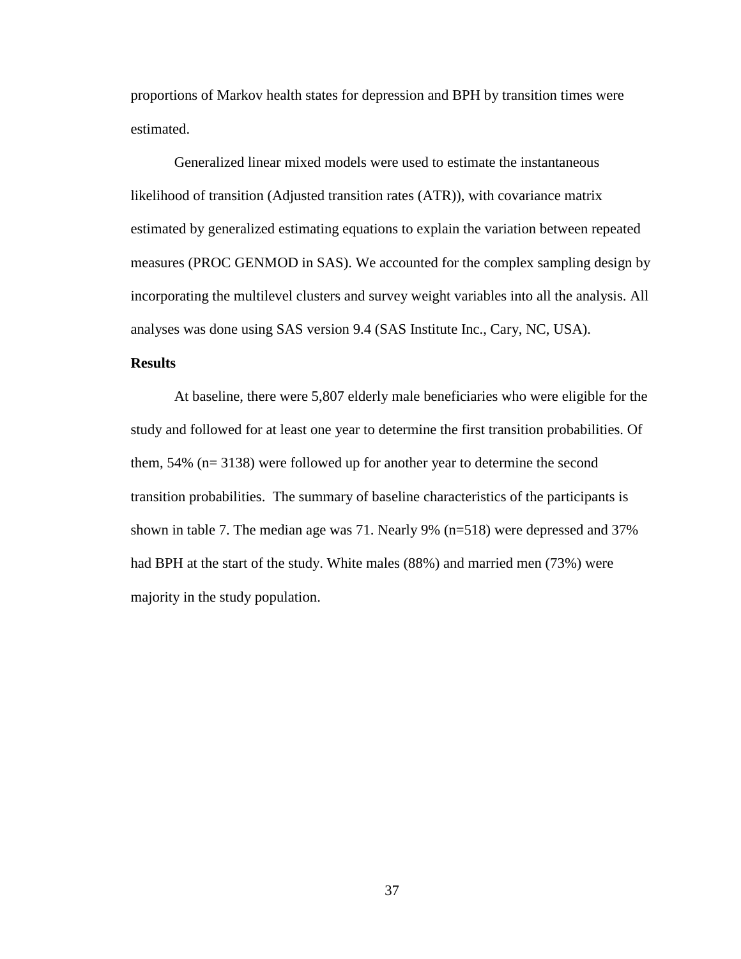proportions of Markov health states for depression and BPH by transition times were estimated.

Generalized linear mixed models were used to estimate the instantaneous likelihood of transition (Adjusted transition rates (ATR)), with covariance matrix estimated by generalized estimating equations to explain the variation between repeated measures (PROC GENMOD in SAS). We accounted for the complex sampling design by incorporating the multilevel clusters and survey weight variables into all the analysis. All analyses was done using SAS version 9.4 (SAS Institute Inc., Cary, NC, USA).

## **Results**

At baseline, there were 5,807 elderly male beneficiaries who were eligible for the study and followed for at least one year to determine the first transition probabilities. Of them, 54% (n= 3138) were followed up for another year to determine the second transition probabilities. The summary of baseline characteristics of the participants is shown in table 7. The median age was 71. Nearly 9% (n=518) were depressed and 37% had BPH at the start of the study. White males (88%) and married men (73%) were majority in the study population.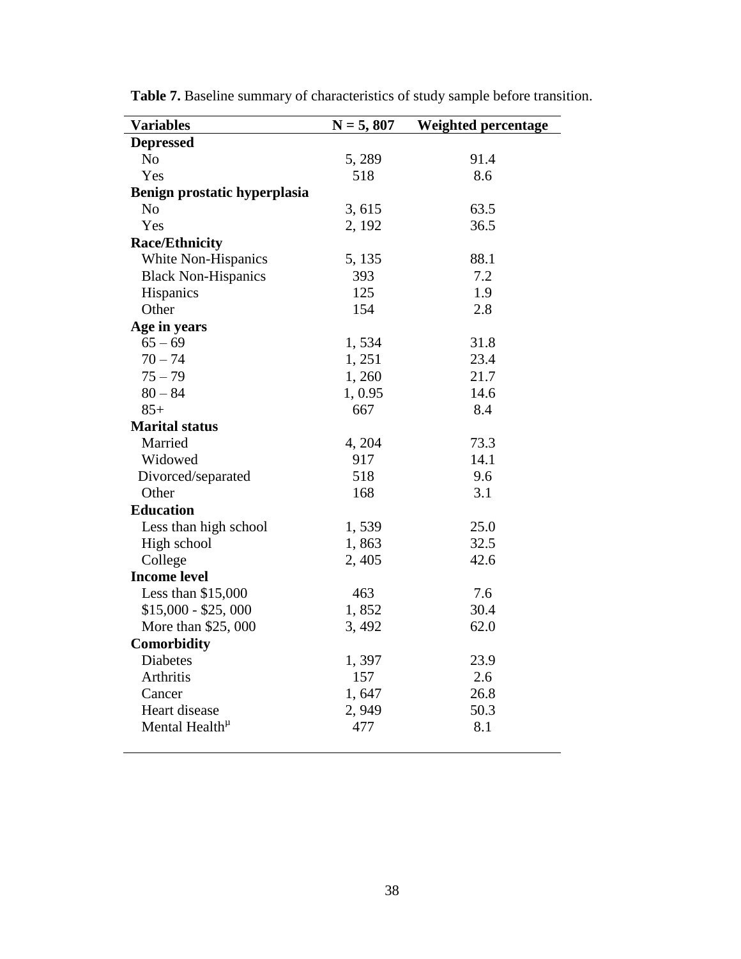| <b>Variables</b>             | $N = 5,807$ | Weighted percentage |
|------------------------------|-------------|---------------------|
| <b>Depressed</b>             |             |                     |
| N <sub>o</sub>               | 5,289       | 91.4                |
| Yes                          | 518         | 8.6                 |
| Benign prostatic hyperplasia |             |                     |
| N <sub>o</sub>               | 3,615       | 63.5                |
| Yes                          | 2, 192      | 36.5                |
| <b>Race/Ethnicity</b>        |             |                     |
| White Non-Hispanics          | 5, 135      | 88.1                |
| <b>Black Non-Hispanics</b>   | 393         | 7.2                 |
| Hispanics                    | 125         | 1.9                 |
| Other                        | 154         | 2.8                 |
| Age in years                 |             |                     |
| $65 - 69$                    | 1,534       | 31.8                |
| $70 - 74$                    | 1, 251      | 23.4                |
| $75 - 79$                    | 1,260       | 21.7                |
| $80 - 84$                    | 1,0.95      | 14.6                |
| $85+$                        | 667         | 8.4                 |
| <b>Marital status</b>        |             |                     |
| Married                      | 4, 204      | 73.3                |
| Widowed                      | 917         | 14.1                |
| Divorced/separated           | 518         | 9.6                 |
| Other                        | 168         | 3.1                 |
| <b>Education</b>             |             |                     |
| Less than high school        | 1,539       | 25.0                |
| High school                  | 1,863       | 32.5                |
| College                      | 2,405       | 42.6                |
| <b>Income level</b>          |             |                     |
| Less than $$15,000$          | 463         | 7.6                 |
| $$15,000 - $25,000$          | 1,852       | 30.4                |
| More than \$25,000           | 3,492       | 62.0                |
| Comorbidity                  |             |                     |
| Diabetes                     | 1,397       | 23.9                |
| Arthritis                    | 157         | 2.6                 |
| Cancer                       | 1,647       | 26.8                |
| Heart disease                | 2,949       | 50.3                |
| Mental Health <sup>µ</sup>   | 477         | 8.1                 |
|                              |             |                     |

**Table 7.** Baseline summary of characteristics of study sample before transition.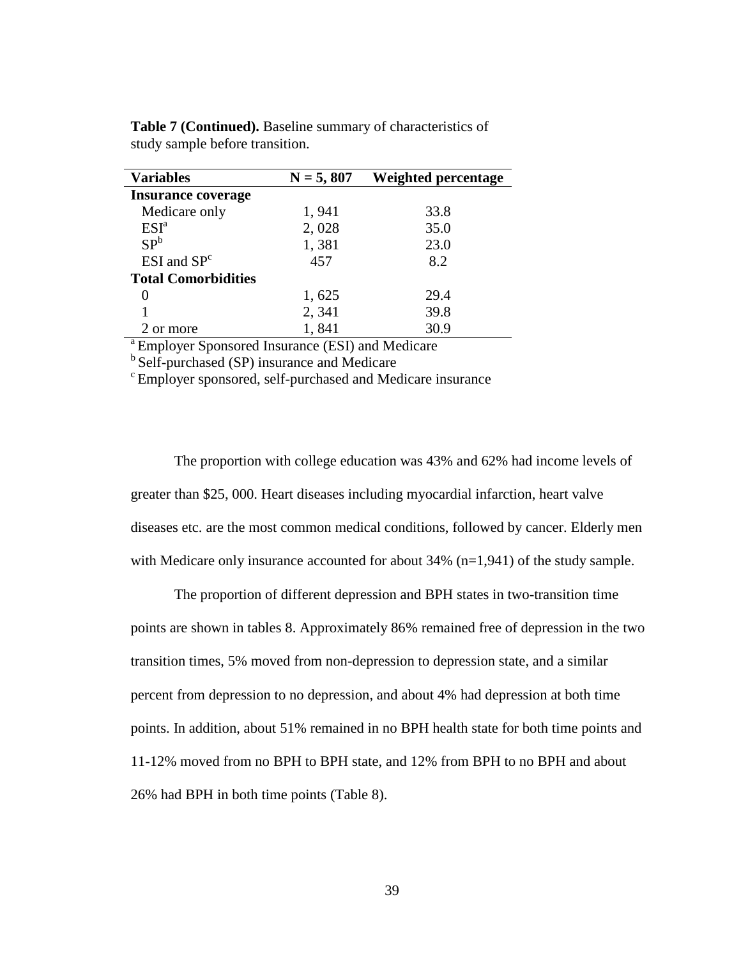| <b>Variables</b>           | $N = 5,807$ | Weighted percentage |
|----------------------------|-------------|---------------------|
| <b>Insurance coverage</b>  |             |                     |
| Medicare only              | 1,941       | 33.8                |
| ESI <sup>a</sup>           | 2,028       | 35.0                |
| SP <sup>b</sup>            | 1,381       | 23.0                |
| $ESI$ and $SPc$            | 457         | 8.2                 |
| <b>Total Comorbidities</b> |             |                     |
|                            | 1,625       | 29.4                |
|                            | 2,341       | 39.8                |
| 2 or more                  | 1,841       | 30.9                |

**Table 7 (Continued).** Baseline summary of characteristics of study sample before transition.

<sup>a</sup> Employer Sponsored Insurance (ESI) and Medicare

 $<sup>b</sup>$  Self-purchased (SP) insurance and Medicare</sup>

<sup>c</sup> Employer sponsored, self-purchased and Medicare insurance

The proportion with college education was 43% and 62% had income levels of greater than \$25, 000. Heart diseases including myocardial infarction, heart valve diseases etc. are the most common medical conditions, followed by cancer. Elderly men with Medicare only insurance accounted for about 34% (n=1,941) of the study sample.

The proportion of different depression and BPH states in two-transition time points are shown in tables 8. Approximately 86% remained free of depression in the two transition times, 5% moved from non-depression to depression state, and a similar percent from depression to no depression, and about 4% had depression at both time points. In addition, about 51% remained in no BPH health state for both time points and 11-12% moved from no BPH to BPH state, and 12% from BPH to no BPH and about 26% had BPH in both time points (Table 8).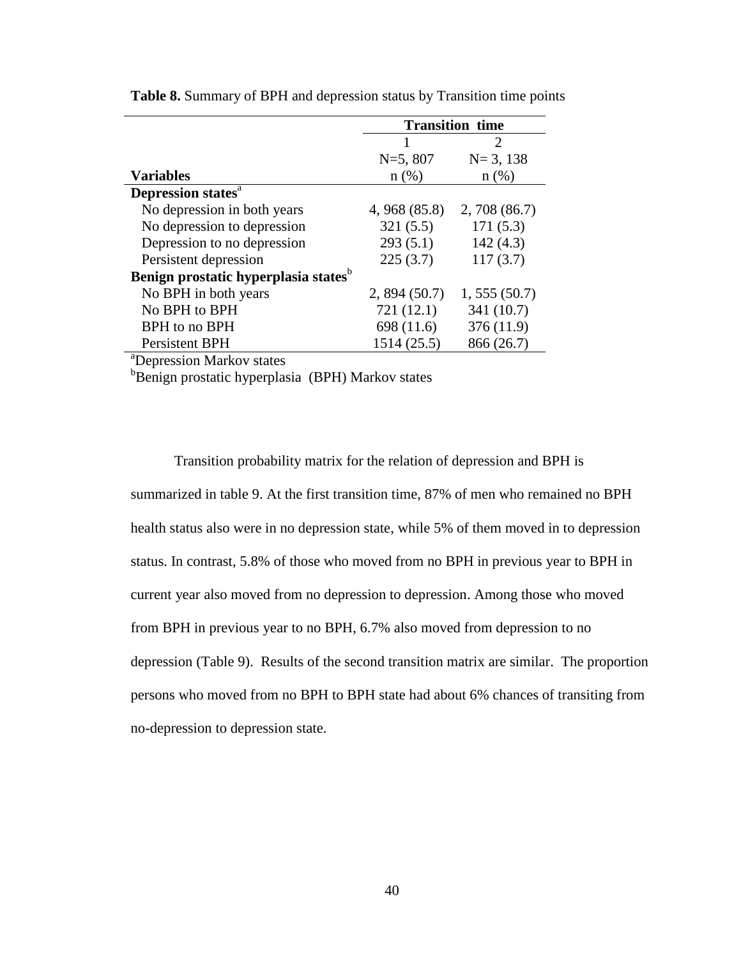|                                                  | <b>Transition time</b> |              |
|--------------------------------------------------|------------------------|--------------|
|                                                  |                        | 2            |
|                                                  | $N=5, 807$             | $N = 3, 138$ |
| <b>Variables</b>                                 | n(%)                   | $n(\%)$      |
| Depression states <sup>a</sup>                   |                        |              |
| No depression in both years                      | 4, 968 (85.8)          | 2,708(86.7)  |
| No depression to depression                      | 321(5.5)               | 171(5.3)     |
| Depression to no depression                      | 293(5.1)               | 142(4.3)     |
| Persistent depression                            | 225(3.7)               | 117(3.7)     |
| Benign prostatic hyperplasia states <sup>b</sup> |                        |              |
| No BPH in both years                             | 2,894(50.7)            | 1, 555(50.7) |
| No BPH to BPH                                    | 721 (12.1)             | 341 (10.7)   |
| BPH to no BPH                                    | 698 (11.6)             | 376 (11.9)   |
| Persistent BPH                                   | 1514 (25.5)            | 866 (26.7)   |

**Table 8.** Summary of BPH and depression status by Transition time points

<sup>a</sup>Depression Markov states

<sup>b</sup>Benign prostatic hyperplasia (BPH) Markov states

Transition probability matrix for the relation of depression and BPH is summarized in table 9. At the first transition time, 87% of men who remained no BPH health status also were in no depression state, while 5% of them moved in to depression status. In contrast, 5.8% of those who moved from no BPH in previous year to BPH in current year also moved from no depression to depression. Among those who moved from BPH in previous year to no BPH, 6.7% also moved from depression to no depression (Table 9). Results of the second transition matrix are similar. The proportion persons who moved from no BPH to BPH state had about 6% chances of transiting from no-depression to depression state.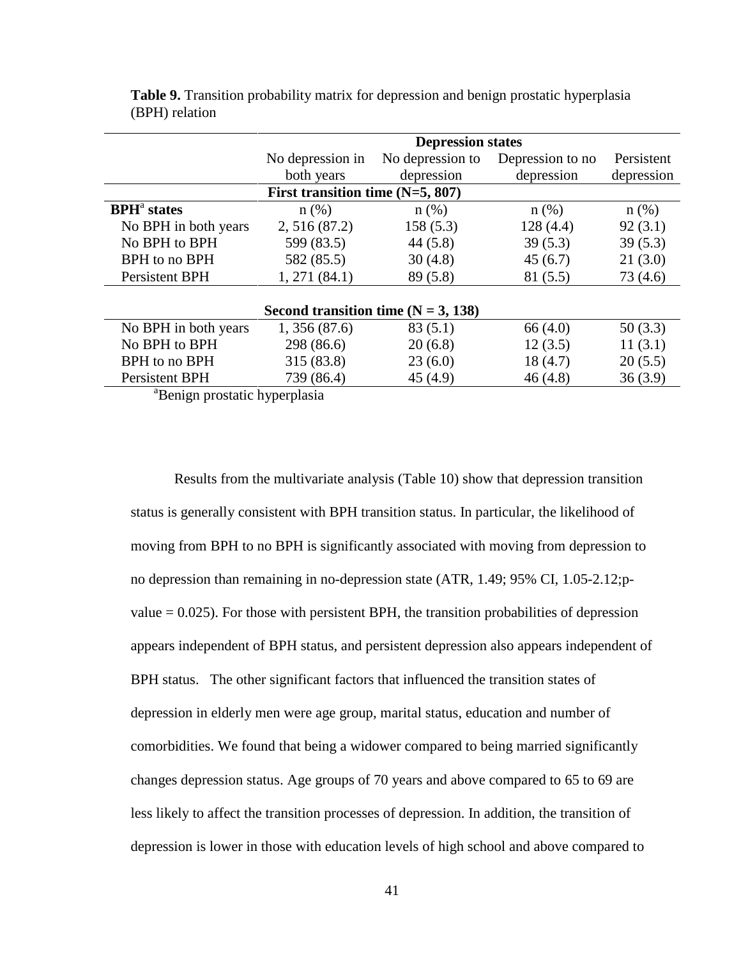|                                | <b>Depression states</b>              |                  |                  |            |
|--------------------------------|---------------------------------------|------------------|------------------|------------|
|                                | No depression in                      | No depression to | Depression to no | Persistent |
|                                | both years                            | depression       | depression       | depression |
|                                | First transition time $(N=5, 807)$    |                  |                  |            |
| <b>BPH</b> <sup>a</sup> states | $n$ (%)                               | $n(\%)$          | $n$ (%)          | $n$ (%)    |
| No BPH in both years           | 2, 516(87.2)                          | 158(5.3)         | 128(4.4)         | 92(3.1)    |
| No BPH to BPH                  | 599 (83.5)                            | 44(5.8)          | 39(5.3)          | 39(5.3)    |
| BPH to no BPH                  | 582 (85.5)                            | 30(4.8)          | 45(6.7)          | 21(3.0)    |
| Persistent BPH                 | 1, 271 (84.1)                         | 89(5.8)          | 81(5.5)          | 73 (4.6)   |
|                                |                                       |                  |                  |            |
|                                | Second transition time $(N = 3, 138)$ |                  |                  |            |
| No BPH in both years           | 1,356(87.6)                           | 83(5.1)          | 66(4.0)          | 50(3.3)    |
| No BPH to BPH                  | 298 (86.6)                            | 20(6.8)          | 12(3.5)          | 11(3.1)    |
| BPH to no BPH                  | 315 (83.8)                            | 23(6.0)          | 18(4.7)          | 20(5.5)    |
| Persistent BPH                 | 739 (86.4)                            | 45(4.9)          | 46(4.8)          | 36(3.9)    |

**Table 9.** Transition probability matrix for depression and benign prostatic hyperplasia (BPH) relation

<sup>a</sup>Benign prostatic hyperplasia

Results from the multivariate analysis (Table 10) show that depression transition status is generally consistent with BPH transition status. In particular, the likelihood of moving from BPH to no BPH is significantly associated with moving from depression to no depression than remaining in no-depression state (ATR, 1.49; 95% CI, 1.05-2.12;pvalue  $= 0.025$ ). For those with persistent BPH, the transition probabilities of depression appears independent of BPH status, and persistent depression also appears independent of BPH status. The other significant factors that influenced the transition states of depression in elderly men were age group, marital status, education and number of comorbidities. We found that being a widower compared to being married significantly changes depression status. Age groups of 70 years and above compared to 65 to 69 are less likely to affect the transition processes of depression. In addition, the transition of depression is lower in those with education levels of high school and above compared to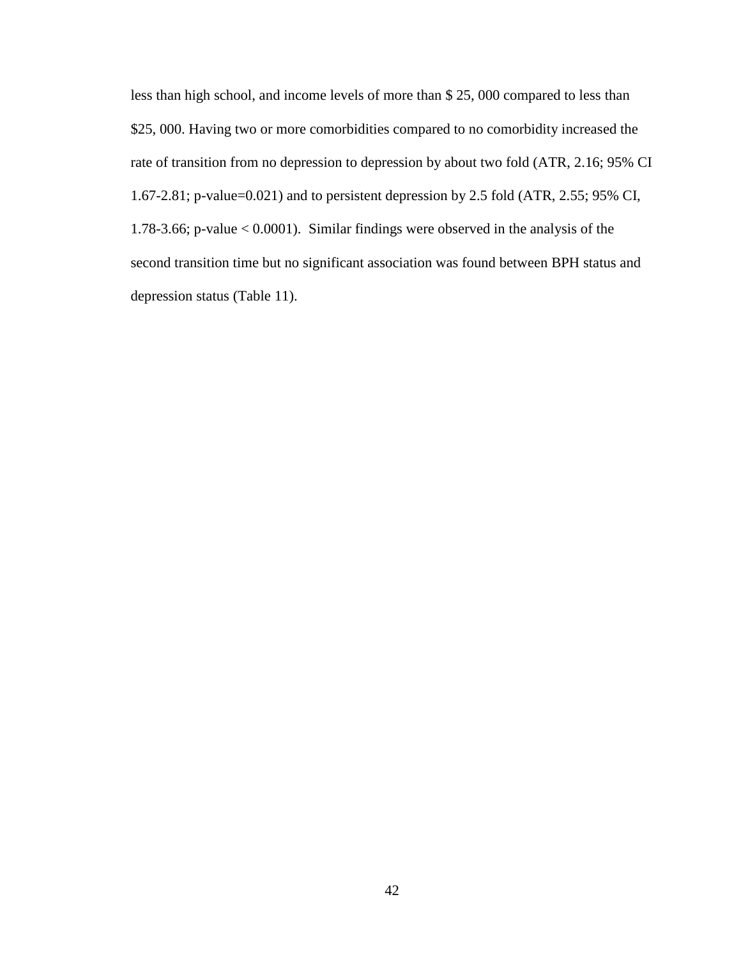less than high school, and income levels of more than \$ 25, 000 compared to less than \$25, 000. Having two or more comorbidities compared to no comorbidity increased the rate of transition from no depression to depression by about two fold (ATR, 2.16; 95% CI 1.67-2.81; p-value=0.021) and to persistent depression by 2.5 fold (ATR, 2.55; 95% CI, 1.78-3.66; p-value < 0.0001). Similar findings were observed in the analysis of the second transition time but no significant association was found between BPH status and depression status (Table 11).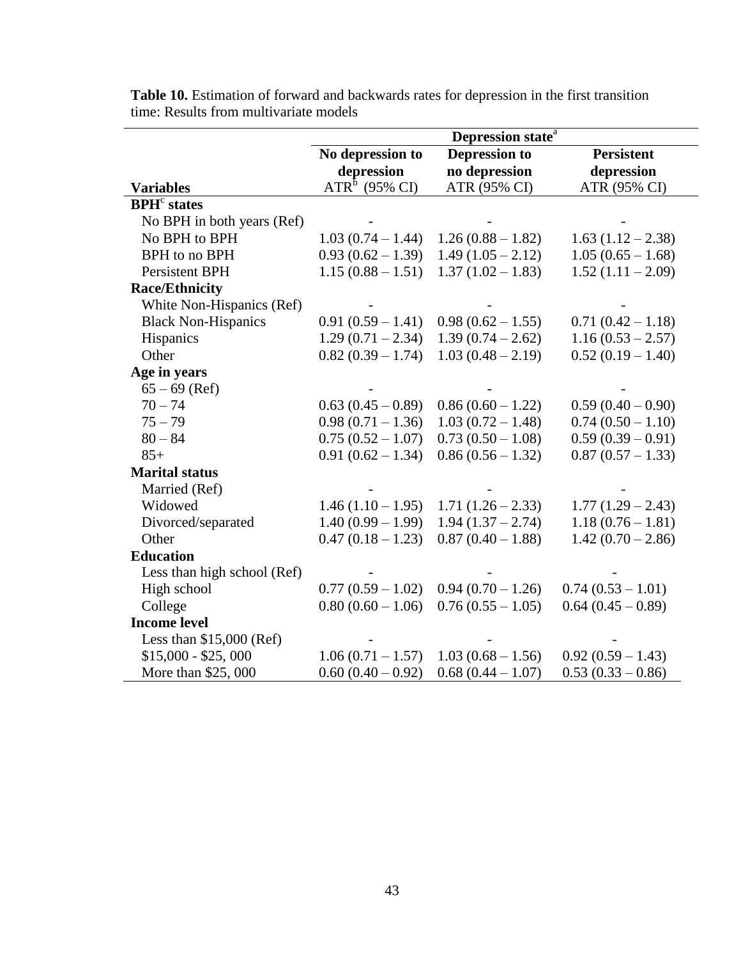|                                | Depression state <sup>a</sup> |                      |                     |  |
|--------------------------------|-------------------------------|----------------------|---------------------|--|
|                                | No depression to              | <b>Depression to</b> | <b>Persistent</b>   |  |
|                                | depression                    | no depression        | depression          |  |
| <b>Variables</b>               | $ATRb$ (95% CI)               | ATR (95% CI)         | ATR (95% CI)        |  |
| <b>BPH</b> <sup>c</sup> states |                               |                      |                     |  |
| No BPH in both years (Ref)     |                               |                      |                     |  |
| No BPH to BPH                  | $1.03(0.74 - 1.44)$           | $1.26(0.88 - 1.82)$  | $1.63(1.12-2.38)$   |  |
| BPH to no BPH                  | $0.93(0.62 - 1.39)$           | $1.49(1.05 - 2.12)$  | $1.05(0.65 - 1.68)$ |  |
| Persistent BPH                 | $1.15(0.88 - 1.51)$           | $1.37(1.02 - 1.83)$  | $1.52(1.11 - 2.09)$ |  |
| <b>Race/Ethnicity</b>          |                               |                      |                     |  |
| White Non-Hispanics (Ref)      |                               |                      |                     |  |
| <b>Black Non-Hispanics</b>     | $0.91(0.59 - 1.41)$           | $0.98(0.62 - 1.55)$  | $0.71(0.42 - 1.18)$ |  |
| Hispanics                      | $1.29(0.71 - 2.34)$           | $1.39(0.74 - 2.62)$  | $1.16(0.53 - 2.57)$ |  |
| Other                          | $0.82(0.39 - 1.74)$           | $1.03(0.48 - 2.19)$  | $0.52(0.19 - 1.40)$ |  |
| Age in years                   |                               |                      |                     |  |
| $65 - 69$ (Ref)                |                               |                      |                     |  |
| $70 - 74$                      | $0.63(0.45-0.89)$             | $0.86(0.60 - 1.22)$  | $0.59(0.40 - 0.90)$ |  |
| $75 - 79$                      | $0.98(0.71-1.36)$             | $1.03(0.72 - 1.48)$  | $0.74(0.50 - 1.10)$ |  |
| $80 - 84$                      | $0.75(0.52 - 1.07)$           | $0.73(0.50 - 1.08)$  | $0.59(0.39-0.91)$   |  |
| $85+$                          | $0.91(0.62 - 1.34)$           | $0.86(0.56 - 1.32)$  | $0.87(0.57-1.33)$   |  |
| <b>Marital status</b>          |                               |                      |                     |  |
| Married (Ref)                  |                               |                      |                     |  |
| Widowed                        | $1.46(1.10 - 1.95)$           | $1.71(1.26 - 2.33)$  | $1.77(1.29 - 2.43)$ |  |
| Divorced/separated             | $1.40(0.99 - 1.99)$           | $1.94(1.37 - 2.74)$  | $1.18(0.76 - 1.81)$ |  |
| Other                          | $0.47(0.18-1.23)$             | $0.87(0.40 - 1.88)$  | $1.42(0.70 - 2.86)$ |  |
| <b>Education</b>               |                               |                      |                     |  |
| Less than high school (Ref)    |                               |                      |                     |  |
| High school                    | $0.77(0.59 - 1.02)$           | $0.94(0.70 - 1.26)$  | $0.74(0.53 - 1.01)$ |  |
| College                        | $0.80(0.60 - 1.06)$           | $0.76(0.55 - 1.05)$  | $0.64(0.45-0.89)$   |  |
| <b>Income level</b>            |                               |                      |                     |  |
| Less than \$15,000 (Ref)       |                               |                      |                     |  |
| $$15,000 - $25,000$            | $1.06(0.71 - 1.57)$           | $1.03(0.68 - 1.56)$  | $0.92(0.59 - 1.43)$ |  |
| More than \$25,000             | $0.60(0.40 - 0.92)$           | $0.68(0.44 - 1.07)$  | $0.53(0.33-0.86)$   |  |

**Table 10.** Estimation of forward and backwards rates for depression in the first transition time: Results from multivariate models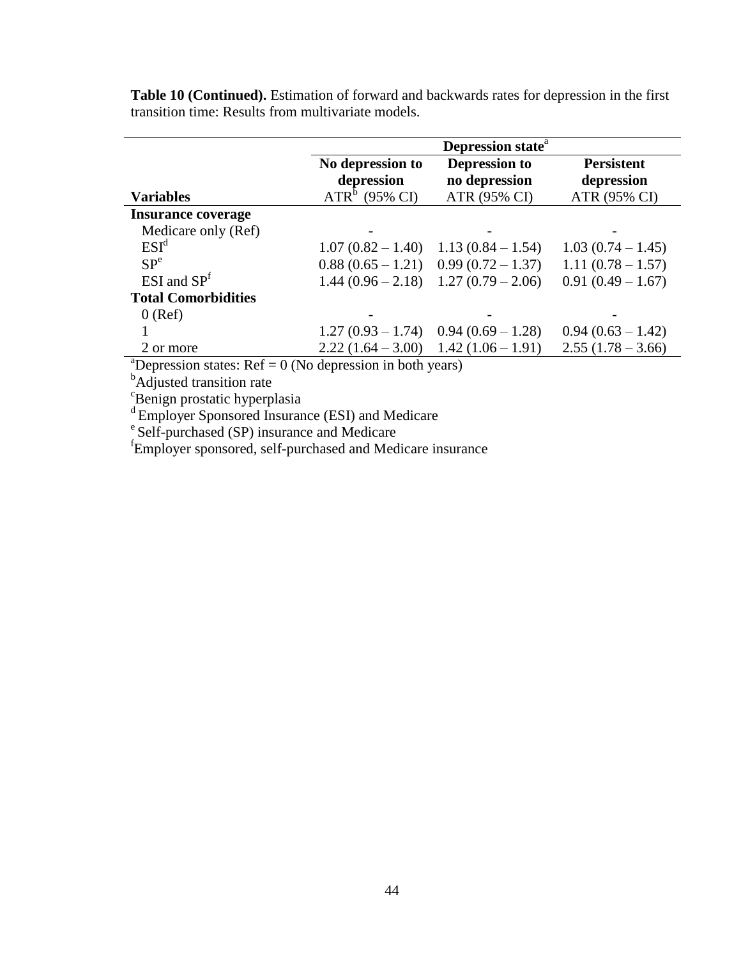|                            | Depression state <sup>a</sup>                     |                                                       |                                                 |  |
|----------------------------|---------------------------------------------------|-------------------------------------------------------|-------------------------------------------------|--|
| <b>Variables</b>           | No depression to<br>depression<br>$ATRb$ (95% CI) | <b>Depression to</b><br>no depression<br>ATR (95% CI) | <b>Persistent</b><br>depression<br>ATR (95% CI) |  |
| <b>Insurance coverage</b>  |                                                   |                                                       |                                                 |  |
| Medicare only (Ref)        |                                                   |                                                       |                                                 |  |
| ESI <sup>d</sup>           | $1.07(0.82 - 1.40)$                               | $1.13(0.84 - 1.54)$                                   | $1.03(0.74-1.45)$                               |  |
| SP <sup>e</sup>            |                                                   | $0.88(0.65 - 1.21)$ 0.99 $(0.72 - 1.37)$              | $1.11(0.78-1.57)$                               |  |
| $ESI$ and $SPf$            | $1.44(0.96-2.18)$                                 | $1.27(0.79-2.06)$                                     | $0.91(0.49 - 1.67)$                             |  |
| <b>Total Comorbidities</b> |                                                   |                                                       |                                                 |  |
| $0$ (Ref)                  |                                                   |                                                       |                                                 |  |
|                            | $1.27(0.93 - 1.74)$                               | $0.94(0.69 - 1.28)$                                   | $0.94(0.63 - 1.42)$                             |  |
| 2 or more                  | $2.22(1.64 - 3.00)$                               | $1.42(1.06-1.91)$                                     | $2.55(1.78-3.66)$                               |  |

**Table 10 (Continued).** Estimation of forward and backwards rates for depression in the first transition time: Results from multivariate models.

<sup>a</sup>Depression states:  $Ref = 0$  (No depression in both years)

<sup>b</sup>Adjusted transition rate

<sup>c</sup>Benign prostatic hyperplasia

<sup>d</sup>Employer Sponsored Insurance (ESI) and Medicare

<sup>e</sup> Self-purchased (SP) insurance and Medicare

f Employer sponsored, self-purchased and Medicare insurance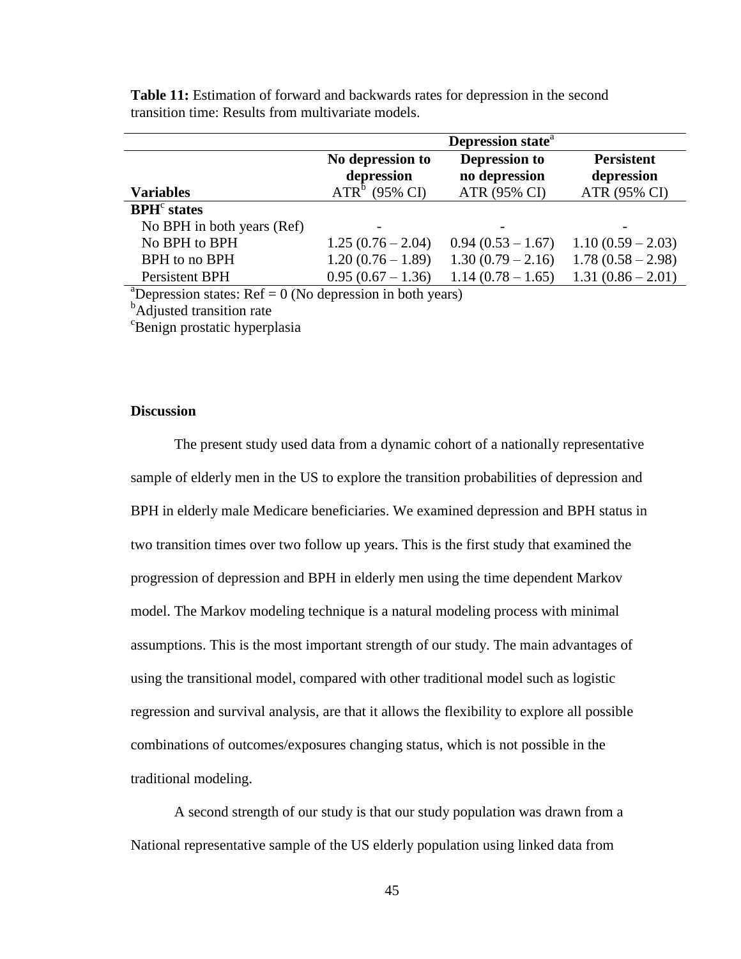|                                                                                                                                                                                                                                                                                                                                          |                                | Depression state <sup>a</sup>         |                                 |
|------------------------------------------------------------------------------------------------------------------------------------------------------------------------------------------------------------------------------------------------------------------------------------------------------------------------------------------|--------------------------------|---------------------------------------|---------------------------------|
|                                                                                                                                                                                                                                                                                                                                          | No depression to<br>depression | <b>Depression to</b><br>no depression | <b>Persistent</b><br>depression |
| <b>Variables</b>                                                                                                                                                                                                                                                                                                                         | $ATRb$ (95% CI)                | ATR (95% CI)                          | ATR (95% CI)                    |
| $BPHc$ states                                                                                                                                                                                                                                                                                                                            |                                |                                       |                                 |
| No BPH in both years (Ref)                                                                                                                                                                                                                                                                                                               |                                |                                       |                                 |
| No BPH to BPH                                                                                                                                                                                                                                                                                                                            | $1.25(0.76-2.04)$              | $0.94(0.53 - 1.67)$                   | $1.10(0.59 - 2.03)$             |
| BPH to no BPH                                                                                                                                                                                                                                                                                                                            | $1.20(0.76 - 1.89)$            | $1.30(0.79 - 2.16)$                   | $1.78(0.58 - 2.98)$             |
| Persistent BPH                                                                                                                                                                                                                                                                                                                           | $0.95(0.67 - 1.36)$            | $1.14(0.78-1.65)$                     | $1.31(0.86 - 2.01)$             |
| $\partial \mathbf{D}$ $\mathbf{A}$ $\mathbf{D}$ $\mathbf{A}$ $\mathbf{D}$ $\mathbf{A}$ $\mathbf{A}$ $\mathbf{A}$ $\mathbf{A}$ $\mathbf{A}$ $\mathbf{A}$ $\mathbf{A}$ $\mathbf{A}$ $\mathbf{A}$ $\mathbf{A}$ $\mathbf{A}$ $\mathbf{A}$ $\mathbf{A}$ $\mathbf{A}$ $\mathbf{A}$ $\mathbf{A}$ $\mathbf{A}$ $\mathbf{A}$ $\mathbf{A}$ $\math$ |                                |                                       |                                 |

**Table 11:** Estimation of forward and backwards rates for depression in the second transition time: Results from multivariate models.

Pepression states:  $\text{Ref} = 0$  (No depression in both years)

<sup>b</sup>Adjusted transition rate

<sup>c</sup>Benign prostatic hyperplasia

#### **Discussion**

The present study used data from a dynamic cohort of a nationally representative sample of elderly men in the US to explore the transition probabilities of depression and BPH in elderly male Medicare beneficiaries. We examined depression and BPH status in two transition times over two follow up years. This is the first study that examined the progression of depression and BPH in elderly men using the time dependent Markov model. The Markov modeling technique is a natural modeling process with minimal assumptions. This is the most important strength of our study. The main advantages of using the transitional model, compared with other traditional model such as logistic regression and survival analysis, are that it allows the flexibility to explore all possible combinations of outcomes/exposures changing status, which is not possible in the traditional modeling.

A second strength of our study is that our study population was drawn from a National representative sample of the US elderly population using linked data from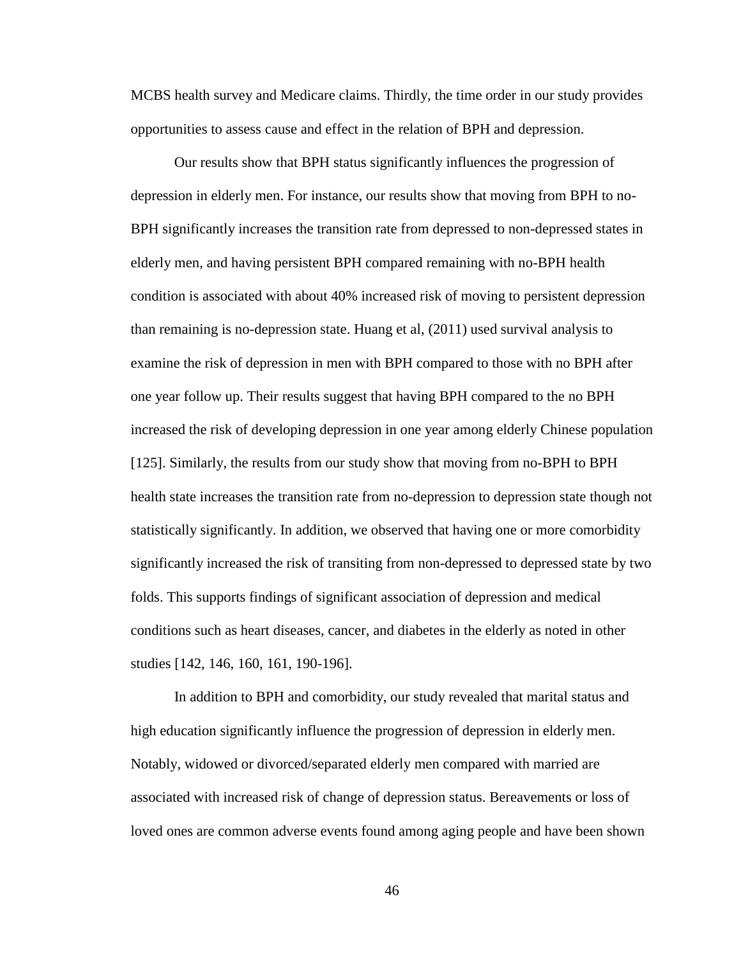MCBS health survey and Medicare claims. Thirdly, the time order in our study provides opportunities to assess cause and effect in the relation of BPH and depression.

Our results show that BPH status significantly influences the progression of depression in elderly men. For instance, our results show that moving from BPH to no-BPH significantly increases the transition rate from depressed to non-depressed states in elderly men, and having persistent BPH compared remaining with no-BPH health condition is associated with about 40% increased risk of moving to persistent depression than remaining is no-depression state. Huang et al, (2011) used survival analysis to examine the risk of depression in men with BPH compared to those with no BPH after one year follow up. Their results suggest that having BPH compared to the no BPH increased the risk of developing depression in one year among elderly Chinese population [125]. Similarly, the results from our study show that moving from no-BPH to BPH health state increases the transition rate from no-depression to depression state though not statistically significantly. In addition, we observed that having one or more comorbidity significantly increased the risk of transiting from non-depressed to depressed state by two folds. This supports findings of significant association of depression and medical conditions such as heart diseases, cancer, and diabetes in the elderly as noted in other studies [142, 146, 160, 161, 190-196].

In addition to BPH and comorbidity, our study revealed that marital status and high education significantly influence the progression of depression in elderly men. Notably, widowed or divorced/separated elderly men compared with married are associated with increased risk of change of depression status. Bereavements or loss of loved ones are common adverse events found among aging people and have been shown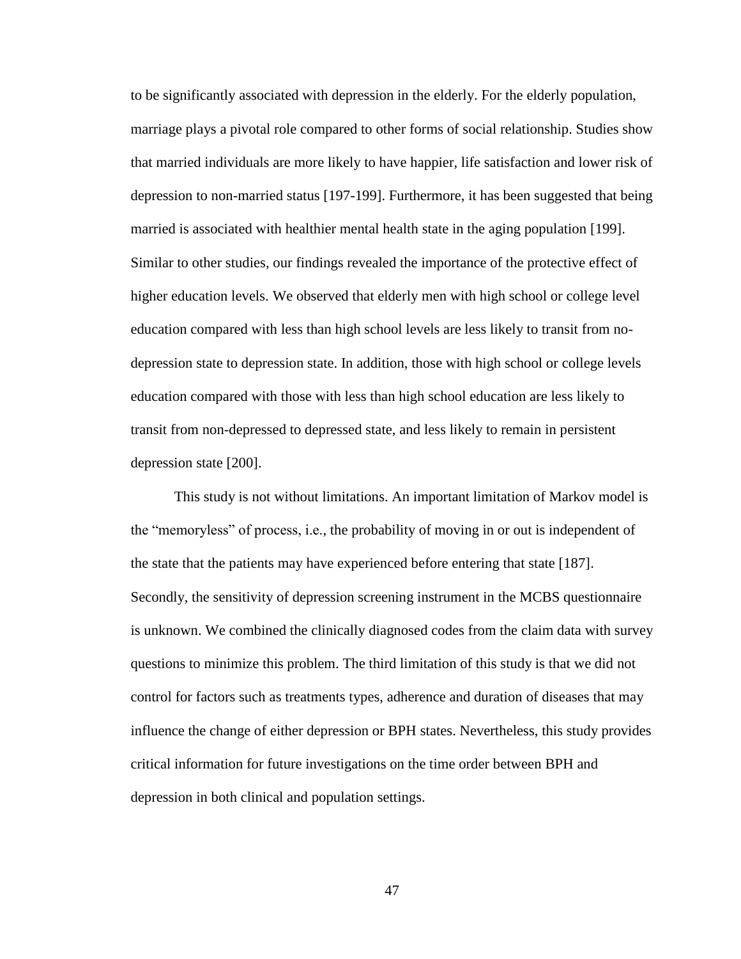to be significantly associated with depression in the elderly. For the elderly population, marriage plays a pivotal role compared to other forms of social relationship. Studies show that married individuals are more likely to have happier, life satisfaction and lower risk of depression to non-married status [197-199]. Furthermore, it has been suggested that being married is associated with healthier mental health state in the aging population [199]. Similar to other studies, our findings revealed the importance of the protective effect of higher education levels. We observed that elderly men with high school or college level education compared with less than high school levels are less likely to transit from nodepression state to depression state. In addition, those with high school or college levels education compared with those with less than high school education are less likely to transit from non-depressed to depressed state, and less likely to remain in persistent depression state [200].

This study is not without limitations. An important limitation of Markov model is the "memoryless" of process, i.e., the probability of moving in or out is independent of the state that the patients may have experienced before entering that state [187]. Secondly, the sensitivity of depression screening instrument in the MCBS questionnaire is unknown. We combined the clinically diagnosed codes from the claim data with survey questions to minimize this problem. The third limitation of this study is that we did not control for factors such as treatments types, adherence and duration of diseases that may influence the change of either depression or BPH states. Nevertheless, this study provides critical information for future investigations on the time order between BPH and depression in both clinical and population settings.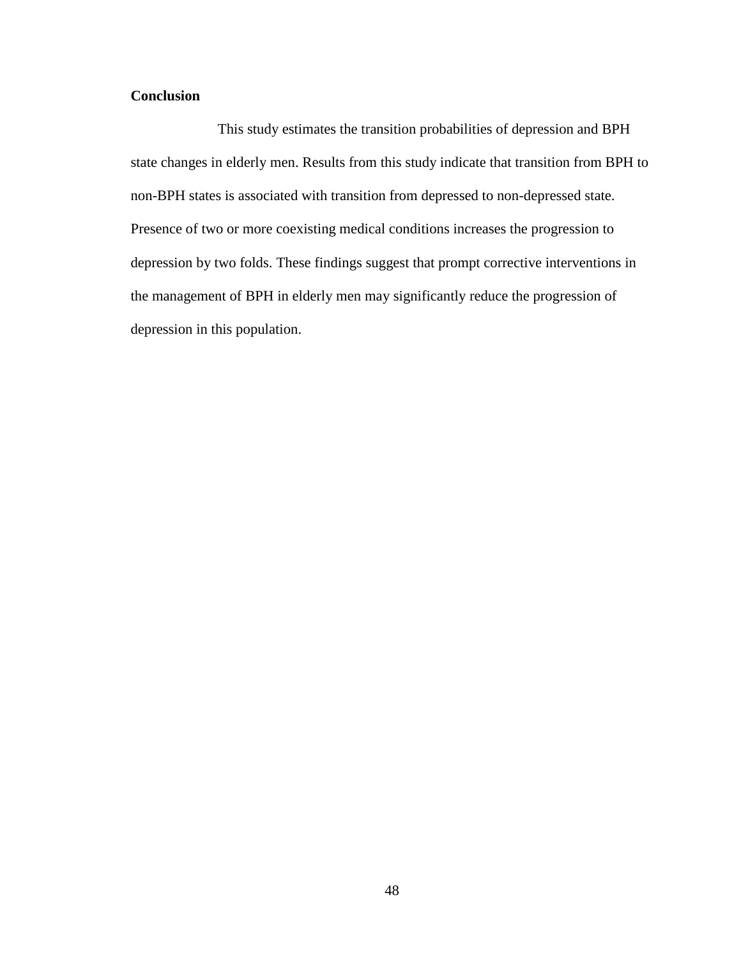## **Conclusion**

This study estimates the transition probabilities of depression and BPH state changes in elderly men. Results from this study indicate that transition from BPH to non-BPH states is associated with transition from depressed to non-depressed state. Presence of two or more coexisting medical conditions increases the progression to depression by two folds. These findings suggest that prompt corrective interventions in the management of BPH in elderly men may significantly reduce the progression of depression in this population.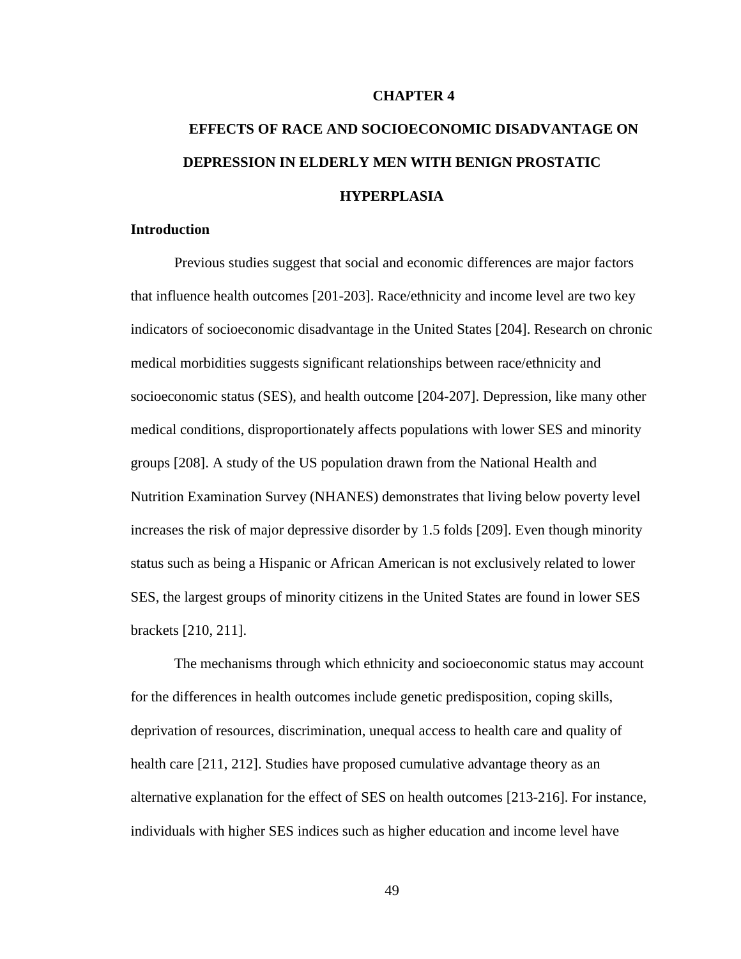### **CHAPTER 4**

# **EFFECTS OF RACE AND SOCIOECONOMIC DISADVANTAGE ON DEPRESSION IN ELDERLY MEN WITH BENIGN PROSTATIC HYPERPLASIA**

### **Introduction**

Previous studies suggest that social and economic differences are major factors that influence health outcomes [201-203]. Race/ethnicity and income level are two key indicators of socioeconomic disadvantage in the United States [204]. Research on chronic medical morbidities suggests significant relationships between race/ethnicity and socioeconomic status (SES), and health outcome [204-207]. Depression, like many other medical conditions, disproportionately affects populations with lower SES and minority groups [208]. A study of the US population drawn from the National Health and Nutrition Examination Survey (NHANES) demonstrates that living below poverty level increases the risk of major depressive disorder by 1.5 folds [209]. Even though minority status such as being a Hispanic or African American is not exclusively related to lower SES, the largest groups of minority citizens in the United States are found in lower SES brackets [210, 211].

The mechanisms through which ethnicity and socioeconomic status may account for the differences in health outcomes include genetic predisposition, coping skills, deprivation of resources, discrimination, unequal access to health care and quality of health care [211, 212]. Studies have proposed cumulative advantage theory as an alternative explanation for the effect of SES on health outcomes [213-216]. For instance, individuals with higher SES indices such as higher education and income level have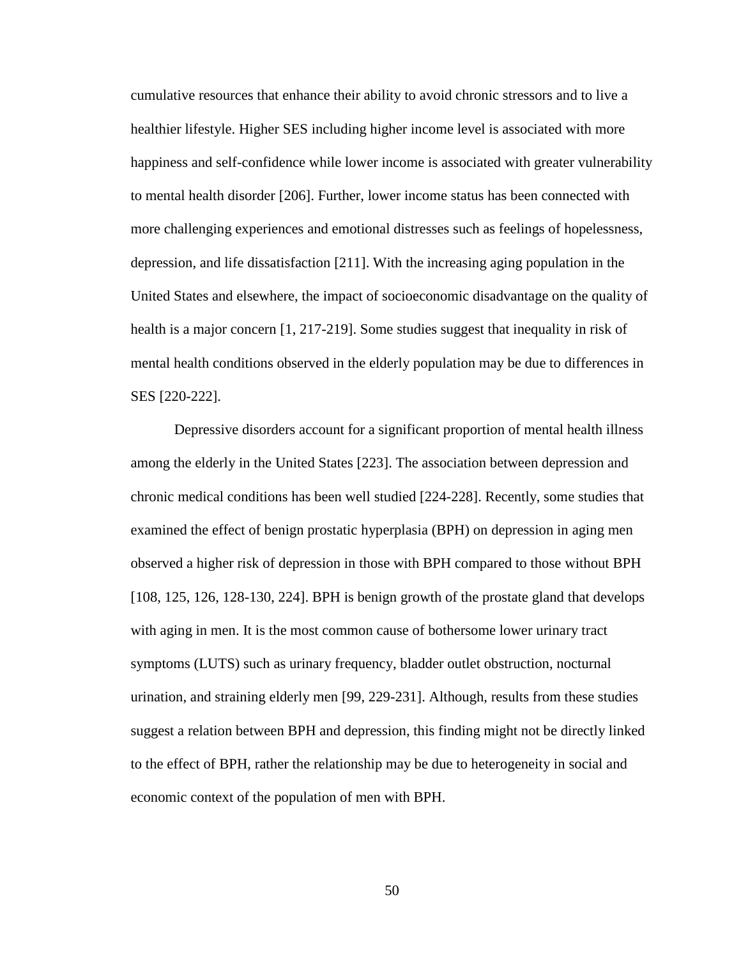cumulative resources that enhance their ability to avoid chronic stressors and to live a healthier lifestyle. Higher SES including higher income level is associated with more happiness and self-confidence while lower income is associated with greater vulnerability to mental health disorder [206]. Further, lower income status has been connected with more challenging experiences and emotional distresses such as feelings of hopelessness, depression, and life dissatisfaction [211]. With the increasing aging population in the United States and elsewhere, the impact of socioeconomic disadvantage on the quality of health is a major concern [1, 217-219]. Some studies suggest that inequality in risk of mental health conditions observed in the elderly population may be due to differences in SES [220-222].

Depressive disorders account for a significant proportion of mental health illness among the elderly in the United States [223]. The association between depression and chronic medical conditions has been well studied [224-228]. Recently, some studies that examined the effect of benign prostatic hyperplasia (BPH) on depression in aging men observed a higher risk of depression in those with BPH compared to those without BPH [108, 125, 126, 128-130, 224]. BPH is benign growth of the prostate gland that develops with aging in men. It is the most common cause of bothersome lower urinary tract symptoms (LUTS) such as urinary frequency, bladder outlet obstruction, nocturnal urination, and straining elderly men [99, 229-231]. Although, results from these studies suggest a relation between BPH and depression, this finding might not be directly linked to the effect of BPH, rather the relationship may be due to heterogeneity in social and economic context of the population of men with BPH.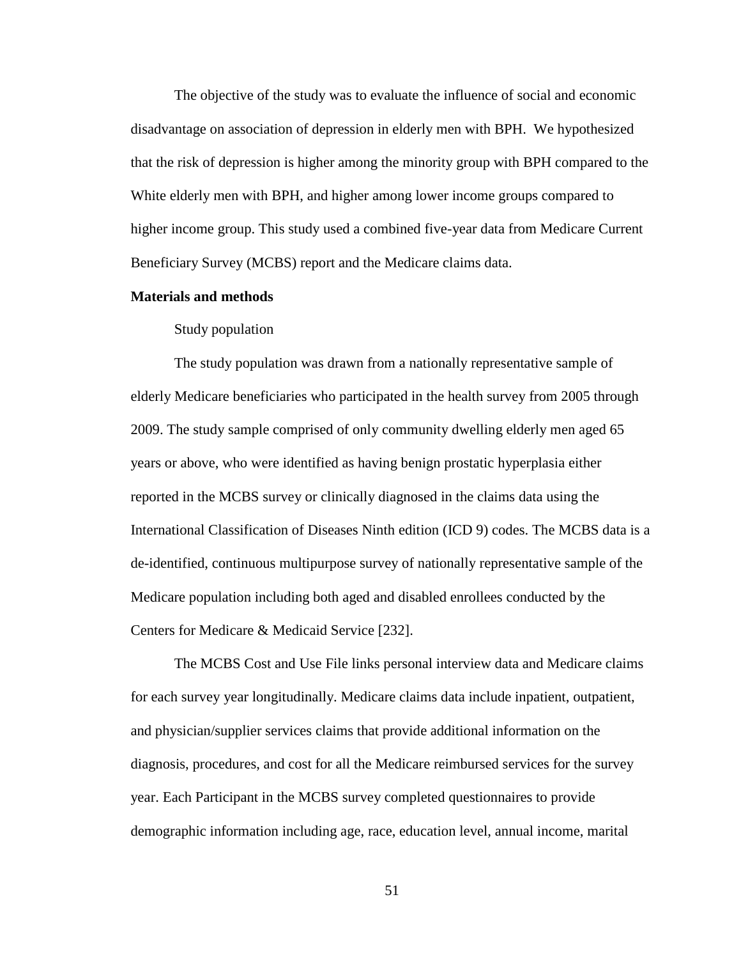The objective of the study was to evaluate the influence of social and economic disadvantage on association of depression in elderly men with BPH. We hypothesized that the risk of depression is higher among the minority group with BPH compared to the White elderly men with BPH, and higher among lower income groups compared to higher income group. This study used a combined five-year data from Medicare Current Beneficiary Survey (MCBS) report and the Medicare claims data.

### **Materials and methods**

### Study population

The study population was drawn from a nationally representative sample of elderly Medicare beneficiaries who participated in the health survey from 2005 through 2009. The study sample comprised of only community dwelling elderly men aged 65 years or above, who were identified as having benign prostatic hyperplasia either reported in the MCBS survey or clinically diagnosed in the claims data using the International Classification of Diseases Ninth edition (ICD 9) codes. The MCBS data is a de-identified, continuous multipurpose survey of nationally representative sample of the Medicare population including both aged and disabled enrollees conducted by the Centers for Medicare & Medicaid Service [232].

The MCBS Cost and Use File links personal interview data and Medicare claims for each survey year longitudinally. Medicare claims data include inpatient, outpatient, and physician/supplier services claims that provide additional information on the diagnosis, procedures, and cost for all the Medicare reimbursed services for the survey year. Each Participant in the MCBS survey completed questionnaires to provide demographic information including age, race, education level, annual income, marital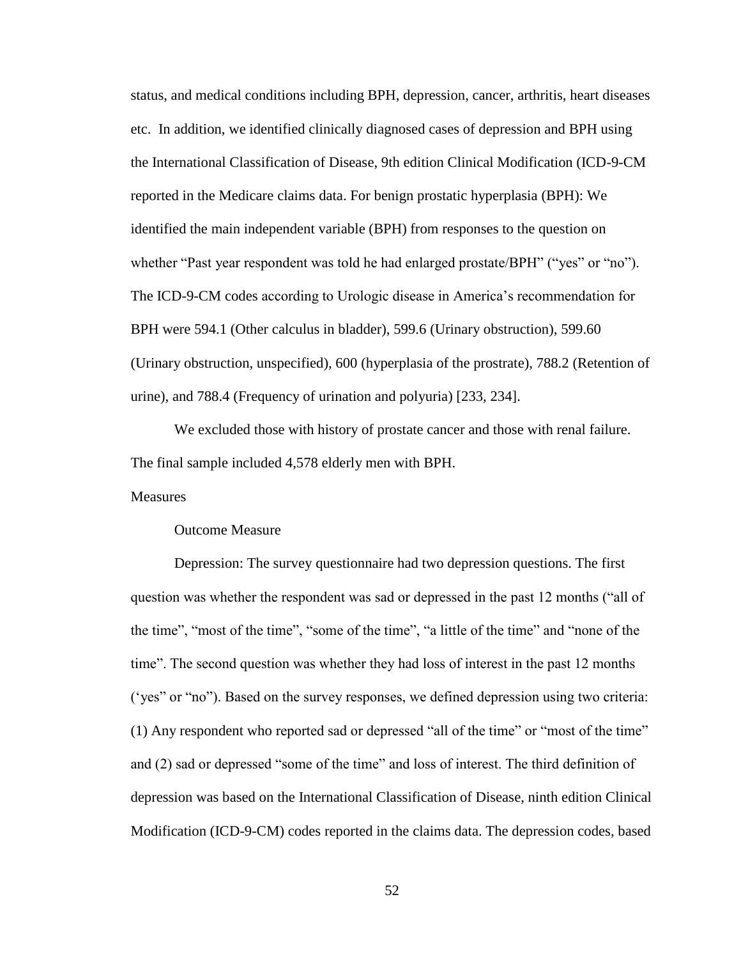status, and medical conditions including BPH, depression, cancer, arthritis, heart diseases etc. In addition, we identified clinically diagnosed cases of depression and BPH using the International Classification of Disease, 9th edition Clinical Modification (ICD-9-CM reported in the Medicare claims data. For benign prostatic hyperplasia (BPH): We identified the main independent variable (BPH) from responses to the question on whether "Past year respondent was told he had enlarged prostate/BPH" ("yes" or "no"). The ICD-9-CM codes according to Urologic disease in America's recommendation for BPH were 594.1 (Other calculus in bladder), 599.6 (Urinary obstruction), 599.60 (Urinary obstruction, unspecified), 600 (hyperplasia of the prostrate), 788.2 (Retention of urine), and 788.4 (Frequency of urination and polyuria) [233, 234].

We excluded those with history of prostate cancer and those with renal failure. The final sample included 4,578 elderly men with BPH.

**Measures** 

Outcome Measure

Depression: The survey questionnaire had two depression questions. The first question was whether the respondent was sad or depressed in the past 12 months ("all of the time", "most of the time", "some of the time", "a little of the time" and "none of the time". The second question was whether they had loss of interest in the past 12 months ('yes" or "no"). Based on the survey responses, we defined depression using two criteria: (1) Any respondent who reported sad or depressed "all of the time" or "most of the time" and (2) sad or depressed "some of the time" and loss of interest. The third definition of depression was based on the International Classification of Disease, ninth edition Clinical Modification (ICD-9-CM) codes reported in the claims data. The depression codes, based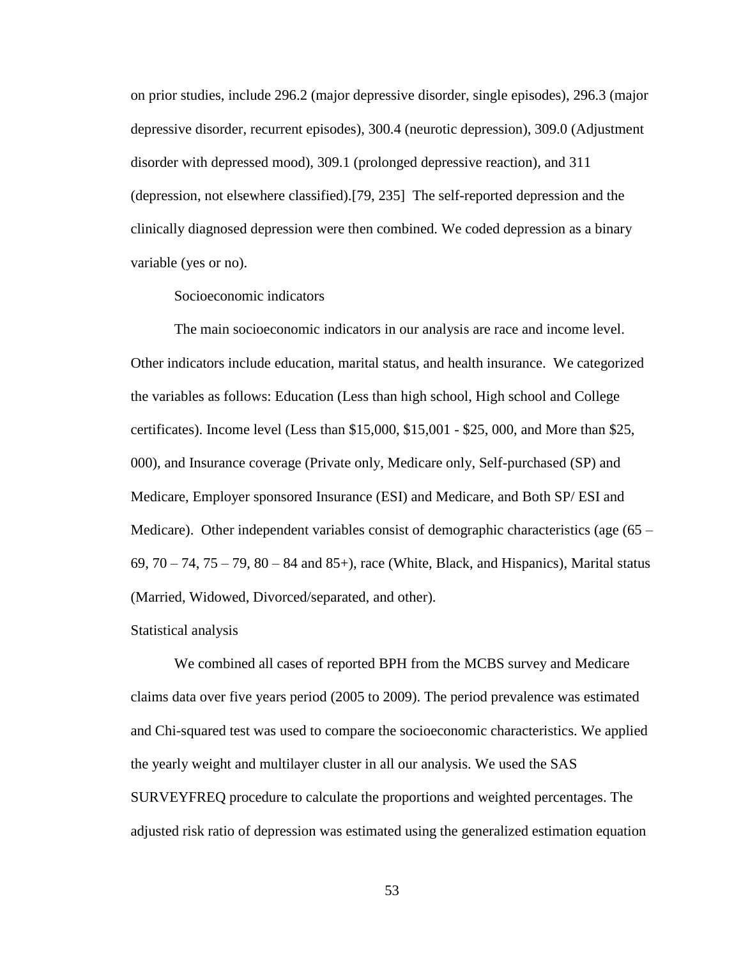on prior studies, include 296.2 (major depressive disorder, single episodes), 296.3 (major depressive disorder, recurrent episodes), 300.4 (neurotic depression), 309.0 (Adjustment disorder with depressed mood), 309.1 (prolonged depressive reaction), and 311 (depression, not elsewhere classified).[79, 235] The self-reported depression and the clinically diagnosed depression were then combined. We coded depression as a binary variable (yes or no).

### Socioeconomic indicators

The main socioeconomic indicators in our analysis are race and income level. Other indicators include education, marital status, and health insurance. We categorized the variables as follows: Education (Less than high school, High school and College certificates). Income level (Less than \$15,000, \$15,001 - \$25, 000, and More than \$25, 000), and Insurance coverage (Private only, Medicare only, Self-purchased (SP) and Medicare, Employer sponsored Insurance (ESI) and Medicare, and Both SP/ ESI and Medicare). Other independent variables consist of demographic characteristics (age (65 – 69,  $70 - 74$ ,  $75 - 79$ ,  $80 - 84$  and  $85$ +), race (White, Black, and Hispanics), Marital status (Married, Widowed, Divorced/separated, and other).

#### Statistical analysis

We combined all cases of reported BPH from the MCBS survey and Medicare claims data over five years period (2005 to 2009). The period prevalence was estimated and Chi-squared test was used to compare the socioeconomic characteristics. We applied the yearly weight and multilayer cluster in all our analysis. We used the SAS SURVEYFREQ procedure to calculate the proportions and weighted percentages. The adjusted risk ratio of depression was estimated using the generalized estimation equation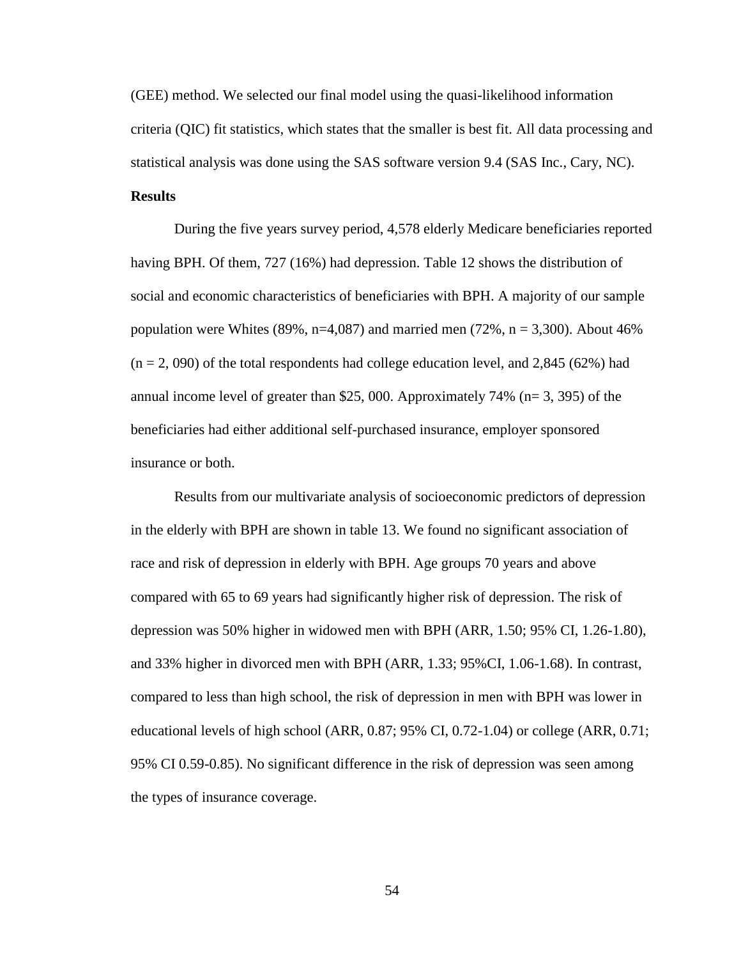(GEE) method. We selected our final model using the quasi-likelihood information criteria (QIC) fit statistics, which states that the smaller is best fit. All data processing and statistical analysis was done using the SAS software version 9.4 (SAS Inc., Cary, NC).

# **Results**

During the five years survey period, 4,578 elderly Medicare beneficiaries reported having BPH. Of them, 727 (16%) had depression. Table 12 shows the distribution of social and economic characteristics of beneficiaries with BPH. A majority of our sample population were Whites (89%, n=4,087) and married men (72%, n = 3,300). About 46%  $(n = 2, 090)$  of the total respondents had college education level, and 2,845 (62%) had annual income level of greater than \$25, 000. Approximately 74% (n= 3, 395) of the beneficiaries had either additional self-purchased insurance, employer sponsored insurance or both.

Results from our multivariate analysis of socioeconomic predictors of depression in the elderly with BPH are shown in table 13. We found no significant association of race and risk of depression in elderly with BPH. Age groups 70 years and above compared with 65 to 69 years had significantly higher risk of depression. The risk of depression was 50% higher in widowed men with BPH (ARR, 1.50; 95% CI, 1.26-1.80), and 33% higher in divorced men with BPH (ARR, 1.33; 95%CI, 1.06-1.68). In contrast, compared to less than high school, the risk of depression in men with BPH was lower in educational levels of high school (ARR, 0.87; 95% CI, 0.72-1.04) or college (ARR, 0.71; 95% CI 0.59-0.85). No significant difference in the risk of depression was seen among the types of insurance coverage.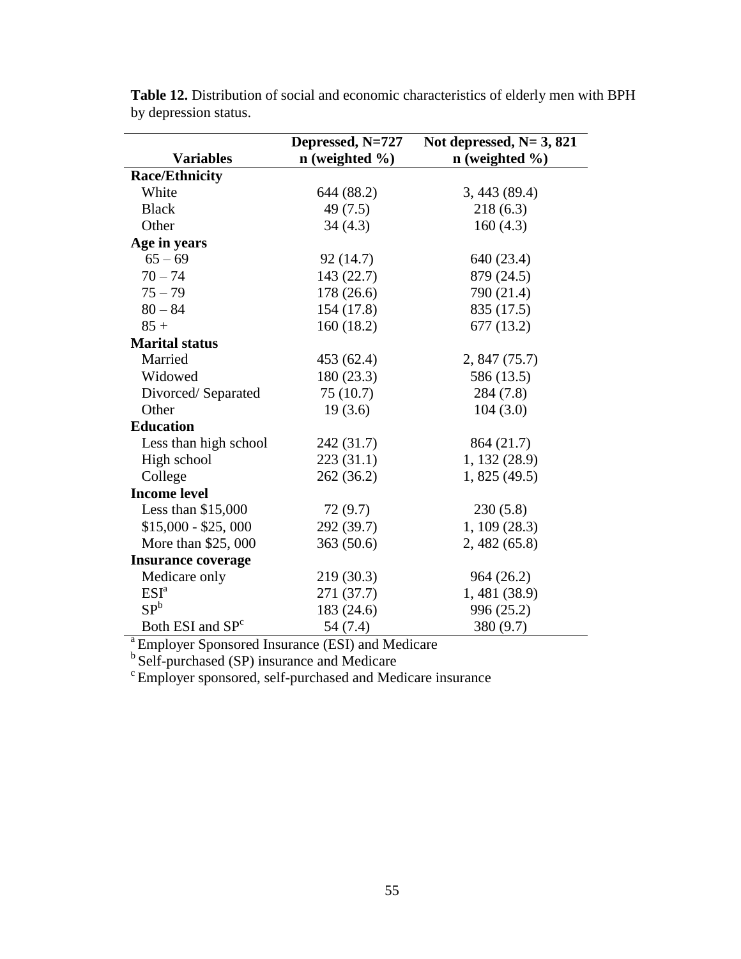|                              | Depressed, N=727     | Not depressed, $N=3$ , 821 |
|------------------------------|----------------------|----------------------------|
| <b>Variables</b>             | $n$ (weighted $\%$ ) | $n$ (weighted $\%$ )       |
| <b>Race/Ethnicity</b>        |                      |                            |
| White                        | 644 (88.2)           | 3,443(89.4)                |
| <b>Black</b>                 | 49(7.5)              | 218(6.3)                   |
| Other                        | 34(4.3)              | 160(4.3)                   |
| Age in years                 |                      |                            |
| $65 - 69$                    | 92(14.7)             | 640 (23.4)                 |
| $70 - 74$                    | 143 (22.7)           | 879 (24.5)                 |
| $75 - 79$                    | 178 (26.6)           | 790 (21.4)                 |
| $80 - 84$                    | 154 (17.8)           | 835 (17.5)                 |
| $85 +$                       | 160(18.2)            | 677 (13.2)                 |
| <b>Marital status</b>        |                      |                            |
| Married                      | 453 (62.4)           | 2,847(75.7)                |
| Widowed                      | 180 (23.3)           | 586 (13.5)                 |
| Divorced/Separated           | 75(10.7)             | 284(7.8)                   |
| Other                        | 19(3.6)              | 104(3.0)                   |
| <b>Education</b>             |                      |                            |
| Less than high school        | 242 (31.7)           | 864 (21.7)                 |
| High school                  | 223(31.1)            | 1, 132 (28.9)              |
| College                      | 262 (36.2)           | 1,825(49.5)                |
| <b>Income level</b>          |                      |                            |
| Less than $$15,000$          | 72(9.7)              | 230(5.8)                   |
| $$15,000 - $25,000$          | 292 (39.7)           | 1, 109(28.3)               |
| More than \$25,000           | 363(50.6)            | 2, 482 (65.8)              |
| <b>Insurance coverage</b>    |                      |                            |
| Medicare only                | 219 (30.3)           | 964 (26.2)                 |
| ESI <sup>a</sup>             | 271 (37.7)           | 1, 481 (38.9)              |
| SP <sup>b</sup>              | 183 (24.6)           | 996 (25.2)                 |
| Both ESI and SP <sup>c</sup> | 54 (7.4)             | 380 (9.7)                  |

**Table 12.** Distribution of social and economic characteristics of elderly men with BPH by depression status.

<sup>a</sup> Employer Sponsored Insurance (ESI) and Medicare

<sup>b</sup> Self-purchased (SP) insurance and Medicare

 $\textdegree$  Employer sponsored, self-purchased and Medicare insurance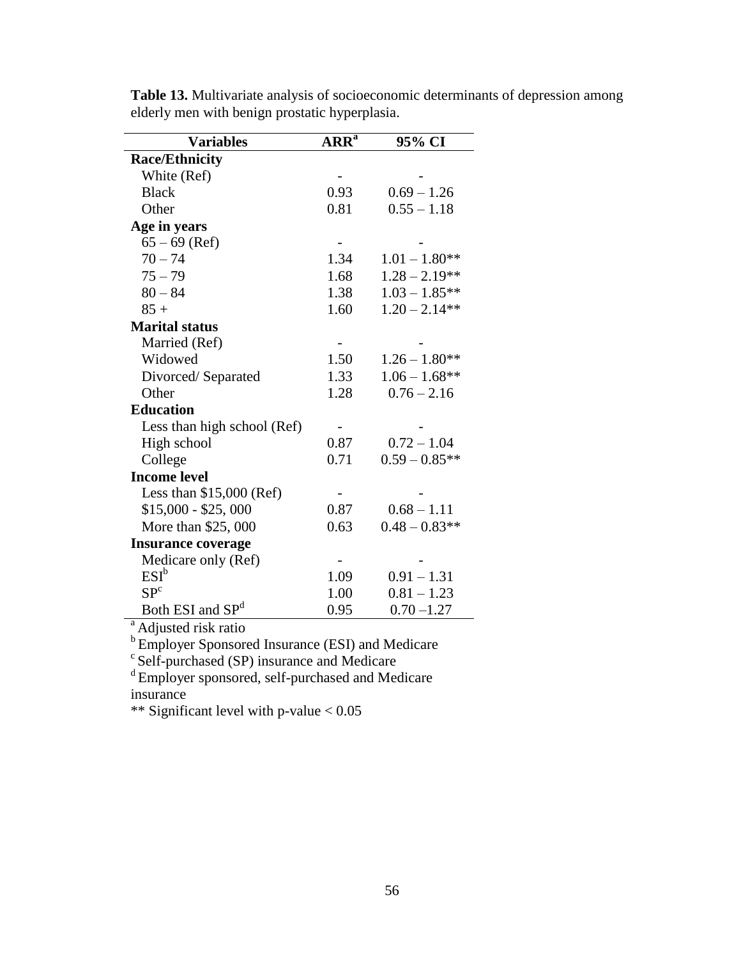| <b>Variables</b>             | <b>ARR</b> <sup>a</sup> | 95% CI           |
|------------------------------|-------------------------|------------------|
| <b>Race/Ethnicity</b>        |                         |                  |
| White (Ref)                  |                         |                  |
| <b>Black</b>                 | 0.93                    | $0.69 - 1.26$    |
| Other                        | 0.81                    | $0.55 - 1.18$    |
| Age in years                 |                         |                  |
| $65 - 69$ (Ref)              |                         |                  |
| $70 - 74$                    | 1.34                    | $1.01 - 1.80**$  |
| $75 - 79$                    | 1.68                    | $1.28 - 2.19**$  |
| $80 - 84$                    | 1.38                    | $1.03 - 1.85**$  |
| $85 +$                       | 1.60                    | $1.20 - 2.14**$  |
| <b>Marital status</b>        |                         |                  |
| Married (Ref)                |                         |                  |
| Widowed                      | 1.50                    | $1.26 - 1.80**$  |
| Divorced/Separated           | 1.33                    | $1.06 - 1.68$ ** |
| Other                        | 1.28                    | $0.76 - 2.16$    |
| <b>Education</b>             |                         |                  |
| Less than high school (Ref)  |                         |                  |
| High school                  | 0.87                    | $0.72 - 1.04$    |
| College                      | 0.71                    | $0.59 - 0.85**$  |
| <b>Income level</b>          |                         |                  |
| Less than $$15,000$ (Ref)    |                         |                  |
| $$15,000 - $25,000$          | 0.87                    | $0.68 - 1.11$    |
| More than \$25,000           | 0.63                    | $0.48 - 0.83**$  |
| <b>Insurance coverage</b>    |                         |                  |
| Medicare only (Ref)          |                         |                  |
| $ESI^b$                      | 1.09                    | $0.91 - 1.31$    |
| SP <sup>c</sup>              | 1.00                    | $0.81 - 1.23$    |
| Both ESI and SP <sup>d</sup> | 0.95                    | $0.70 - 1.27$    |

**Table 13.** Multivariate analysis of socioeconomic determinants of depression among elderly men with benign prostatic hyperplasia.

<sup>a</sup> Adjusted risk ratio

<sup>b</sup> Employer Sponsored Insurance (ESI) and Medicare

 $c$  Self-purchased (SP) insurance and Medicare

<sup>d</sup> Employer sponsored, self-purchased and Medicare insurance

\*\* Significant level with p-value < 0.05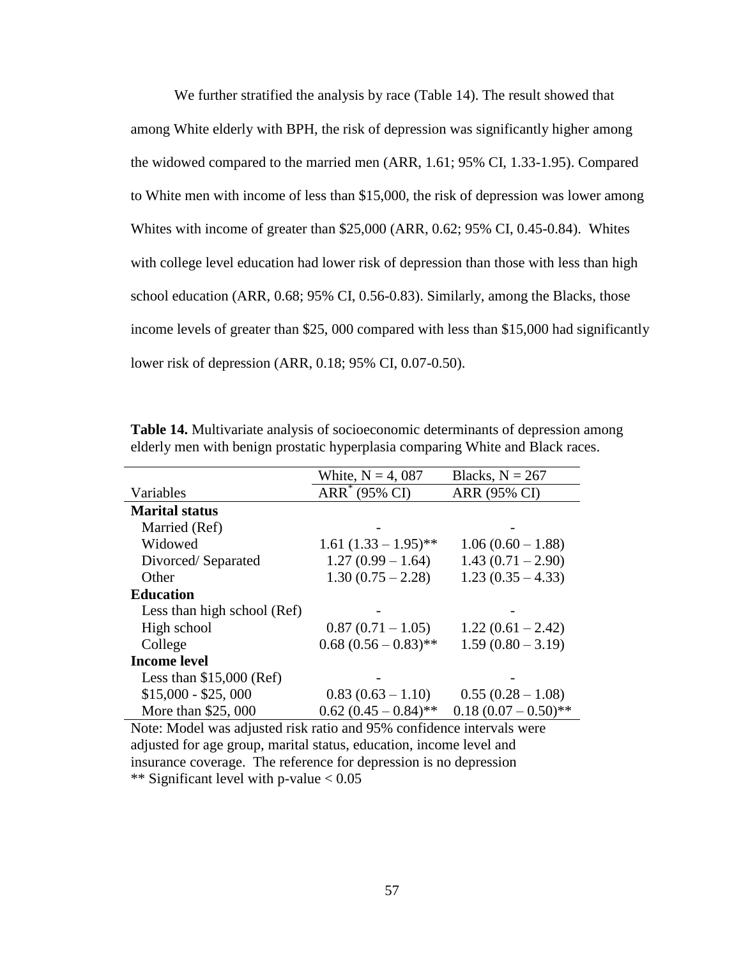We further stratified the analysis by race (Table 14). The result showed that among White elderly with BPH, the risk of depression was significantly higher among the widowed compared to the married men (ARR, 1.61; 95% CI, 1.33-1.95). Compared to White men with income of less than \$15,000, the risk of depression was lower among Whites with income of greater than \$25,000 (ARR, 0.62; 95% CI, 0.45-0.84). Whites with college level education had lower risk of depression than those with less than high school education (ARR, 0.68; 95% CI, 0.56-0.83). Similarly, among the Blacks, those income levels of greater than \$25, 000 compared with less than \$15,000 had significantly lower risk of depression (ARR, 0.18; 95% CI, 0.07-0.50).

|                             | White, $N = 4,087$        | Blacks, $N = 267$    |
|-----------------------------|---------------------------|----------------------|
| Variables                   | ARR <sup>*</sup> (95% CI) | ARR (95% CI)         |
| <b>Marital status</b>       |                           |                      |
| Married (Ref)               |                           |                      |
| Widowed                     | $1.61 (1.33 - 1.95)$ **   | $1.06(0.60 - 1.88)$  |
| Divorced/Separated          | $1.27(0.99 - 1.64)$       | $1.43(0.71 - 2.90)$  |
| Other                       | $1.30(0.75 - 2.28)$       | $1.23(0.35 - 4.33)$  |
| <b>Education</b>            |                           |                      |
| Less than high school (Ref) |                           |                      |
| High school                 | $0.87(0.71-1.05)$         | $1.22(0.61 - 2.42)$  |
| College                     | $0.68(0.56-0.83)$ **      | $1.59(0.80 - 3.19)$  |
| <b>Income level</b>         |                           |                      |
| Less than $$15,000$ (Ref)   |                           |                      |
| $$15,000 - $25,000$         | $0.83(0.63-1.10)$         | $0.55(0.28-1.08)$    |
| More than \$25,000          | $0.62(0.45-0.84)$ **      | $0.18(0.07-0.50)$ ** |

**Table 14.** Multivariate analysis of socioeconomic determinants of depression among elderly men with benign prostatic hyperplasia comparing White and Black races.

Note: Model was adjusted risk ratio and 95% confidence intervals were adjusted for age group, marital status, education, income level and insurance coverage. The reference for depression is no depression \*\* Significant level with p-value < 0.05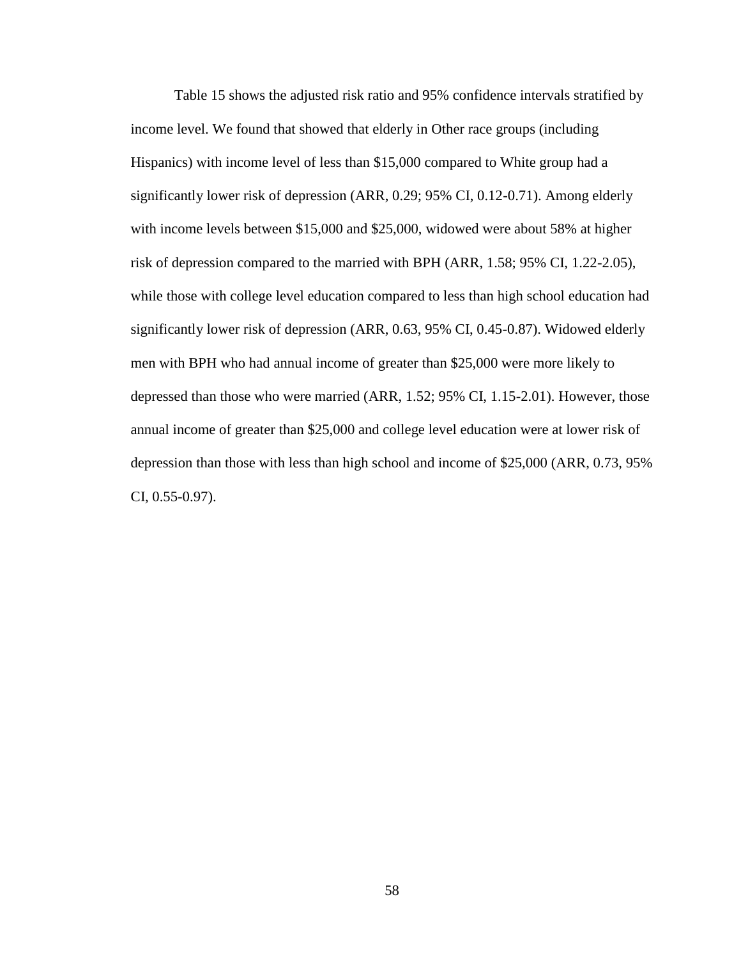Table 15 shows the adjusted risk ratio and 95% confidence intervals stratified by income level. We found that showed that elderly in Other race groups (including Hispanics) with income level of less than \$15,000 compared to White group had a significantly lower risk of depression (ARR, 0.29; 95% CI, 0.12-0.71). Among elderly with income levels between \$15,000 and \$25,000, widowed were about 58% at higher risk of depression compared to the married with BPH (ARR, 1.58; 95% CI, 1.22-2.05), while those with college level education compared to less than high school education had significantly lower risk of depression (ARR, 0.63, 95% CI, 0.45-0.87). Widowed elderly men with BPH who had annual income of greater than \$25,000 were more likely to depressed than those who were married (ARR, 1.52; 95% CI, 1.15-2.01). However, those annual income of greater than \$25,000 and college level education were at lower risk of depression than those with less than high school and income of \$25,000 (ARR, 0.73, 95% CI, 0.55-0.97).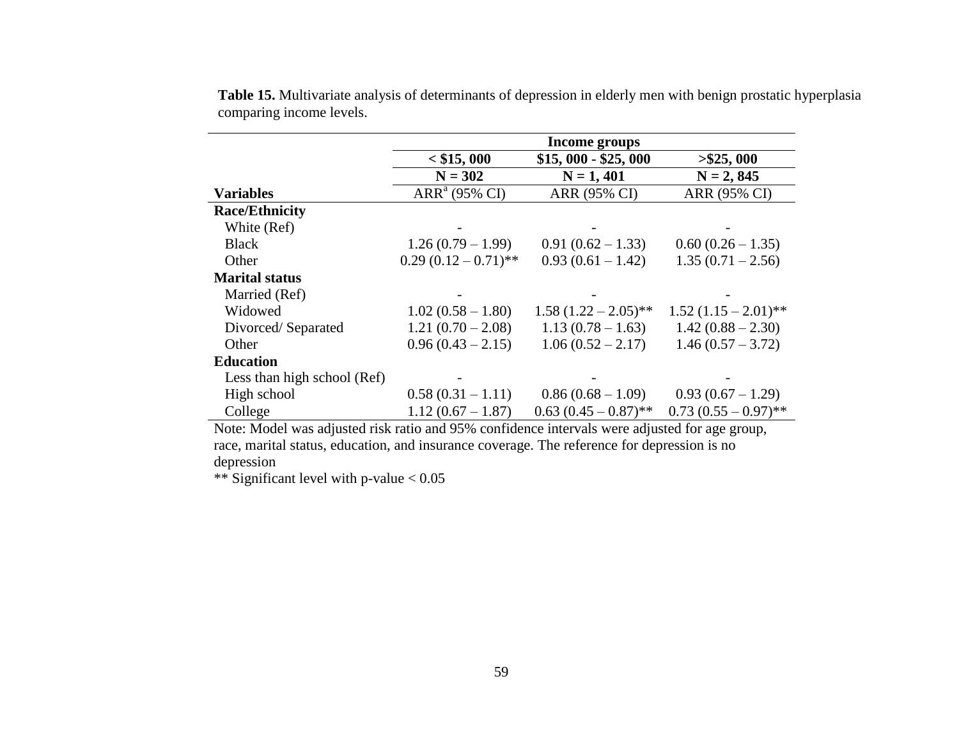|                             | <b>Income groups</b> |                      |                      |
|-----------------------------|----------------------|----------------------|----------------------|
|                             | $<$ \$15, 000        | $$15,000 - $25,000$  | > \$25,000           |
|                             | $N = 302$            | $N = 1,401$          | $N = 2, 845$         |
| <b>Variables</b>            | $ARRa$ (95% CI)      | ARR (95% CI)         | ARR (95% CI)         |
| <b>Race/Ethnicity</b>       |                      |                      |                      |
| White (Ref)                 |                      |                      |                      |
| <b>Black</b>                | $1.26(0.79-1.99)$    | $0.91(0.62 - 1.33)$  | $0.60(0.26-1.35)$    |
| Other                       | $0.29(0.12-0.71)$ ** | $0.93(0.61 - 1.42)$  | $1.35(0.71 - 2.56)$  |
| <b>Marital status</b>       |                      |                      |                      |
| Married (Ref)               |                      |                      |                      |
| Widowed                     | $1.02(0.58 - 1.80)$  | $1.58(1.22-2.05)$ ** | $1.52(1.15-2.01)$ ** |
| Divorced/Separated          | $1.21(0.70-2.08)$    | $1.13(0.78-1.63)$    | $1.42(0.88 - 2.30)$  |
| Other                       | $0.96(0.43 - 2.15)$  | $1.06(0.52 - 2.17)$  | $1.46(0.57 - 3.72)$  |
| <b>Education</b>            |                      |                      |                      |
| Less than high school (Ref) |                      |                      |                      |
| High school                 | $0.58(0.31 - 1.11)$  | $0.86(0.68-1.09)$    | $0.93(0.67 - 1.29)$  |
| College                     | $1.12(0.67 - 1.87)$  | $0.63(0.45-0.87)$ ** | $0.73(0.55-0.97)$ ** |

**Table 15.** Multivariate analysis of determinants of depression in elderly men with benign prostatic hyperplasia comparing income levels.

Note: Model was adjusted risk ratio and 95% confidence intervals were adjusted for age group, race, marital status, education, and insurance coverage. The reference for depression is no depression

\*\* Significant level with p-value < 0.05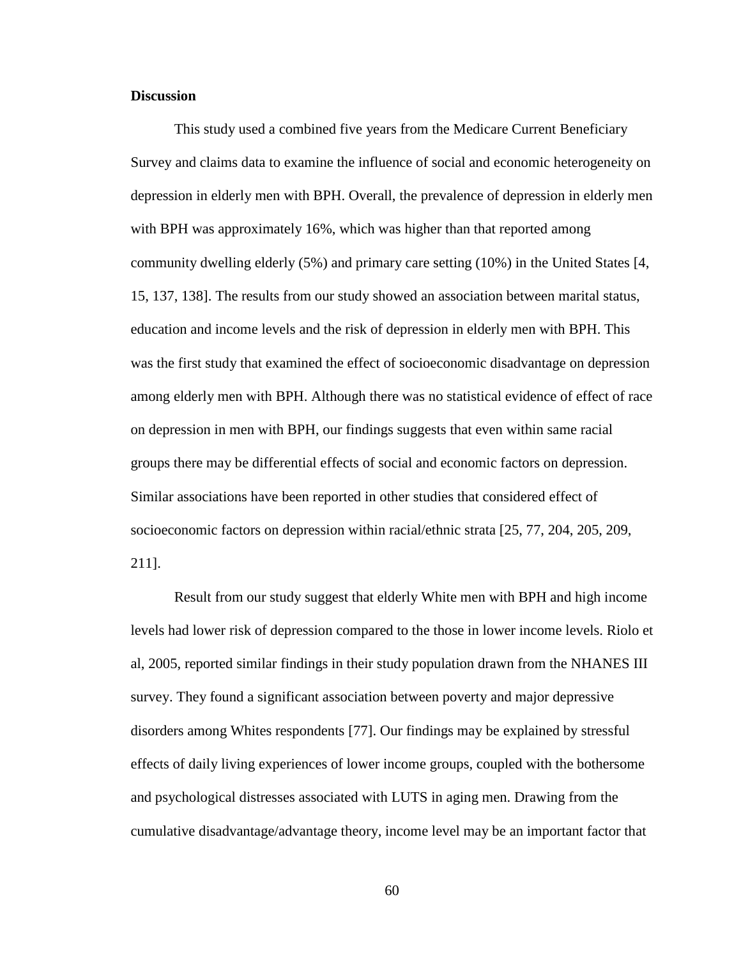### **Discussion**

This study used a combined five years from the Medicare Current Beneficiary Survey and claims data to examine the influence of social and economic heterogeneity on depression in elderly men with BPH. Overall, the prevalence of depression in elderly men with BPH was approximately 16%, which was higher than that reported among community dwelling elderly (5%) and primary care setting (10%) in the United States [4, 15, 137, 138]. The results from our study showed an association between marital status, education and income levels and the risk of depression in elderly men with BPH. This was the first study that examined the effect of socioeconomic disadvantage on depression among elderly men with BPH. Although there was no statistical evidence of effect of race on depression in men with BPH, our findings suggests that even within same racial groups there may be differential effects of social and economic factors on depression. Similar associations have been reported in other studies that considered effect of socioeconomic factors on depression within racial/ethnic strata [25, 77, 204, 205, 209, 211].

Result from our study suggest that elderly White men with BPH and high income levels had lower risk of depression compared to the those in lower income levels. Riolo et al, 2005, reported similar findings in their study population drawn from the NHANES III survey. They found a significant association between poverty and major depressive disorders among Whites respondents [77]. Our findings may be explained by stressful effects of daily living experiences of lower income groups, coupled with the bothersome and psychological distresses associated with LUTS in aging men. Drawing from the cumulative disadvantage/advantage theory, income level may be an important factor that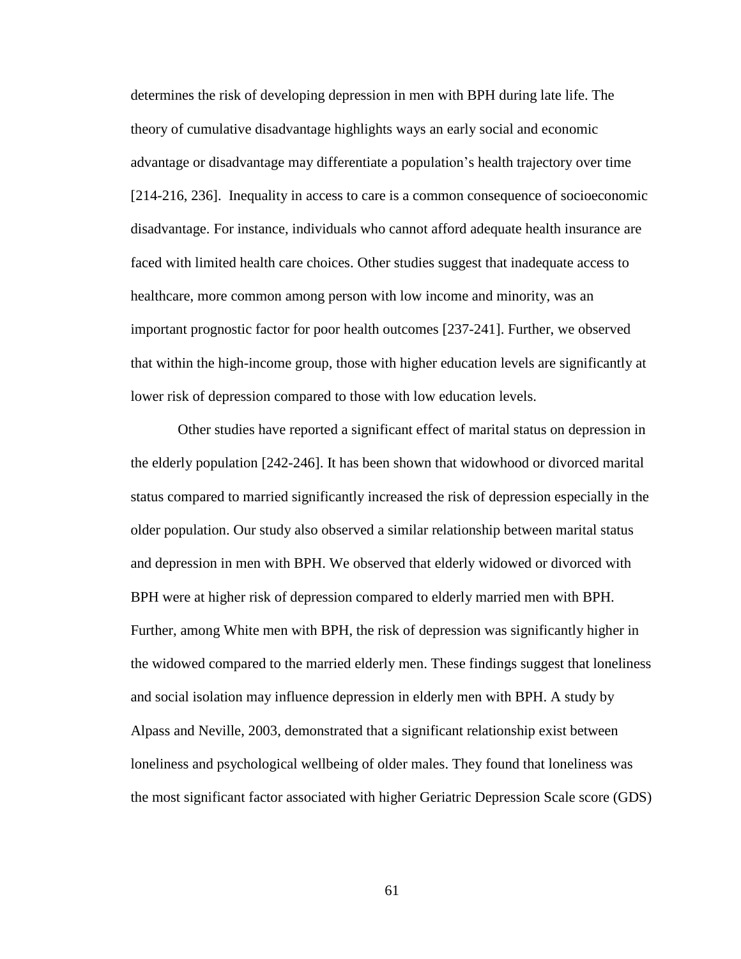determines the risk of developing depression in men with BPH during late life. The theory of cumulative disadvantage highlights ways an early social and economic advantage or disadvantage may differentiate a population's health trajectory over time [214-216, 236]. Inequality in access to care is a common consequence of socioeconomic disadvantage. For instance, individuals who cannot afford adequate health insurance are faced with limited health care choices. Other studies suggest that inadequate access to healthcare, more common among person with low income and minority, was an important prognostic factor for poor health outcomes [237-241]. Further, we observed that within the high-income group, those with higher education levels are significantly at lower risk of depression compared to those with low education levels.

Other studies have reported a significant effect of marital status on depression in the elderly population [242-246]. It has been shown that widowhood or divorced marital status compared to married significantly increased the risk of depression especially in the older population. Our study also observed a similar relationship between marital status and depression in men with BPH. We observed that elderly widowed or divorced with BPH were at higher risk of depression compared to elderly married men with BPH. Further, among White men with BPH, the risk of depression was significantly higher in the widowed compared to the married elderly men. These findings suggest that loneliness and social isolation may influence depression in elderly men with BPH. A study by Alpass and Neville, 2003, demonstrated that a significant relationship exist between loneliness and psychological wellbeing of older males. They found that loneliness was the most significant factor associated with higher Geriatric Depression Scale score (GDS)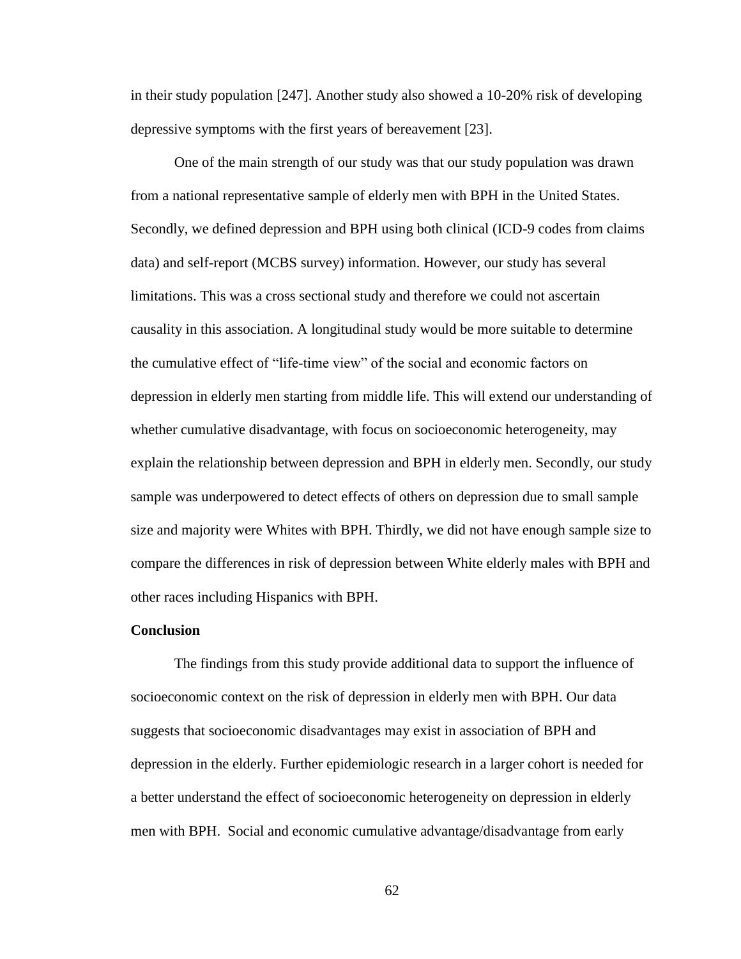in their study population [247]. Another study also showed a 10-20% risk of developing depressive symptoms with the first years of bereavement [23].

One of the main strength of our study was that our study population was drawn from a national representative sample of elderly men with BPH in the United States. Secondly, we defined depression and BPH using both clinical (ICD-9 codes from claims data) and self-report (MCBS survey) information. However, our study has several limitations. This was a cross sectional study and therefore we could not ascertain causality in this association. A longitudinal study would be more suitable to determine the cumulative effect of "life-time view" of the social and economic factors on depression in elderly men starting from middle life. This will extend our understanding of whether cumulative disadvantage, with focus on socioeconomic heterogeneity, may explain the relationship between depression and BPH in elderly men. Secondly, our study sample was underpowered to detect effects of others on depression due to small sample size and majority were Whites with BPH. Thirdly, we did not have enough sample size to compare the differences in risk of depression between White elderly males with BPH and other races including Hispanics with BPH.

### **Conclusion**

The findings from this study provide additional data to support the influence of socioeconomic context on the risk of depression in elderly men with BPH. Our data suggests that socioeconomic disadvantages may exist in association of BPH and depression in the elderly. Further epidemiologic research in a larger cohort is needed for a better understand the effect of socioeconomic heterogeneity on depression in elderly men with BPH. Social and economic cumulative advantage/disadvantage from early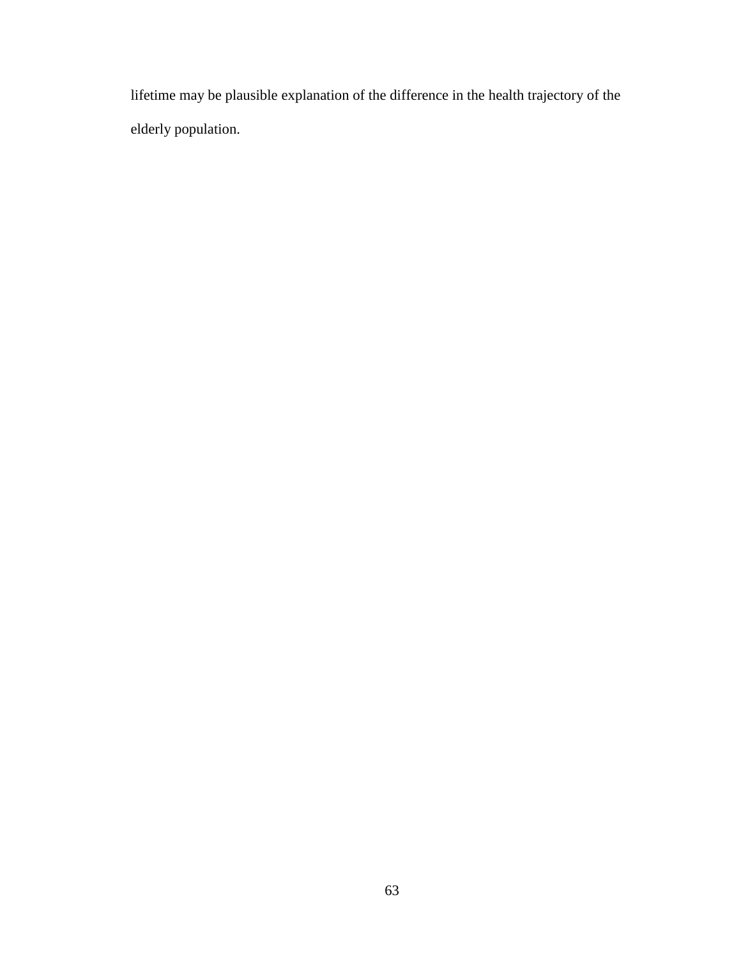lifetime may be plausible explanation of the difference in the health trajectory of the elderly population.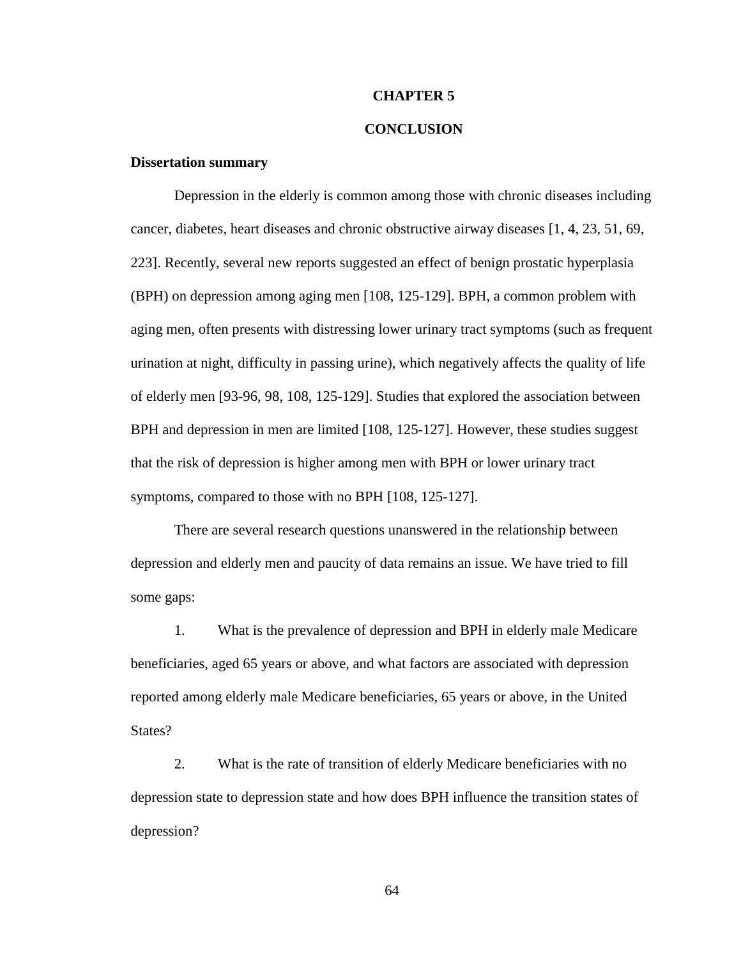### **CHAPTER 5**

## **CONCLUSION**

## **Dissertation summary**

Depression in the elderly is common among those with chronic diseases including cancer, diabetes, heart diseases and chronic obstructive airway diseases [1, 4, 23, 51, 69, 223]. Recently, several new reports suggested an effect of benign prostatic hyperplasia (BPH) on depression among aging men [108, 125-129]. BPH, a common problem with aging men, often presents with distressing lower urinary tract symptoms (such as frequent urination at night, difficulty in passing urine), which negatively affects the quality of life of elderly men [93-96, 98, 108, 125-129]. Studies that explored the association between BPH and depression in men are limited [108, 125-127]. However, these studies suggest that the risk of depression is higher among men with BPH or lower urinary tract symptoms, compared to those with no BPH [108, 125-127].

There are several research questions unanswered in the relationship between depression and elderly men and paucity of data remains an issue. We have tried to fill some gaps:

1. What is the prevalence of depression and BPH in elderly male Medicare beneficiaries, aged 65 years or above, and what factors are associated with depression reported among elderly male Medicare beneficiaries, 65 years or above, in the United States?

2. What is the rate of transition of elderly Medicare beneficiaries with no depression state to depression state and how does BPH influence the transition states of depression?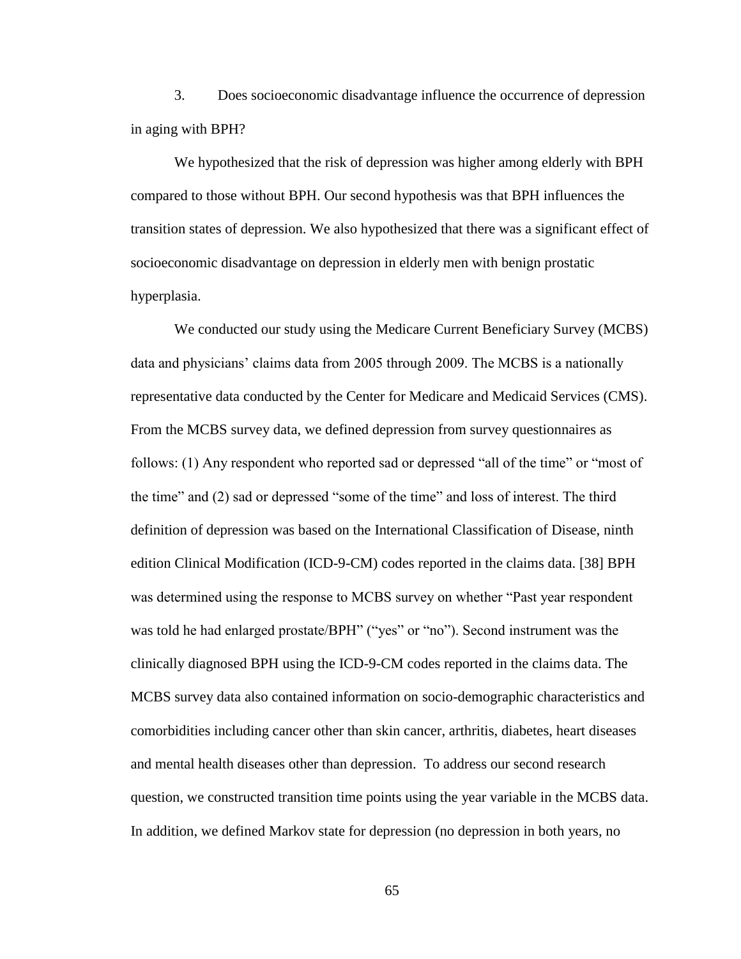3. Does socioeconomic disadvantage influence the occurrence of depression in aging with BPH?

We hypothesized that the risk of depression was higher among elderly with BPH compared to those without BPH. Our second hypothesis was that BPH influences the transition states of depression. We also hypothesized that there was a significant effect of socioeconomic disadvantage on depression in elderly men with benign prostatic hyperplasia.

We conducted our study using the Medicare Current Beneficiary Survey (MCBS) data and physicians' claims data from 2005 through 2009. The MCBS is a nationally representative data conducted by the Center for Medicare and Medicaid Services (CMS). From the MCBS survey data, we defined depression from survey questionnaires as follows: (1) Any respondent who reported sad or depressed "all of the time" or "most of the time" and (2) sad or depressed "some of the time" and loss of interest. The third definition of depression was based on the International Classification of Disease, ninth edition Clinical Modification (ICD-9-CM) codes reported in the claims data. [38] BPH was determined using the response to MCBS survey on whether "Past year respondent was told he had enlarged prostate/BPH" ("yes" or "no"). Second instrument was the clinically diagnosed BPH using the ICD-9-CM codes reported in the claims data. The MCBS survey data also contained information on socio-demographic characteristics and comorbidities including cancer other than skin cancer, arthritis, diabetes, heart diseases and mental health diseases other than depression. To address our second research question, we constructed transition time points using the year variable in the MCBS data. In addition, we defined Markov state for depression (no depression in both years, no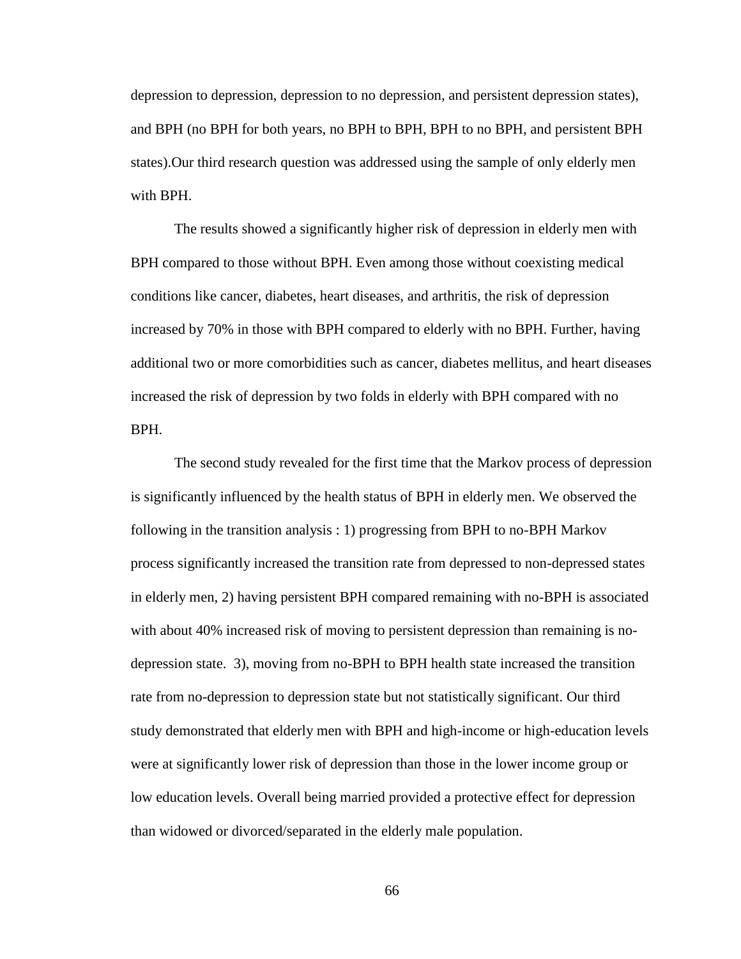depression to depression, depression to no depression, and persistent depression states), and BPH (no BPH for both years, no BPH to BPH, BPH to no BPH, and persistent BPH states).Our third research question was addressed using the sample of only elderly men with BPH.

The results showed a significantly higher risk of depression in elderly men with BPH compared to those without BPH. Even among those without coexisting medical conditions like cancer, diabetes, heart diseases, and arthritis, the risk of depression increased by 70% in those with BPH compared to elderly with no BPH. Further, having additional two or more comorbidities such as cancer, diabetes mellitus, and heart diseases increased the risk of depression by two folds in elderly with BPH compared with no BPH.

The second study revealed for the first time that the Markov process of depression is significantly influenced by the health status of BPH in elderly men. We observed the following in the transition analysis : 1) progressing from BPH to no-BPH Markov process significantly increased the transition rate from depressed to non-depressed states in elderly men, 2) having persistent BPH compared remaining with no-BPH is associated with about 40% increased risk of moving to persistent depression than remaining is nodepression state. 3), moving from no-BPH to BPH health state increased the transition rate from no-depression to depression state but not statistically significant. Our third study demonstrated that elderly men with BPH and high-income or high-education levels were at significantly lower risk of depression than those in the lower income group or low education levels. Overall being married provided a protective effect for depression than widowed or divorced/separated in the elderly male population.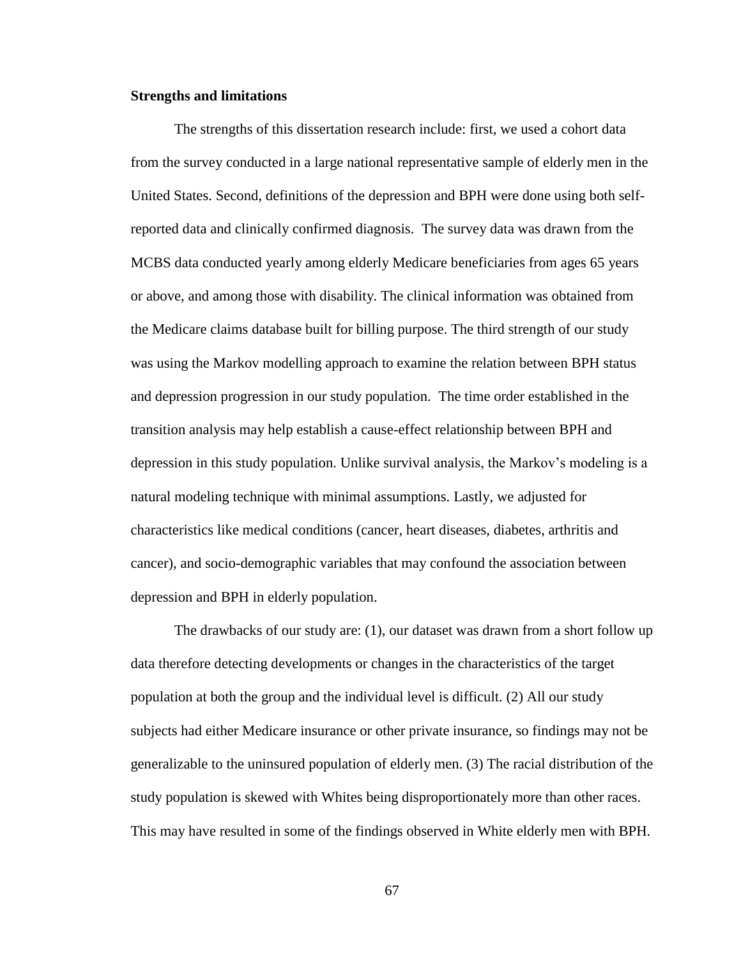## **Strengths and limitations**

The strengths of this dissertation research include: first, we used a cohort data from the survey conducted in a large national representative sample of elderly men in the United States. Second, definitions of the depression and BPH were done using both selfreported data and clinically confirmed diagnosis. The survey data was drawn from the MCBS data conducted yearly among elderly Medicare beneficiaries from ages 65 years or above, and among those with disability. The clinical information was obtained from the Medicare claims database built for billing purpose. The third strength of our study was using the Markov modelling approach to examine the relation between BPH status and depression progression in our study population. The time order established in the transition analysis may help establish a cause-effect relationship between BPH and depression in this study population. Unlike survival analysis, the Markov's modeling is a natural modeling technique with minimal assumptions. Lastly, we adjusted for characteristics like medical conditions (cancer, heart diseases, diabetes, arthritis and cancer), and socio-demographic variables that may confound the association between depression and BPH in elderly population.

The drawbacks of our study are: (1), our dataset was drawn from a short follow up data therefore detecting developments or changes in the characteristics of the target population at both the group and the individual level is difficult. (2) All our study subjects had either Medicare insurance or other private insurance, so findings may not be generalizable to the uninsured population of elderly men. (3) The racial distribution of the study population is skewed with Whites being disproportionately more than other races. This may have resulted in some of the findings observed in White elderly men with BPH.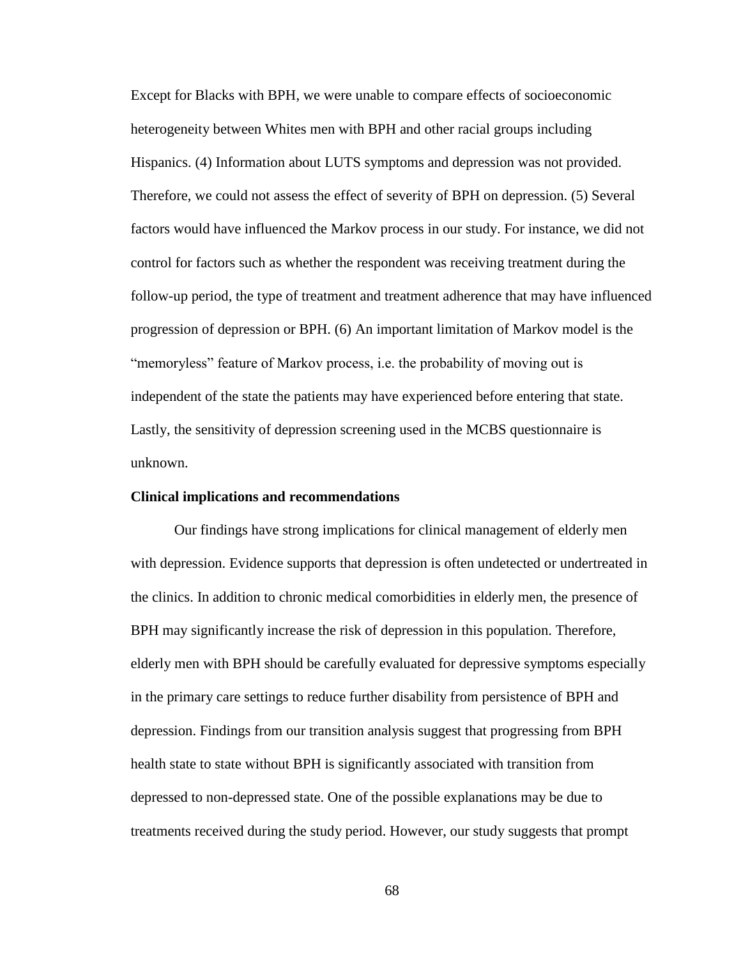Except for Blacks with BPH, we were unable to compare effects of socioeconomic heterogeneity between Whites men with BPH and other racial groups including Hispanics. (4) Information about LUTS symptoms and depression was not provided. Therefore, we could not assess the effect of severity of BPH on depression. (5) Several factors would have influenced the Markov process in our study. For instance, we did not control for factors such as whether the respondent was receiving treatment during the follow-up period, the type of treatment and treatment adherence that may have influenced progression of depression or BPH. (6) An important limitation of Markov model is the "memoryless" feature of Markov process, i.e. the probability of moving out is independent of the state the patients may have experienced before entering that state. Lastly, the sensitivity of depression screening used in the MCBS questionnaire is unknown.

#### **Clinical implications and recommendations**

Our findings have strong implications for clinical management of elderly men with depression. Evidence supports that depression is often undetected or undertreated in the clinics. In addition to chronic medical comorbidities in elderly men, the presence of BPH may significantly increase the risk of depression in this population. Therefore, elderly men with BPH should be carefully evaluated for depressive symptoms especially in the primary care settings to reduce further disability from persistence of BPH and depression. Findings from our transition analysis suggest that progressing from BPH health state to state without BPH is significantly associated with transition from depressed to non-depressed state. One of the possible explanations may be due to treatments received during the study period. However, our study suggests that prompt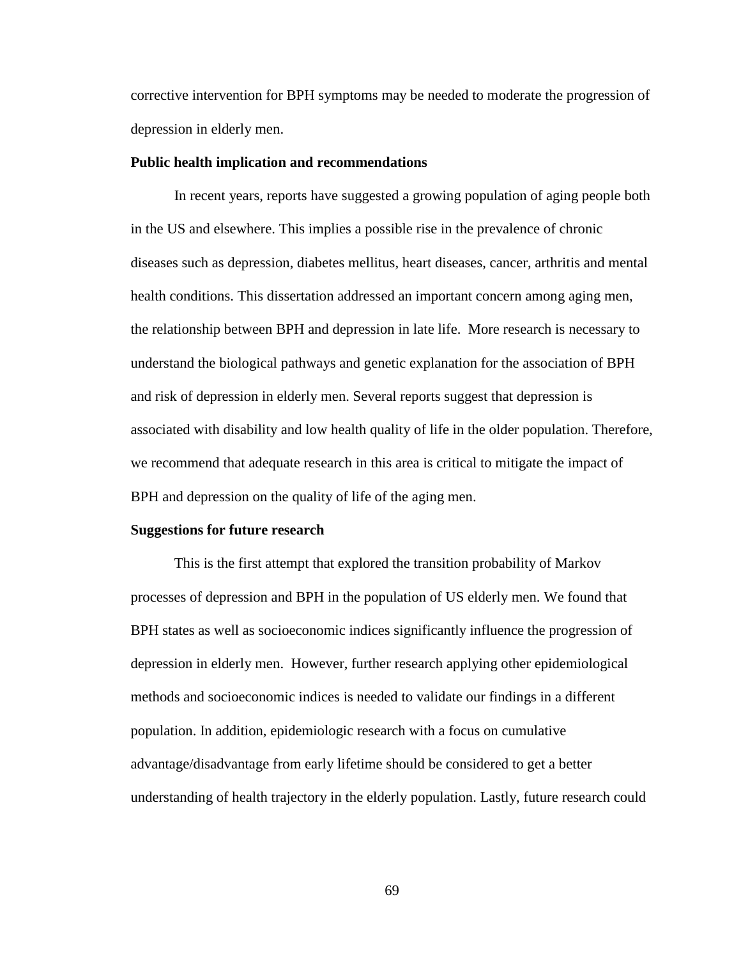corrective intervention for BPH symptoms may be needed to moderate the progression of depression in elderly men.

#### **Public health implication and recommendations**

In recent years, reports have suggested a growing population of aging people both in the US and elsewhere. This implies a possible rise in the prevalence of chronic diseases such as depression, diabetes mellitus, heart diseases, cancer, arthritis and mental health conditions. This dissertation addressed an important concern among aging men, the relationship between BPH and depression in late life. More research is necessary to understand the biological pathways and genetic explanation for the association of BPH and risk of depression in elderly men. Several reports suggest that depression is associated with disability and low health quality of life in the older population. Therefore, we recommend that adequate research in this area is critical to mitigate the impact of BPH and depression on the quality of life of the aging men.

#### **Suggestions for future research**

This is the first attempt that explored the transition probability of Markov processes of depression and BPH in the population of US elderly men. We found that BPH states as well as socioeconomic indices significantly influence the progression of depression in elderly men. However, further research applying other epidemiological methods and socioeconomic indices is needed to validate our findings in a different population. In addition, epidemiologic research with a focus on cumulative advantage/disadvantage from early lifetime should be considered to get a better understanding of health trajectory in the elderly population. Lastly, future research could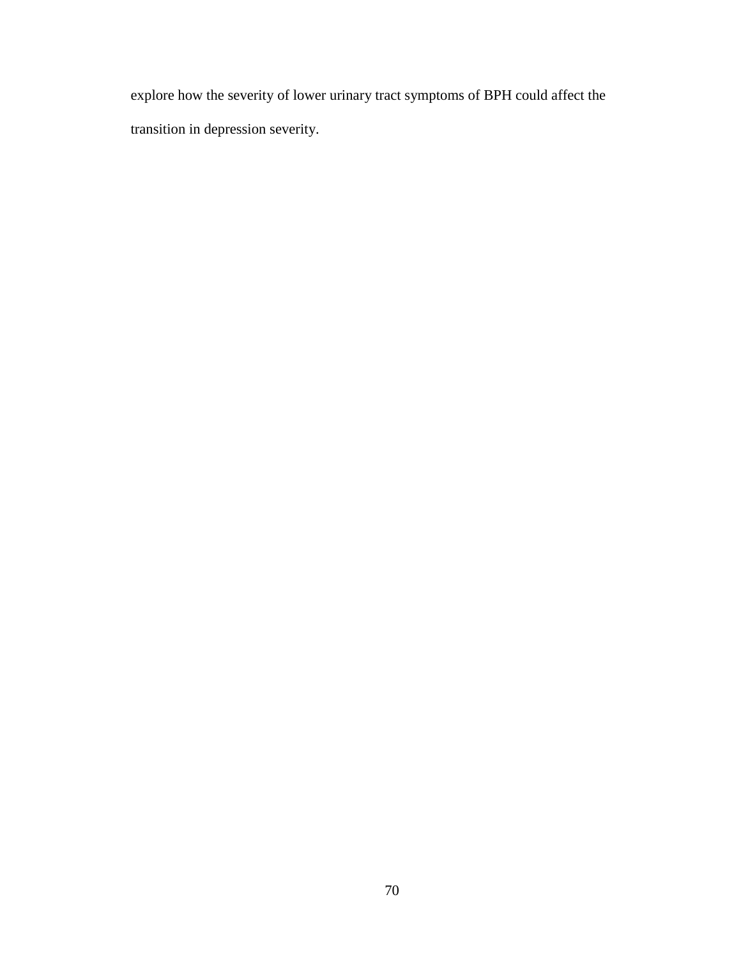explore how the severity of lower urinary tract symptoms of BPH could affect the transition in depression severity.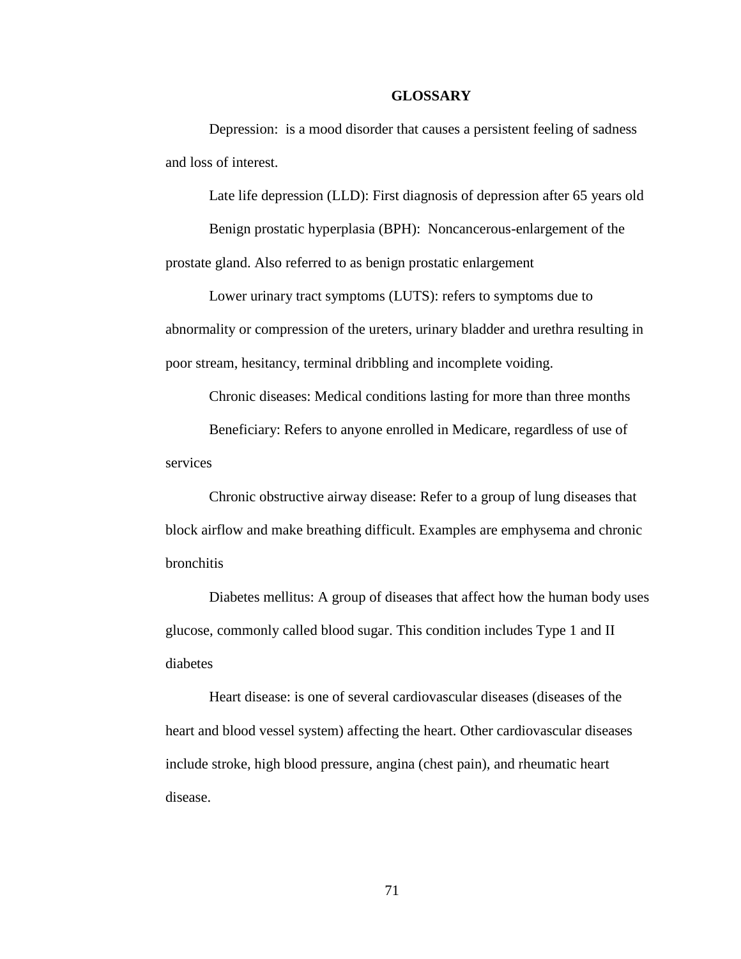### **GLOSSARY**

Depression: is a mood disorder that causes a persistent feeling of sadness and loss of interest.

Late life depression (LLD): First diagnosis of depression after 65 years old

Benign prostatic hyperplasia (BPH): Noncancerous-enlargement of the prostate gland. Also referred to as benign prostatic enlargement

Lower urinary tract symptoms (LUTS): refers to symptoms due to abnormality or compression of the ureters, urinary bladder and urethra resulting in poor stream, hesitancy, terminal dribbling and incomplete voiding.

Chronic diseases: Medical conditions lasting for more than three months

Beneficiary: Refers to anyone enrolled in Medicare, regardless of use of services

Chronic obstructive airway disease: Refer to a group of lung diseases that block airflow and make breathing difficult. Examples are emphysema and chronic bronchitis

Diabetes mellitus: A group of diseases that affect how the human body uses glucose, commonly called blood sugar. This condition includes Type 1 and II diabetes

Heart disease: is one of several cardiovascular diseases (diseases of the heart and blood vessel system) affecting the heart. Other cardiovascular diseases include stroke, high blood pressure, angina (chest pain), and rheumatic heart disease.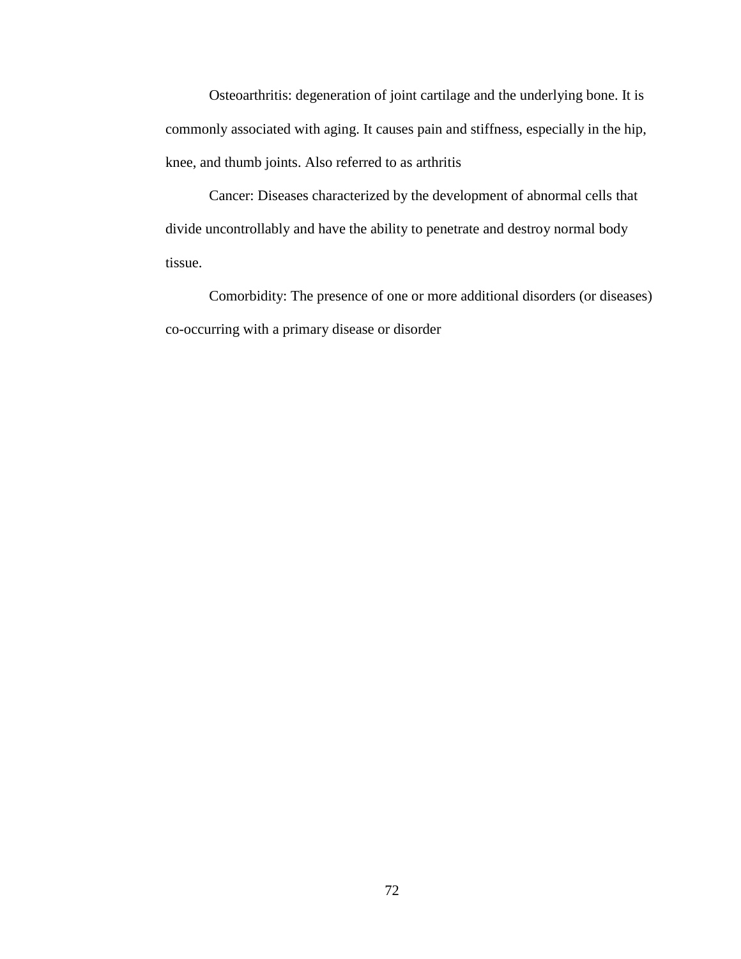Osteoarthritis: degeneration of joint cartilage and the underlying bone. It is commonly associated with aging. It causes pain and stiffness, especially in the hip, knee, and thumb joints. Also referred to as arthritis

Cancer: Diseases characterized by the development of abnormal cells that divide uncontrollably and have the ability to penetrate and destroy normal body tissue.

Comorbidity: The presence of one or more additional disorders (or diseases) co-occurring with a primary disease or disorder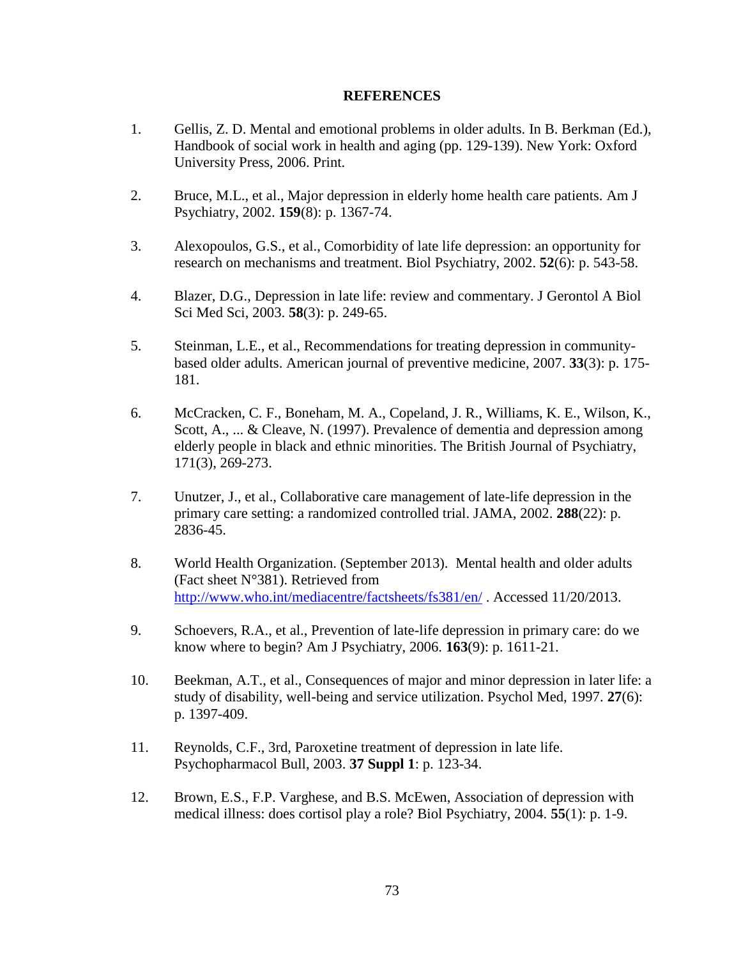# **REFERENCES**

- 1. Gellis, Z. D. Mental and emotional problems in older adults. In B. Berkman (Ed.), Handbook of social work in health and aging (pp. 129-139). New York: Oxford University Press, 2006. Print.
- 2. Bruce, M.L., et al., Major depression in elderly home health care patients. Am J Psychiatry, 2002. **159**(8): p. 1367-74.
- 3. Alexopoulos, G.S., et al., Comorbidity of late life depression: an opportunity for research on mechanisms and treatment. Biol Psychiatry, 2002. **52**(6): p. 543-58.
- 4. Blazer, D.G., Depression in late life: review and commentary. J Gerontol A Biol Sci Med Sci, 2003. **58**(3): p. 249-65.
- 5. Steinman, L.E., et al., Recommendations for treating depression in communitybased older adults. American journal of preventive medicine, 2007. **33**(3): p. 175- 181.
- 6. McCracken, C. F., Boneham, M. A., Copeland, J. R., Williams, K. E., Wilson, K., Scott, A., ... & Cleave, N. (1997). Prevalence of dementia and depression among elderly people in black and ethnic minorities. The British Journal of Psychiatry, 171(3), 269-273.
- 7. Unutzer, J., et al., Collaborative care management of late-life depression in the primary care setting: a randomized controlled trial. JAMA, 2002. **288**(22): p. 2836-45.
- 8. World Health Organization. (September 2013). Mental health and older adults (Fact sheet N°381). Retrieved from <http://www.who.int/mediacentre/factsheets/fs381/en/> . Accessed 11/20/2013.
- 9. Schoevers, R.A., et al., Prevention of late-life depression in primary care: do we know where to begin? Am J Psychiatry, 2006. **163**(9): p. 1611-21.
- 10. Beekman, A.T., et al., Consequences of major and minor depression in later life: a study of disability, well-being and service utilization. Psychol Med, 1997. **27**(6): p. 1397-409.
- 11. Reynolds, C.F., 3rd, Paroxetine treatment of depression in late life. Psychopharmacol Bull, 2003. **37 Suppl 1**: p. 123-34.
- 12. Brown, E.S., F.P. Varghese, and B.S. McEwen, Association of depression with medical illness: does cortisol play a role? Biol Psychiatry, 2004. **55**(1): p. 1-9.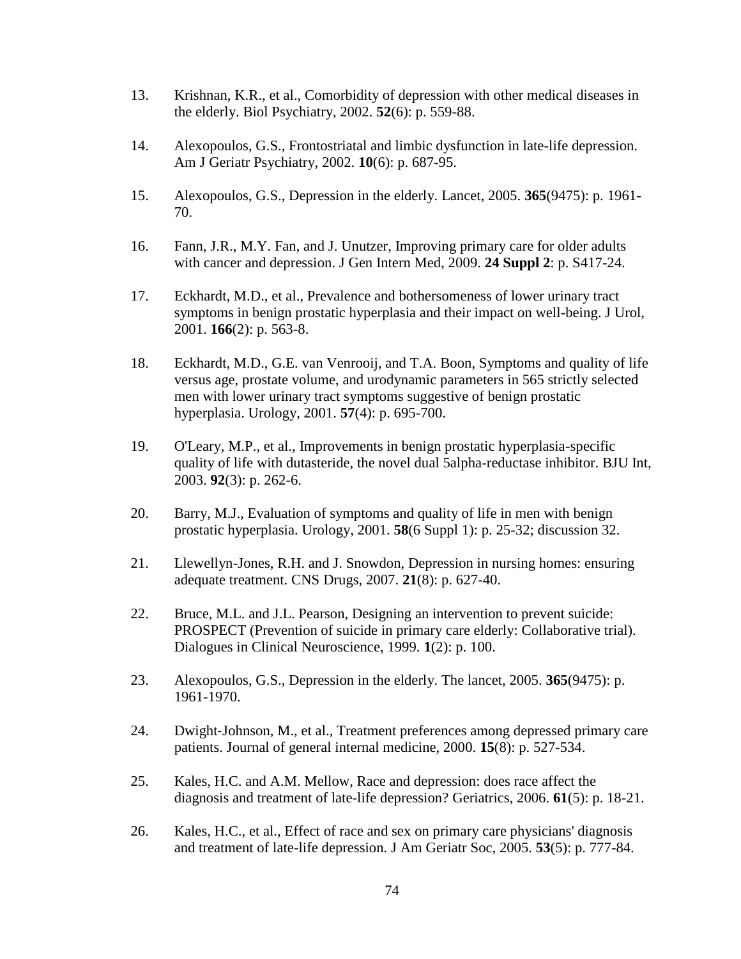- 13. Krishnan, K.R., et al., Comorbidity of depression with other medical diseases in the elderly. Biol Psychiatry, 2002. **52**(6): p. 559-88.
- 14. Alexopoulos, G.S., Frontostriatal and limbic dysfunction in late-life depression. Am J Geriatr Psychiatry, 2002. **10**(6): p. 687-95.
- 15. Alexopoulos, G.S., Depression in the elderly. Lancet, 2005. **365**(9475): p. 1961- 70.
- 16. Fann, J.R., M.Y. Fan, and J. Unutzer, Improving primary care for older adults with cancer and depression. J Gen Intern Med, 2009. **24 Suppl 2**: p. S417-24.
- 17. Eckhardt, M.D., et al., Prevalence and bothersomeness of lower urinary tract symptoms in benign prostatic hyperplasia and their impact on well-being. J Urol, 2001. **166**(2): p. 563-8.
- 18. Eckhardt, M.D., G.E. van Venrooij, and T.A. Boon, Symptoms and quality of life versus age, prostate volume, and urodynamic parameters in 565 strictly selected men with lower urinary tract symptoms suggestive of benign prostatic hyperplasia. Urology, 2001. **57**(4): p. 695-700.
- 19. O'Leary, M.P., et al., Improvements in benign prostatic hyperplasia-specific quality of life with dutasteride, the novel dual 5alpha-reductase inhibitor. BJU Int, 2003. **92**(3): p. 262-6.
- 20. Barry, M.J., Evaluation of symptoms and quality of life in men with benign prostatic hyperplasia. Urology, 2001. **58**(6 Suppl 1): p. 25-32; discussion 32.
- 21. Llewellyn-Jones, R.H. and J. Snowdon, Depression in nursing homes: ensuring adequate treatment. CNS Drugs, 2007. **21**(8): p. 627-40.
- 22. Bruce, M.L. and J.L. Pearson, Designing an intervention to prevent suicide: PROSPECT (Prevention of suicide in primary care elderly: Collaborative trial). Dialogues in Clinical Neuroscience, 1999. **1**(2): p. 100.
- 23. Alexopoulos, G.S., Depression in the elderly. The lancet, 2005. **365**(9475): p. 1961-1970.
- 24. Dwight‐Johnson, M., et al., Treatment preferences among depressed primary care patients. Journal of general internal medicine, 2000. **15**(8): p. 527-534.
- 25. Kales, H.C. and A.M. Mellow, Race and depression: does race affect the diagnosis and treatment of late-life depression? Geriatrics, 2006. **61**(5): p. 18-21.
- 26. Kales, H.C., et al., Effect of race and sex on primary care physicians' diagnosis and treatment of late-life depression. J Am Geriatr Soc, 2005. **53**(5): p. 777-84.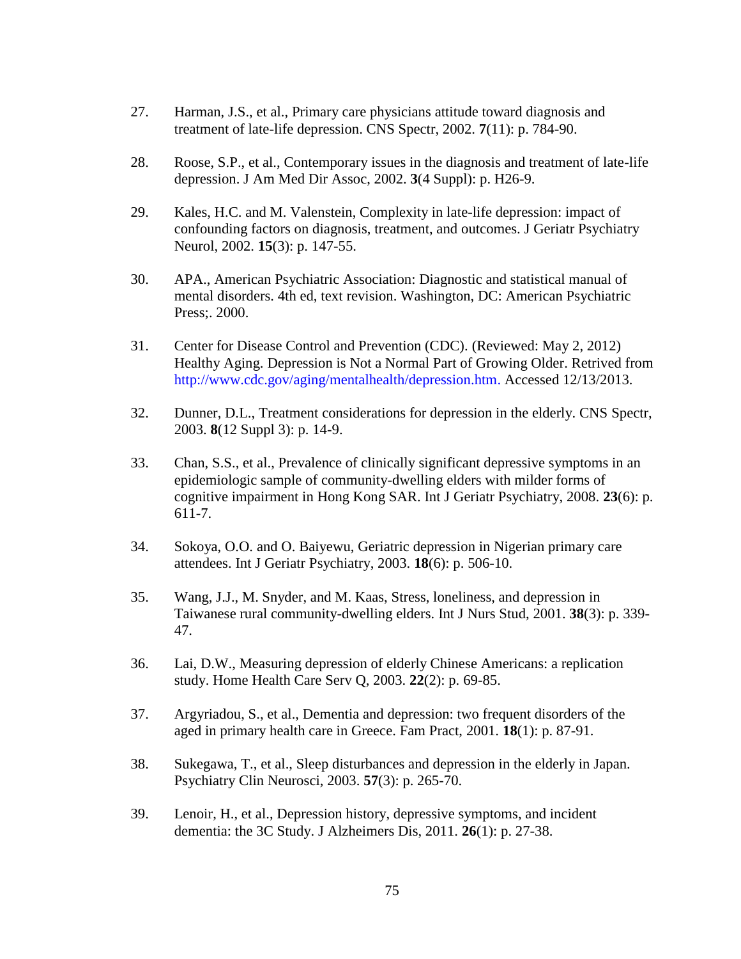- 27. Harman, J.S., et al., Primary care physicians attitude toward diagnosis and treatment of late-life depression. CNS Spectr, 2002. **7**(11): p. 784-90.
- 28. Roose, S.P., et al., Contemporary issues in the diagnosis and treatment of late-life depression. J Am Med Dir Assoc, 2002. **3**(4 Suppl): p. H26-9.
- 29. Kales, H.C. and M. Valenstein, Complexity in late-life depression: impact of confounding factors on diagnosis, treatment, and outcomes. J Geriatr Psychiatry Neurol, 2002. **15**(3): p. 147-55.
- 30. APA., American Psychiatric Association: Diagnostic and statistical manual of mental disorders. 4th ed, text revision. Washington, DC: American Psychiatric Press;. 2000.
- 31. Center for Disease Control and Prevention (CDC). (Reviewed: May 2, 2012) Healthy Aging. Depression is Not a Normal Part of Growing Older. Retrived from [http://www.cdc.gov/aging/mentalhealth/depression.htm.](http://www.cdc.gov/aging/mentalhealth/depression.htm) Accessed 12/13/2013.
- 32. Dunner, D.L., Treatment considerations for depression in the elderly. CNS Spectr, 2003. **8**(12 Suppl 3): p. 14-9.
- 33. Chan, S.S., et al., Prevalence of clinically significant depressive symptoms in an epidemiologic sample of community-dwelling elders with milder forms of cognitive impairment in Hong Kong SAR. Int J Geriatr Psychiatry, 2008. **23**(6): p. 611-7.
- 34. Sokoya, O.O. and O. Baiyewu, Geriatric depression in Nigerian primary care attendees. Int J Geriatr Psychiatry, 2003. **18**(6): p. 506-10.
- 35. Wang, J.J., M. Snyder, and M. Kaas, Stress, loneliness, and depression in Taiwanese rural community-dwelling elders. Int J Nurs Stud, 2001. **38**(3): p. 339- 47.
- 36. Lai, D.W., Measuring depression of elderly Chinese Americans: a replication study. Home Health Care Serv Q, 2003. **22**(2): p. 69-85.
- 37. Argyriadou, S., et al., Dementia and depression: two frequent disorders of the aged in primary health care in Greece. Fam Pract, 2001. **18**(1): p. 87-91.
- 38. Sukegawa, T., et al., Sleep disturbances and depression in the elderly in Japan. Psychiatry Clin Neurosci, 2003. **57**(3): p. 265-70.
- 39. Lenoir, H., et al., Depression history, depressive symptoms, and incident dementia: the 3C Study. J Alzheimers Dis, 2011. **26**(1): p. 27-38.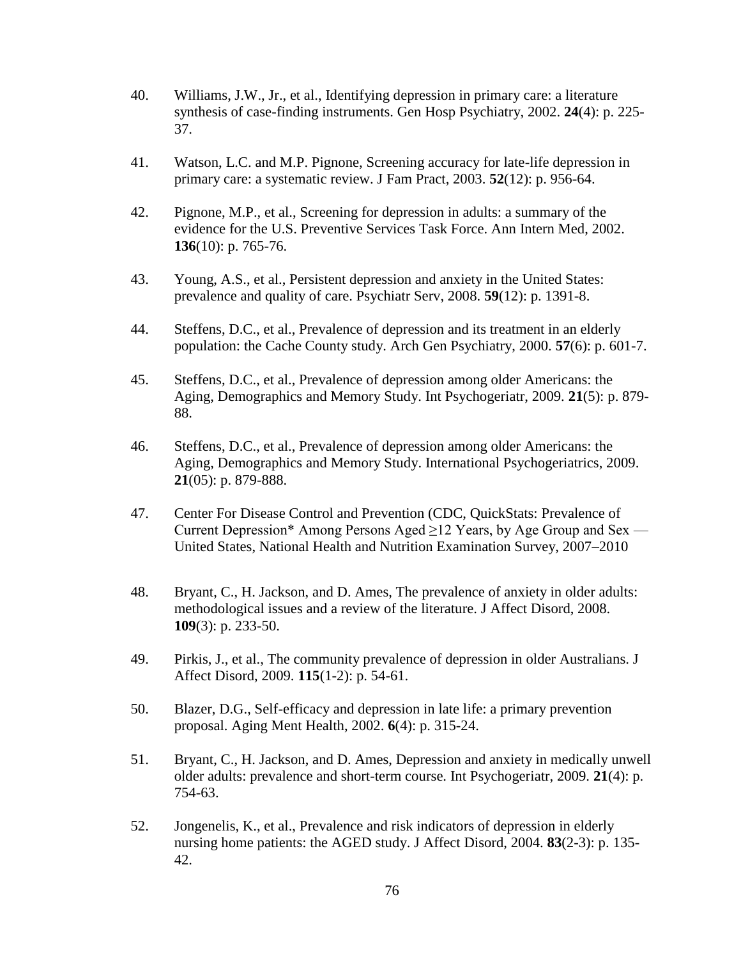- 40. Williams, J.W., Jr., et al., Identifying depression in primary care: a literature synthesis of case-finding instruments. Gen Hosp Psychiatry, 2002. **24**(4): p. 225- 37.
- 41. Watson, L.C. and M.P. Pignone, Screening accuracy for late-life depression in primary care: a systematic review. J Fam Pract, 2003. **52**(12): p. 956-64.
- 42. Pignone, M.P., et al., Screening for depression in adults: a summary of the evidence for the U.S. Preventive Services Task Force. Ann Intern Med, 2002. **136**(10): p. 765-76.
- 43. Young, A.S., et al., Persistent depression and anxiety in the United States: prevalence and quality of care. Psychiatr Serv, 2008. **59**(12): p. 1391-8.
- 44. Steffens, D.C., et al., Prevalence of depression and its treatment in an elderly population: the Cache County study. Arch Gen Psychiatry, 2000. **57**(6): p. 601-7.
- 45. Steffens, D.C., et al., Prevalence of depression among older Americans: the Aging, Demographics and Memory Study. Int Psychogeriatr, 2009. **21**(5): p. 879- 88.
- 46. Steffens, D.C., et al., Prevalence of depression among older Americans: the Aging, Demographics and Memory Study. International Psychogeriatrics, 2009. **21**(05): p. 879-888.
- 47. Center For Disease Control and Prevention (CDC, QuickStats: Prevalence of Current Depression\* Among Persons Aged  $\geq$ 12 Years, by Age Group and Sex — United States, National Health and Nutrition Examination Survey, 2007–2010
- 48. Bryant, C., H. Jackson, and D. Ames, The prevalence of anxiety in older adults: methodological issues and a review of the literature. J Affect Disord, 2008. **109**(3): p. 233-50.
- 49. Pirkis, J., et al., The community prevalence of depression in older Australians. J Affect Disord, 2009. **115**(1-2): p. 54-61.
- 50. Blazer, D.G., Self-efficacy and depression in late life: a primary prevention proposal. Aging Ment Health, 2002. **6**(4): p. 315-24.
- 51. Bryant, C., H. Jackson, and D. Ames, Depression and anxiety in medically unwell older adults: prevalence and short-term course. Int Psychogeriatr, 2009. **21**(4): p. 754-63.
- 52. Jongenelis, K., et al., Prevalence and risk indicators of depression in elderly nursing home patients: the AGED study. J Affect Disord, 2004. **83**(2-3): p. 135- 42.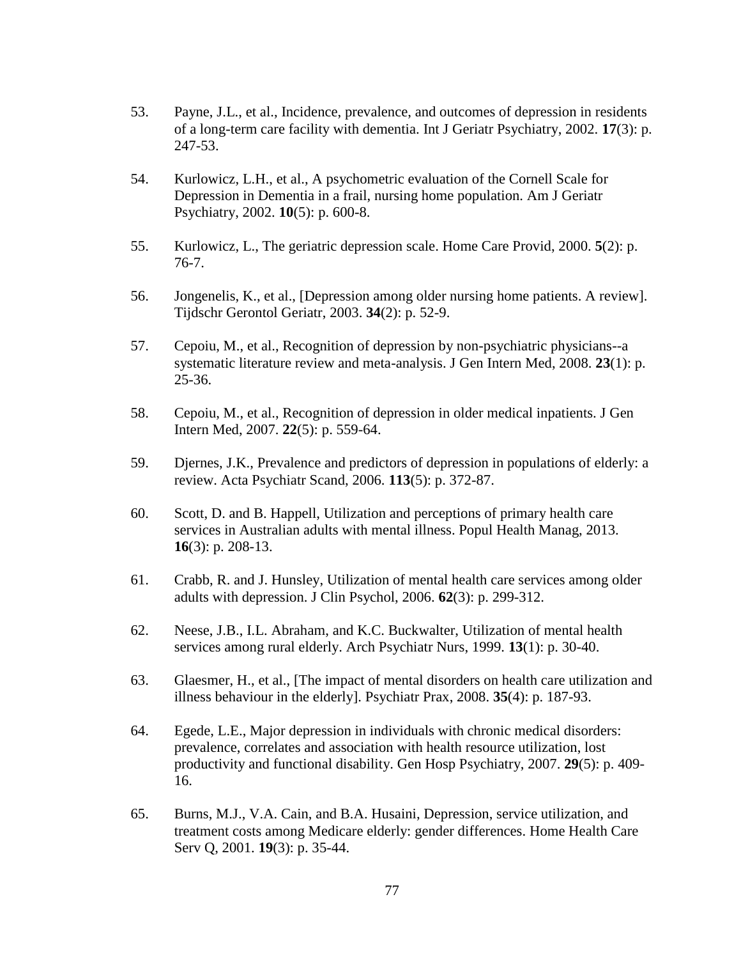- 53. Payne, J.L., et al., Incidence, prevalence, and outcomes of depression in residents of a long-term care facility with dementia. Int J Geriatr Psychiatry, 2002. **17**(3): p. 247-53.
- 54. Kurlowicz, L.H., et al., A psychometric evaluation of the Cornell Scale for Depression in Dementia in a frail, nursing home population. Am J Geriatr Psychiatry, 2002. **10**(5): p. 600-8.
- 55. Kurlowicz, L., The geriatric depression scale. Home Care Provid, 2000. **5**(2): p. 76-7.
- 56. Jongenelis, K., et al., [Depression among older nursing home patients. A review]. Tijdschr Gerontol Geriatr, 2003. **34**(2): p. 52-9.
- 57. Cepoiu, M., et al., Recognition of depression by non-psychiatric physicians--a systematic literature review and meta-analysis. J Gen Intern Med, 2008. **23**(1): p. 25-36.
- 58. Cepoiu, M., et al., Recognition of depression in older medical inpatients. J Gen Intern Med, 2007. **22**(5): p. 559-64.
- 59. Djernes, J.K., Prevalence and predictors of depression in populations of elderly: a review. Acta Psychiatr Scand, 2006. **113**(5): p. 372-87.
- 60. Scott, D. and B. Happell, Utilization and perceptions of primary health care services in Australian adults with mental illness. Popul Health Manag, 2013. **16**(3): p. 208-13.
- 61. Crabb, R. and J. Hunsley, Utilization of mental health care services among older adults with depression. J Clin Psychol, 2006. **62**(3): p. 299-312.
- 62. Neese, J.B., I.L. Abraham, and K.C. Buckwalter, Utilization of mental health services among rural elderly. Arch Psychiatr Nurs, 1999. **13**(1): p. 30-40.
- 63. Glaesmer, H., et al., [The impact of mental disorders on health care utilization and illness behaviour in the elderly]. Psychiatr Prax, 2008. **35**(4): p. 187-93.
- 64. Egede, L.E., Major depression in individuals with chronic medical disorders: prevalence, correlates and association with health resource utilization, lost productivity and functional disability. Gen Hosp Psychiatry, 2007. **29**(5): p. 409- 16.
- 65. Burns, M.J., V.A. Cain, and B.A. Husaini, Depression, service utilization, and treatment costs among Medicare elderly: gender differences. Home Health Care Serv Q, 2001. **19**(3): p. 35-44.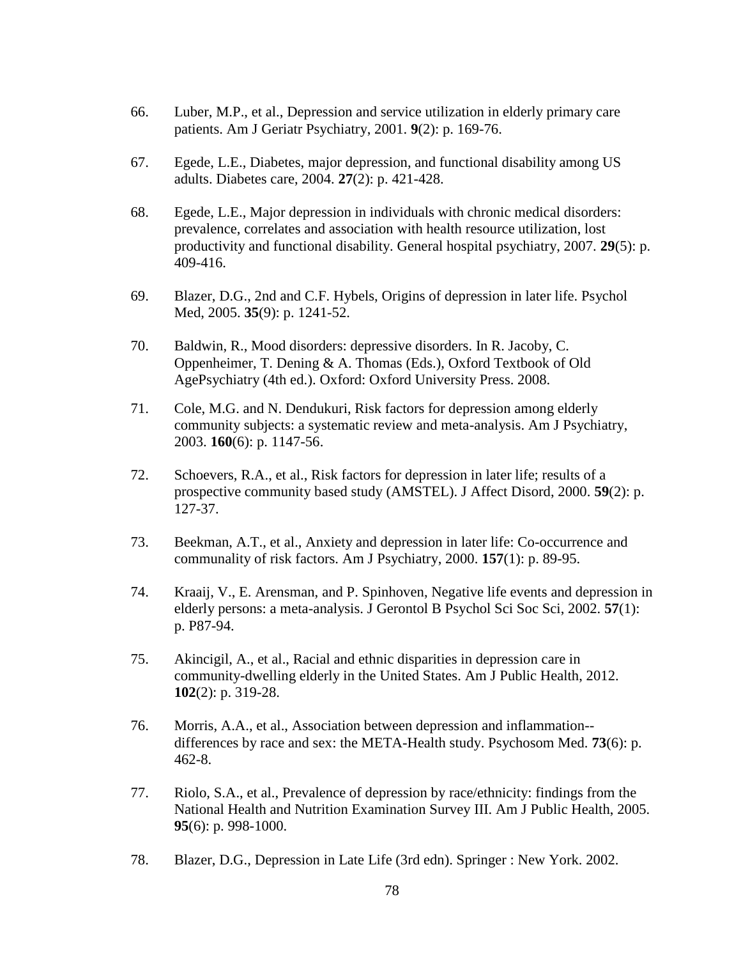- 66. Luber, M.P., et al., Depression and service utilization in elderly primary care patients. Am J Geriatr Psychiatry, 2001. **9**(2): p. 169-76.
- 67. Egede, L.E., Diabetes, major depression, and functional disability among US adults. Diabetes care, 2004. **27**(2): p. 421-428.
- 68. Egede, L.E., Major depression in individuals with chronic medical disorders: prevalence, correlates and association with health resource utilization, lost productivity and functional disability. General hospital psychiatry, 2007. **29**(5): p. 409-416.
- 69. Blazer, D.G., 2nd and C.F. Hybels, Origins of depression in later life. Psychol Med, 2005. **35**(9): p. 1241-52.
- 70. Baldwin, R., Mood disorders: depressive disorders. In R. Jacoby, C. Oppenheimer, T. Dening & A. Thomas (Eds.), Oxford Textbook of Old AgePsychiatry (4th ed.). Oxford: Oxford University Press. 2008.
- 71. Cole, M.G. and N. Dendukuri, Risk factors for depression among elderly community subjects: a systematic review and meta-analysis. Am J Psychiatry, 2003. **160**(6): p. 1147-56.
- 72. Schoevers, R.A., et al., Risk factors for depression in later life; results of a prospective community based study (AMSTEL). J Affect Disord, 2000. **59**(2): p. 127-37.
- 73. Beekman, A.T., et al., Anxiety and depression in later life: Co-occurrence and communality of risk factors. Am J Psychiatry, 2000. **157**(1): p. 89-95.
- 74. Kraaij, V., E. Arensman, and P. Spinhoven, Negative life events and depression in elderly persons: a meta-analysis. J Gerontol B Psychol Sci Soc Sci, 2002. **57**(1): p. P87-94.
- 75. Akincigil, A., et al., Racial and ethnic disparities in depression care in community-dwelling elderly in the United States. Am J Public Health, 2012. **102**(2): p. 319-28.
- 76. Morris, A.A., et al., Association between depression and inflammation- differences by race and sex: the META-Health study. Psychosom Med. **73**(6): p. 462-8.
- 77. Riolo, S.A., et al., Prevalence of depression by race/ethnicity: findings from the National Health and Nutrition Examination Survey III. Am J Public Health, 2005. **95**(6): p. 998-1000.
- 78. Blazer, D.G., Depression in Late Life (3rd edn). Springer : New York. 2002.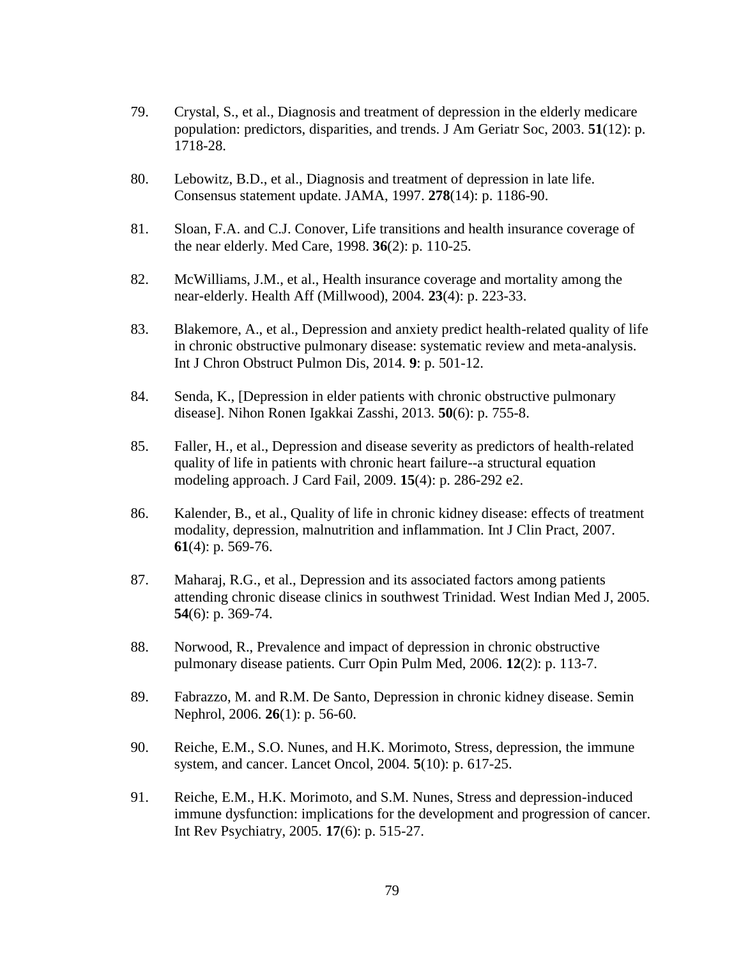- 79. Crystal, S., et al., Diagnosis and treatment of depression in the elderly medicare population: predictors, disparities, and trends. J Am Geriatr Soc, 2003. **51**(12): p. 1718-28.
- 80. Lebowitz, B.D., et al., Diagnosis and treatment of depression in late life. Consensus statement update. JAMA, 1997. **278**(14): p. 1186-90.
- 81. Sloan, F.A. and C.J. Conover, Life transitions and health insurance coverage of the near elderly. Med Care, 1998. **36**(2): p. 110-25.
- 82. McWilliams, J.M., et al., Health insurance coverage and mortality among the near-elderly. Health Aff (Millwood), 2004. **23**(4): p. 223-33.
- 83. Blakemore, A., et al., Depression and anxiety predict health-related quality of life in chronic obstructive pulmonary disease: systematic review and meta-analysis. Int J Chron Obstruct Pulmon Dis, 2014. **9**: p. 501-12.
- 84. Senda, K., [Depression in elder patients with chronic obstructive pulmonary disease]. Nihon Ronen Igakkai Zasshi, 2013. **50**(6): p. 755-8.
- 85. Faller, H., et al., Depression and disease severity as predictors of health-related quality of life in patients with chronic heart failure--a structural equation modeling approach. J Card Fail, 2009. **15**(4): p. 286-292 e2.
- 86. Kalender, B., et al., Quality of life in chronic kidney disease: effects of treatment modality, depression, malnutrition and inflammation. Int J Clin Pract, 2007. **61**(4): p. 569-76.
- 87. Maharaj, R.G., et al., Depression and its associated factors among patients attending chronic disease clinics in southwest Trinidad. West Indian Med J, 2005. **54**(6): p. 369-74.
- 88. Norwood, R., Prevalence and impact of depression in chronic obstructive pulmonary disease patients. Curr Opin Pulm Med, 2006. **12**(2): p. 113-7.
- 89. Fabrazzo, M. and R.M. De Santo, Depression in chronic kidney disease. Semin Nephrol, 2006. **26**(1): p. 56-60.
- 90. Reiche, E.M., S.O. Nunes, and H.K. Morimoto, Stress, depression, the immune system, and cancer. Lancet Oncol, 2004. **5**(10): p. 617-25.
- 91. Reiche, E.M., H.K. Morimoto, and S.M. Nunes, Stress and depression-induced immune dysfunction: implications for the development and progression of cancer. Int Rev Psychiatry, 2005. **17**(6): p. 515-27.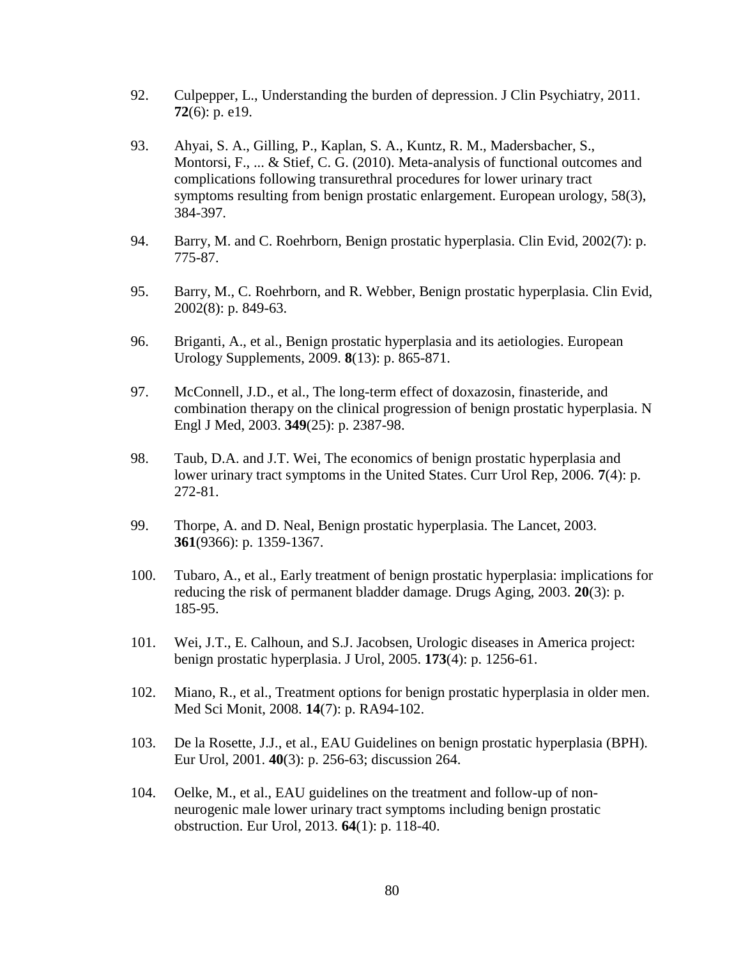- 92. Culpepper, L., Understanding the burden of depression. J Clin Psychiatry, 2011. **72**(6): p. e19.
- 93. Ahyai, S. A., Gilling, P., Kaplan, S. A., Kuntz, R. M., Madersbacher, S., Montorsi, F.,  $\dots$  & Stief, C. G. (2010). Meta-analysis of functional outcomes and complications following transurethral procedures for lower urinary tract symptoms resulting from benign prostatic enlargement. European urology, 58(3), 384-397.
- 94. Barry, M. and C. Roehrborn, Benign prostatic hyperplasia. Clin Evid, 2002(7): p. 775-87.
- 95. Barry, M., C. Roehrborn, and R. Webber, Benign prostatic hyperplasia. Clin Evid, 2002(8): p. 849-63.
- 96. Briganti, A., et al., Benign prostatic hyperplasia and its aetiologies. European Urology Supplements, 2009. **8**(13): p. 865-871.
- 97. McConnell, J.D., et al., The long-term effect of doxazosin, finasteride, and combination therapy on the clinical progression of benign prostatic hyperplasia. N Engl J Med, 2003. **349**(25): p. 2387-98.
- 98. Taub, D.A. and J.T. Wei, The economics of benign prostatic hyperplasia and lower urinary tract symptoms in the United States. Curr Urol Rep, 2006. **7**(4): p. 272-81.
- 99. Thorpe, A. and D. Neal, Benign prostatic hyperplasia. The Lancet, 2003. **361**(9366): p. 1359-1367.
- 100. Tubaro, A., et al., Early treatment of benign prostatic hyperplasia: implications for reducing the risk of permanent bladder damage. Drugs Aging, 2003. **20**(3): p. 185-95.
- 101. Wei, J.T., E. Calhoun, and S.J. Jacobsen, Urologic diseases in America project: benign prostatic hyperplasia. J Urol, 2005. **173**(4): p. 1256-61.
- 102. Miano, R., et al., Treatment options for benign prostatic hyperplasia in older men. Med Sci Monit, 2008. **14**(7): p. RA94-102.
- 103. De la Rosette, J.J., et al., EAU Guidelines on benign prostatic hyperplasia (BPH). Eur Urol, 2001. **40**(3): p. 256-63; discussion 264.
- 104. Oelke, M., et al., EAU guidelines on the treatment and follow-up of nonneurogenic male lower urinary tract symptoms including benign prostatic obstruction. Eur Urol, 2013. **64**(1): p. 118-40.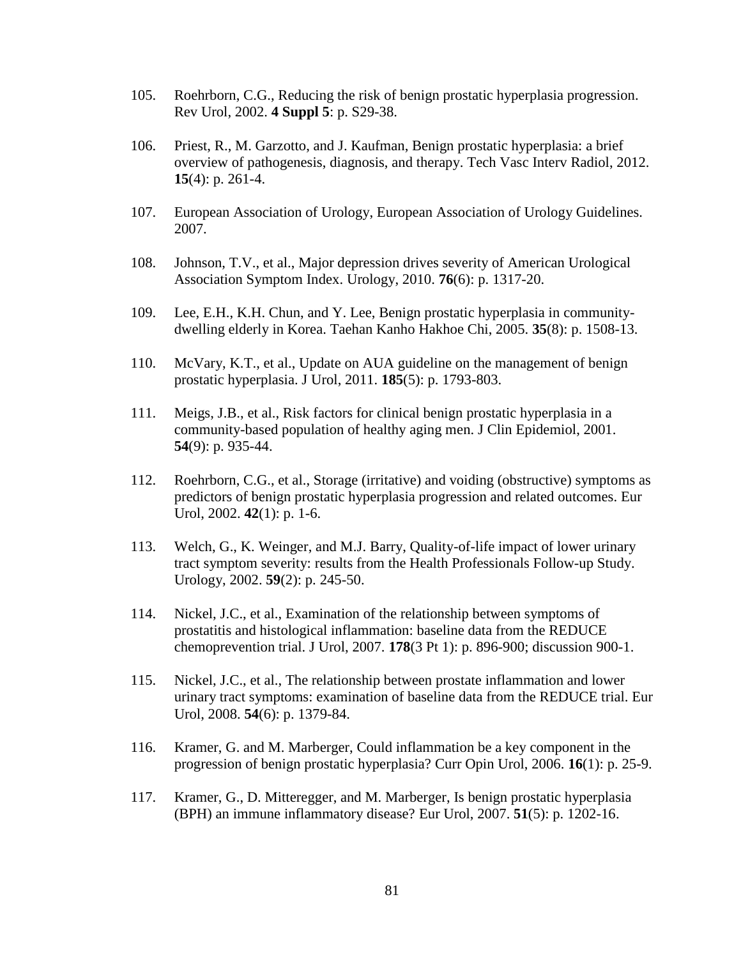- 105. Roehrborn, C.G., Reducing the risk of benign prostatic hyperplasia progression. Rev Urol, 2002. **4 Suppl 5**: p. S29-38.
- 106. Priest, R., M. Garzotto, and J. Kaufman, Benign prostatic hyperplasia: a brief overview of pathogenesis, diagnosis, and therapy. Tech Vasc Interv Radiol, 2012. **15**(4): p. 261-4.
- 107. European Association of Urology, European Association of Urology Guidelines. 2007.
- 108. Johnson, T.V., et al., Major depression drives severity of American Urological Association Symptom Index. Urology, 2010. **76**(6): p. 1317-20.
- 109. Lee, E.H., K.H. Chun, and Y. Lee, Benign prostatic hyperplasia in communitydwelling elderly in Korea. Taehan Kanho Hakhoe Chi, 2005. **35**(8): p. 1508-13.
- 110. McVary, K.T., et al., Update on AUA guideline on the management of benign prostatic hyperplasia. J Urol, 2011. **185**(5): p. 1793-803.
- 111. Meigs, J.B., et al., Risk factors for clinical benign prostatic hyperplasia in a community-based population of healthy aging men. J Clin Epidemiol, 2001. **54**(9): p. 935-44.
- 112. Roehrborn, C.G., et al., Storage (irritative) and voiding (obstructive) symptoms as predictors of benign prostatic hyperplasia progression and related outcomes. Eur Urol, 2002. **42**(1): p. 1-6.
- 113. Welch, G., K. Weinger, and M.J. Barry, Quality-of-life impact of lower urinary tract symptom severity: results from the Health Professionals Follow-up Study. Urology, 2002. **59**(2): p. 245-50.
- 114. Nickel, J.C., et al., Examination of the relationship between symptoms of prostatitis and histological inflammation: baseline data from the REDUCE chemoprevention trial. J Urol, 2007. **178**(3 Pt 1): p. 896-900; discussion 900-1.
- 115. Nickel, J.C., et al., The relationship between prostate inflammation and lower urinary tract symptoms: examination of baseline data from the REDUCE trial. Eur Urol, 2008. **54**(6): p. 1379-84.
- 116. Kramer, G. and M. Marberger, Could inflammation be a key component in the progression of benign prostatic hyperplasia? Curr Opin Urol, 2006. **16**(1): p. 25-9.
- 117. Kramer, G., D. Mitteregger, and M. Marberger, Is benign prostatic hyperplasia (BPH) an immune inflammatory disease? Eur Urol, 2007. **51**(5): p. 1202-16.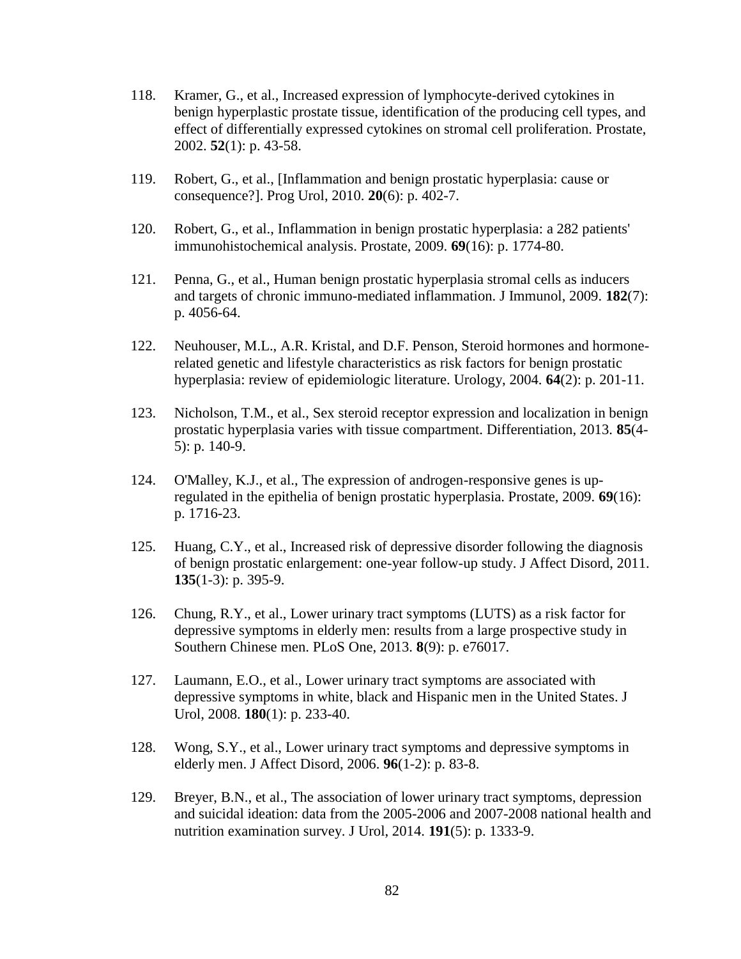- 118. Kramer, G., et al., Increased expression of lymphocyte-derived cytokines in benign hyperplastic prostate tissue, identification of the producing cell types, and effect of differentially expressed cytokines on stromal cell proliferation. Prostate, 2002. **52**(1): p. 43-58.
- 119. Robert, G., et al., [Inflammation and benign prostatic hyperplasia: cause or consequence?]. Prog Urol, 2010. **20**(6): p. 402-7.
- 120. Robert, G., et al., Inflammation in benign prostatic hyperplasia: a 282 patients' immunohistochemical analysis. Prostate, 2009. **69**(16): p. 1774-80.
- 121. Penna, G., et al., Human benign prostatic hyperplasia stromal cells as inducers and targets of chronic immuno-mediated inflammation. J Immunol, 2009. **182**(7): p. 4056-64.
- 122. Neuhouser, M.L., A.R. Kristal, and D.F. Penson, Steroid hormones and hormonerelated genetic and lifestyle characteristics as risk factors for benign prostatic hyperplasia: review of epidemiologic literature. Urology, 2004. **64**(2): p. 201-11.
- 123. Nicholson, T.M., et al., Sex steroid receptor expression and localization in benign prostatic hyperplasia varies with tissue compartment. Differentiation, 2013. **85**(4- 5): p. 140-9.
- 124. O'Malley, K.J., et al., The expression of androgen-responsive genes is upregulated in the epithelia of benign prostatic hyperplasia. Prostate, 2009. **69**(16): p. 1716-23.
- 125. Huang, C.Y., et al., Increased risk of depressive disorder following the diagnosis of benign prostatic enlargement: one-year follow-up study. J Affect Disord, 2011. **135**(1-3): p. 395-9.
- 126. Chung, R.Y., et al., Lower urinary tract symptoms (LUTS) as a risk factor for depressive symptoms in elderly men: results from a large prospective study in Southern Chinese men. PLoS One, 2013. **8**(9): p. e76017.
- 127. Laumann, E.O., et al., Lower urinary tract symptoms are associated with depressive symptoms in white, black and Hispanic men in the United States. J Urol, 2008. **180**(1): p. 233-40.
- 128. Wong, S.Y., et al., Lower urinary tract symptoms and depressive symptoms in elderly men. J Affect Disord, 2006. **96**(1-2): p. 83-8.
- 129. Breyer, B.N., et al., The association of lower urinary tract symptoms, depression and suicidal ideation: data from the 2005-2006 and 2007-2008 national health and nutrition examination survey. J Urol, 2014. **191**(5): p. 1333-9.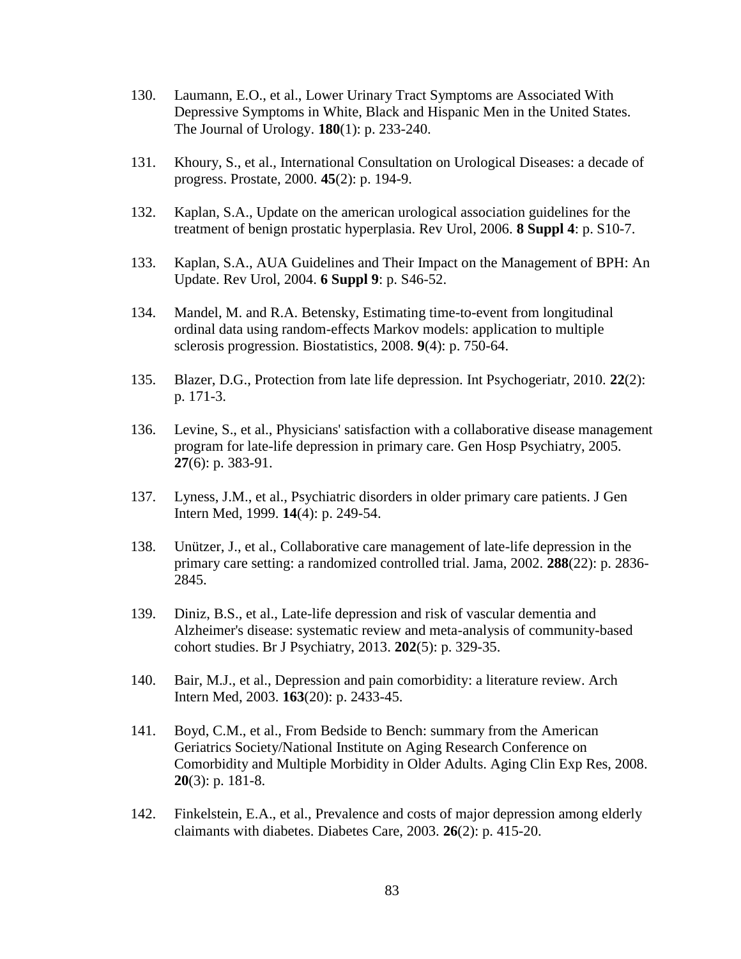- 130. Laumann, E.O., et al., Lower Urinary Tract Symptoms are Associated With Depressive Symptoms in White, Black and Hispanic Men in the United States. The Journal of Urology. **180**(1): p. 233-240.
- 131. Khoury, S., et al., International Consultation on Urological Diseases: a decade of progress. Prostate, 2000. **45**(2): p. 194-9.
- 132. Kaplan, S.A., Update on the american urological association guidelines for the treatment of benign prostatic hyperplasia. Rev Urol, 2006. **8 Suppl 4**: p. S10-7.
- 133. Kaplan, S.A., AUA Guidelines and Their Impact on the Management of BPH: An Update. Rev Urol, 2004. **6 Suppl 9**: p. S46-52.
- 134. Mandel, M. and R.A. Betensky, Estimating time-to-event from longitudinal ordinal data using random-effects Markov models: application to multiple sclerosis progression. Biostatistics, 2008. **9**(4): p. 750-64.
- 135. Blazer, D.G., Protection from late life depression. Int Psychogeriatr, 2010. **22**(2): p. 171-3.
- 136. Levine, S., et al., Physicians' satisfaction with a collaborative disease management program for late-life depression in primary care. Gen Hosp Psychiatry, 2005. **27**(6): p. 383-91.
- 137. Lyness, J.M., et al., Psychiatric disorders in older primary care patients. J Gen Intern Med, 1999. **14**(4): p. 249-54.
- 138. Unützer, J., et al., Collaborative care management of late-life depression in the primary care setting: a randomized controlled trial. Jama, 2002. **288**(22): p. 2836- 2845.
- 139. Diniz, B.S., et al., Late-life depression and risk of vascular dementia and Alzheimer's disease: systematic review and meta-analysis of community-based cohort studies. Br J Psychiatry, 2013. **202**(5): p. 329-35.
- 140. Bair, M.J., et al., Depression and pain comorbidity: a literature review. Arch Intern Med, 2003. **163**(20): p. 2433-45.
- 141. Boyd, C.M., et al., From Bedside to Bench: summary from the American Geriatrics Society/National Institute on Aging Research Conference on Comorbidity and Multiple Morbidity in Older Adults. Aging Clin Exp Res, 2008. **20**(3): p. 181-8.
- 142. Finkelstein, E.A., et al., Prevalence and costs of major depression among elderly claimants with diabetes. Diabetes Care, 2003. **26**(2): p. 415-20.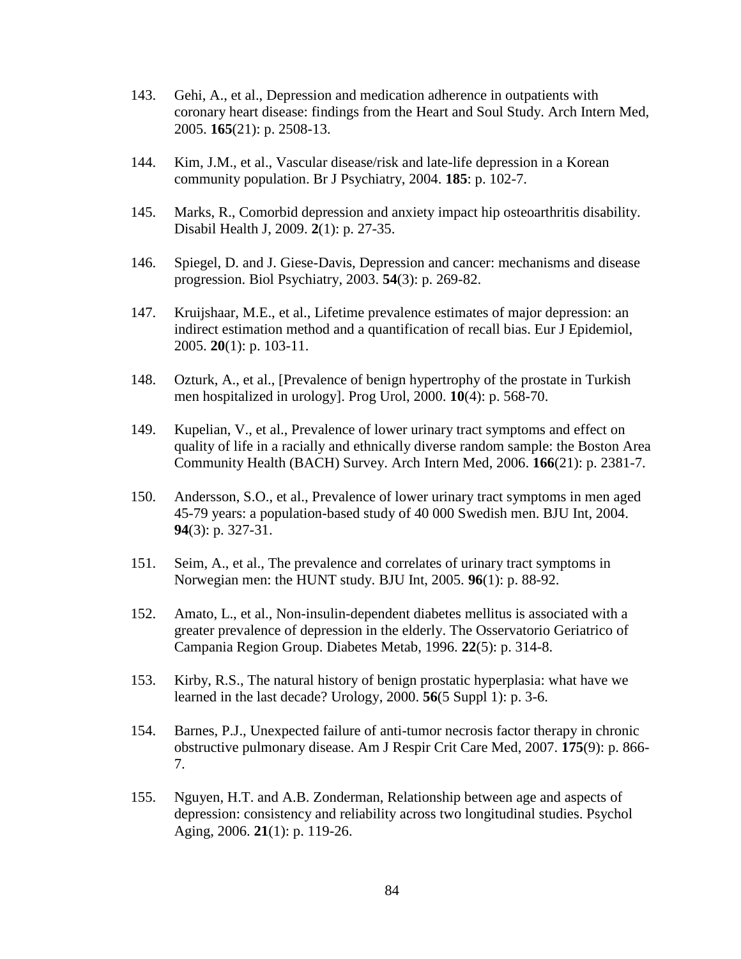- 143. Gehi, A., et al., Depression and medication adherence in outpatients with coronary heart disease: findings from the Heart and Soul Study. Arch Intern Med, 2005. **165**(21): p. 2508-13.
- 144. Kim, J.M., et al., Vascular disease/risk and late-life depression in a Korean community population. Br J Psychiatry, 2004. **185**: p. 102-7.
- 145. Marks, R., Comorbid depression and anxiety impact hip osteoarthritis disability. Disabil Health J, 2009. **2**(1): p. 27-35.
- 146. Spiegel, D. and J. Giese-Davis, Depression and cancer: mechanisms and disease progression. Biol Psychiatry, 2003. **54**(3): p. 269-82.
- 147. Kruijshaar, M.E., et al., Lifetime prevalence estimates of major depression: an indirect estimation method and a quantification of recall bias. Eur J Epidemiol, 2005. **20**(1): p. 103-11.
- 148. Ozturk, A., et al., [Prevalence of benign hypertrophy of the prostate in Turkish men hospitalized in urology]. Prog Urol, 2000. **10**(4): p. 568-70.
- 149. Kupelian, V., et al., Prevalence of lower urinary tract symptoms and effect on quality of life in a racially and ethnically diverse random sample: the Boston Area Community Health (BACH) Survey. Arch Intern Med, 2006. **166**(21): p. 2381-7.
- 150. Andersson, S.O., et al., Prevalence of lower urinary tract symptoms in men aged 45-79 years: a population-based study of 40 000 Swedish men. BJU Int, 2004. **94**(3): p. 327-31.
- 151. Seim, A., et al., The prevalence and correlates of urinary tract symptoms in Norwegian men: the HUNT study. BJU Int, 2005. **96**(1): p. 88-92.
- 152. Amato, L., et al., Non-insulin-dependent diabetes mellitus is associated with a greater prevalence of depression in the elderly. The Osservatorio Geriatrico of Campania Region Group. Diabetes Metab, 1996. **22**(5): p. 314-8.
- 153. Kirby, R.S., The natural history of benign prostatic hyperplasia: what have we learned in the last decade? Urology, 2000. **56**(5 Suppl 1): p. 3-6.
- 154. Barnes, P.J., Unexpected failure of anti-tumor necrosis factor therapy in chronic obstructive pulmonary disease. Am J Respir Crit Care Med, 2007. **175**(9): p. 866- 7.
- 155. Nguyen, H.T. and A.B. Zonderman, Relationship between age and aspects of depression: consistency and reliability across two longitudinal studies. Psychol Aging, 2006. **21**(1): p. 119-26.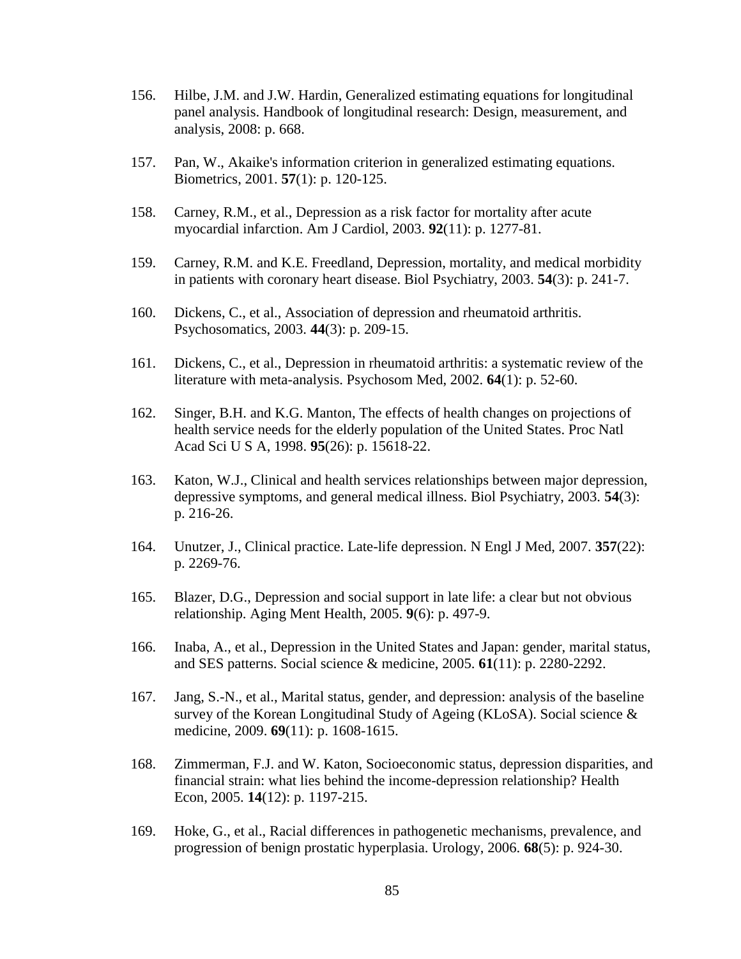- 156. Hilbe, J.M. and J.W. Hardin, Generalized estimating equations for longitudinal panel analysis. Handbook of longitudinal research: Design, measurement, and analysis, 2008: p. 668.
- 157. Pan, W., Akaike's information criterion in generalized estimating equations. Biometrics, 2001. **57**(1): p. 120-125.
- 158. Carney, R.M., et al., Depression as a risk factor for mortality after acute myocardial infarction. Am J Cardiol, 2003. **92**(11): p. 1277-81.
- 159. Carney, R.M. and K.E. Freedland, Depression, mortality, and medical morbidity in patients with coronary heart disease. Biol Psychiatry, 2003. **54**(3): p. 241-7.
- 160. Dickens, C., et al., Association of depression and rheumatoid arthritis. Psychosomatics, 2003. **44**(3): p. 209-15.
- 161. Dickens, C., et al., Depression in rheumatoid arthritis: a systematic review of the literature with meta-analysis. Psychosom Med, 2002. **64**(1): p. 52-60.
- 162. Singer, B.H. and K.G. Manton, The effects of health changes on projections of health service needs for the elderly population of the United States. Proc Natl Acad Sci U S A, 1998. **95**(26): p. 15618-22.
- 163. Katon, W.J., Clinical and health services relationships between major depression, depressive symptoms, and general medical illness. Biol Psychiatry, 2003. **54**(3): p. 216-26.
- 164. Unutzer, J., Clinical practice. Late-life depression. N Engl J Med, 2007. **357**(22): p. 2269-76.
- 165. Blazer, D.G., Depression and social support in late life: a clear but not obvious relationship. Aging Ment Health, 2005. **9**(6): p. 497-9.
- 166. Inaba, A., et al., Depression in the United States and Japan: gender, marital status, and SES patterns. Social science & medicine, 2005. **61**(11): p. 2280-2292.
- 167. Jang, S.-N., et al., Marital status, gender, and depression: analysis of the baseline survey of the Korean Longitudinal Study of Ageing (KLoSA). Social science & medicine, 2009. **69**(11): p. 1608-1615.
- 168. Zimmerman, F.J. and W. Katon, Socioeconomic status, depression disparities, and financial strain: what lies behind the income-depression relationship? Health Econ, 2005. **14**(12): p. 1197-215.
- 169. Hoke, G., et al., Racial differences in pathogenetic mechanisms, prevalence, and progression of benign prostatic hyperplasia. Urology, 2006. **68**(5): p. 924-30.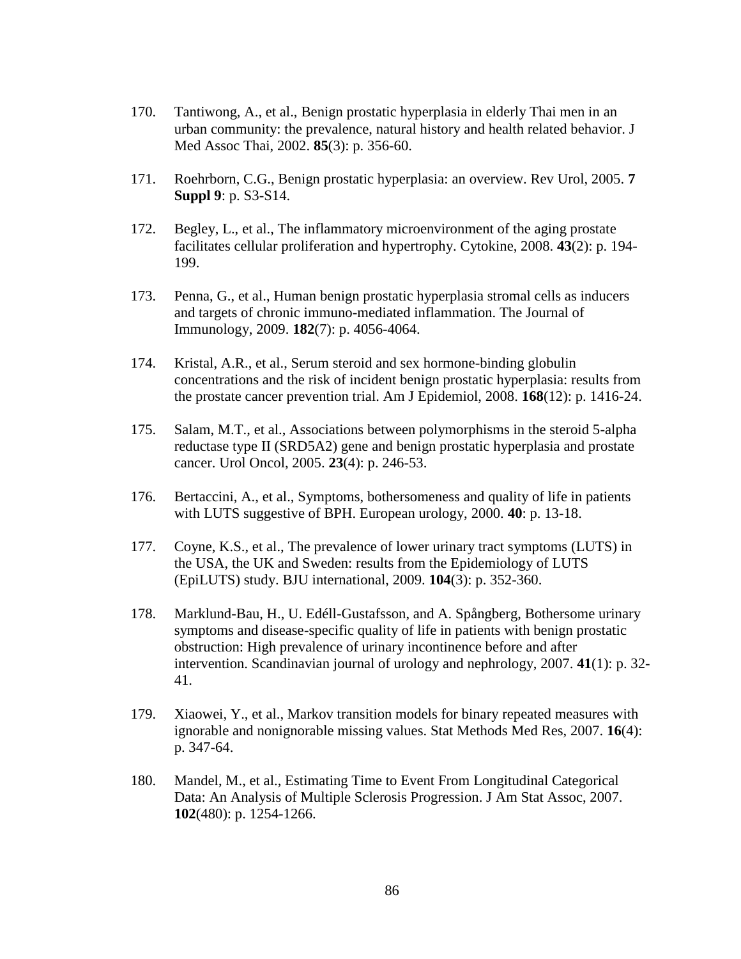- 170. Tantiwong, A., et al., Benign prostatic hyperplasia in elderly Thai men in an urban community: the prevalence, natural history and health related behavior. J Med Assoc Thai, 2002. **85**(3): p. 356-60.
- 171. Roehrborn, C.G., Benign prostatic hyperplasia: an overview. Rev Urol, 2005. **7 Suppl 9**: p. S3-S14.
- 172. Begley, L., et al., The inflammatory microenvironment of the aging prostate facilitates cellular proliferation and hypertrophy. Cytokine, 2008. **43**(2): p. 194- 199.
- 173. Penna, G., et al., Human benign prostatic hyperplasia stromal cells as inducers and targets of chronic immuno-mediated inflammation. The Journal of Immunology, 2009. **182**(7): p. 4056-4064.
- 174. Kristal, A.R., et al., Serum steroid and sex hormone-binding globulin concentrations and the risk of incident benign prostatic hyperplasia: results from the prostate cancer prevention trial. Am J Epidemiol, 2008. **168**(12): p. 1416-24.
- 175. Salam, M.T., et al., Associations between polymorphisms in the steroid 5-alpha reductase type II (SRD5A2) gene and benign prostatic hyperplasia and prostate cancer. Urol Oncol, 2005. **23**(4): p. 246-53.
- 176. Bertaccini, A., et al., Symptoms, bothersomeness and quality of life in patients with LUTS suggestive of BPH. European urology, 2000. **40**: p. 13-18.
- 177. Coyne, K.S., et al., The prevalence of lower urinary tract symptoms (LUTS) in the USA, the UK and Sweden: results from the Epidemiology of LUTS (EpiLUTS) study. BJU international, 2009. **104**(3): p. 352-360.
- 178. Marklund-Bau, H., U. Edéll-Gustafsson, and A. Spångberg, Bothersome urinary symptoms and disease-specific quality of life in patients with benign prostatic obstruction: High prevalence of urinary incontinence before and after intervention. Scandinavian journal of urology and nephrology, 2007. **41**(1): p. 32- 41.
- 179. Xiaowei, Y., et al., Markov transition models for binary repeated measures with ignorable and nonignorable missing values. Stat Methods Med Res, 2007. **16**(4): p. 347-64.
- 180. Mandel, M., et al., Estimating Time to Event From Longitudinal Categorical Data: An Analysis of Multiple Sclerosis Progression. J Am Stat Assoc, 2007. **102**(480): p. 1254-1266.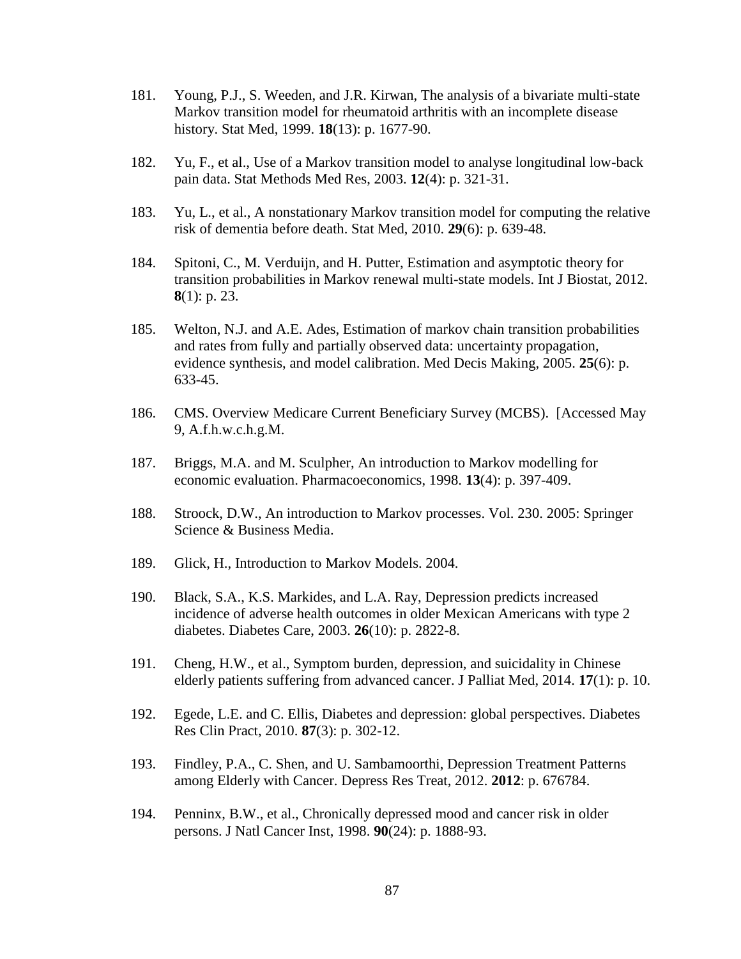- 181. Young, P.J., S. Weeden, and J.R. Kirwan, The analysis of a bivariate multi-state Markov transition model for rheumatoid arthritis with an incomplete disease history. Stat Med, 1999. **18**(13): p. 1677-90.
- 182. Yu, F., et al., Use of a Markov transition model to analyse longitudinal low-back pain data. Stat Methods Med Res, 2003. **12**(4): p. 321-31.
- 183. Yu, L., et al., A nonstationary Markov transition model for computing the relative risk of dementia before death. Stat Med, 2010. **29**(6): p. 639-48.
- 184. Spitoni, C., M. Verduijn, and H. Putter, Estimation and asymptotic theory for transition probabilities in Markov renewal multi-state models. Int J Biostat, 2012. **8**(1): p. 23.
- 185. Welton, N.J. and A.E. Ades, Estimation of markov chain transition probabilities and rates from fully and partially observed data: uncertainty propagation, evidence synthesis, and model calibration. Med Decis Making, 2005. **25**(6): p. 633-45.
- 186. CMS. Overview Medicare Current Beneficiary Survey (MCBS). [Accessed May 9, A.f.h.w.c.h.g.M.
- 187. Briggs, M.A. and M. Sculpher, An introduction to Markov modelling for economic evaluation. Pharmacoeconomics, 1998. **13**(4): p. 397-409.
- 188. Stroock, D.W., An introduction to Markov processes. Vol. 230. 2005: Springer Science & Business Media.
- 189. Glick, H., Introduction to Markov Models. 2004.
- 190. Black, S.A., K.S. Markides, and L.A. Ray, Depression predicts increased incidence of adverse health outcomes in older Mexican Americans with type 2 diabetes. Diabetes Care, 2003. **26**(10): p. 2822-8.
- 191. Cheng, H.W., et al., Symptom burden, depression, and suicidality in Chinese elderly patients suffering from advanced cancer. J Palliat Med, 2014. **17**(1): p. 10.
- 192. Egede, L.E. and C. Ellis, Diabetes and depression: global perspectives. Diabetes Res Clin Pract, 2010. **87**(3): p. 302-12.
- 193. Findley, P.A., C. Shen, and U. Sambamoorthi, Depression Treatment Patterns among Elderly with Cancer. Depress Res Treat, 2012. **2012**: p. 676784.
- 194. Penninx, B.W., et al., Chronically depressed mood and cancer risk in older persons. J Natl Cancer Inst, 1998. **90**(24): p. 1888-93.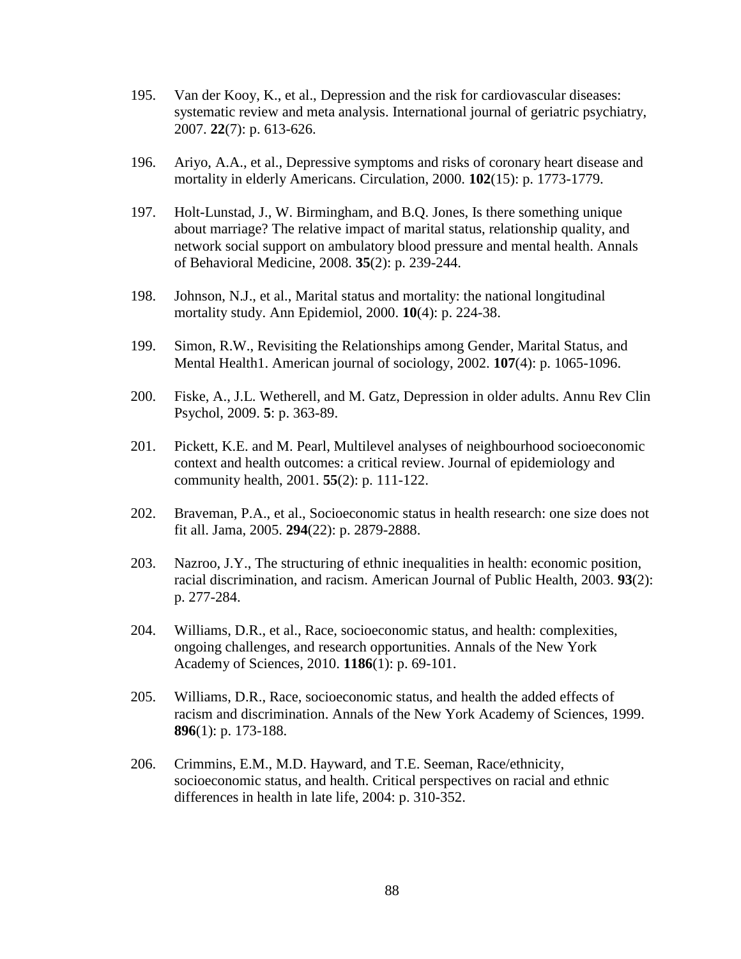- 195. Van der Kooy, K., et al., Depression and the risk for cardiovascular diseases: systematic review and meta analysis. International journal of geriatric psychiatry, 2007. **22**(7): p. 613-626.
- 196. Ariyo, A.A., et al., Depressive symptoms and risks of coronary heart disease and mortality in elderly Americans. Circulation, 2000. **102**(15): p. 1773-1779.
- 197. Holt-Lunstad, J., W. Birmingham, and B.Q. Jones, Is there something unique about marriage? The relative impact of marital status, relationship quality, and network social support on ambulatory blood pressure and mental health. Annals of Behavioral Medicine, 2008. **35**(2): p. 239-244.
- 198. Johnson, N.J., et al., Marital status and mortality: the national longitudinal mortality study. Ann Epidemiol, 2000. **10**(4): p. 224-38.
- 199. Simon, R.W., Revisiting the Relationships among Gender, Marital Status, and Mental Health1. American journal of sociology, 2002. **107**(4): p. 1065-1096.
- 200. Fiske, A., J.L. Wetherell, and M. Gatz, Depression in older adults. Annu Rev Clin Psychol, 2009. **5**: p. 363-89.
- 201. Pickett, K.E. and M. Pearl, Multilevel analyses of neighbourhood socioeconomic context and health outcomes: a critical review. Journal of epidemiology and community health, 2001. **55**(2): p. 111-122.
- 202. Braveman, P.A., et al., Socioeconomic status in health research: one size does not fit all. Jama, 2005. **294**(22): p. 2879-2888.
- 203. Nazroo, J.Y., The structuring of ethnic inequalities in health: economic position, racial discrimination, and racism. American Journal of Public Health, 2003. **93**(2): p. 277-284.
- 204. Williams, D.R., et al., Race, socioeconomic status, and health: complexities, ongoing challenges, and research opportunities. Annals of the New York Academy of Sciences, 2010. **1186**(1): p. 69-101.
- 205. Williams, D.R., Race, socioeconomic status, and health the added effects of racism and discrimination. Annals of the New York Academy of Sciences, 1999. **896**(1): p. 173-188.
- 206. Crimmins, E.M., M.D. Hayward, and T.E. Seeman, Race/ethnicity, socioeconomic status, and health. Critical perspectives on racial and ethnic differences in health in late life, 2004: p. 310-352.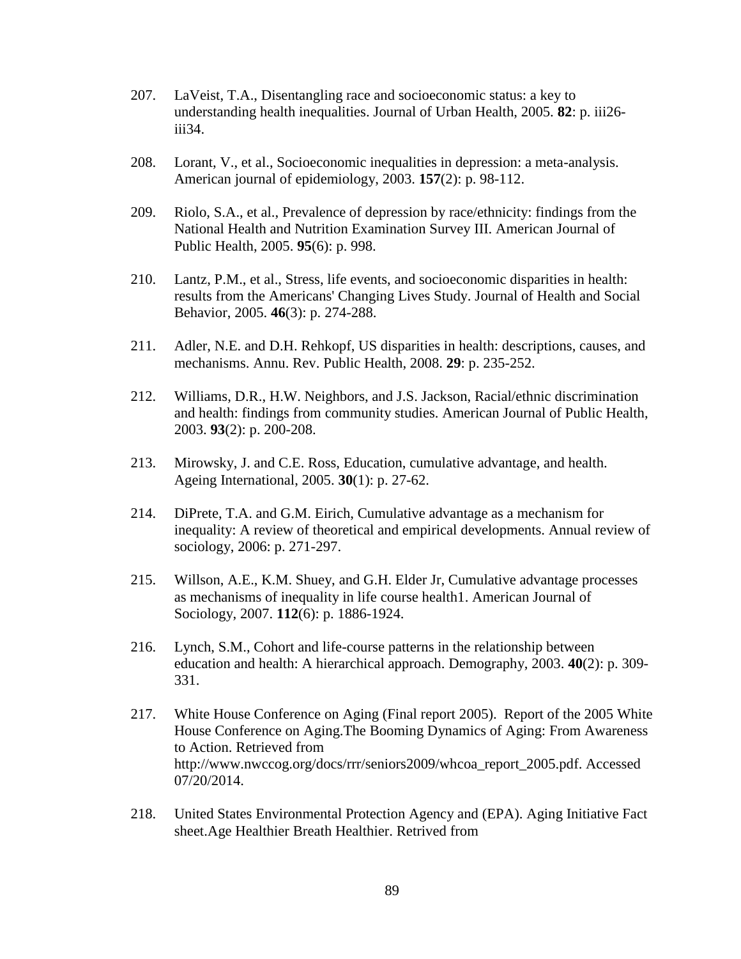- 207. LaVeist, T.A., Disentangling race and socioeconomic status: a key to understanding health inequalities. Journal of Urban Health, 2005. **82**: p. iii26 iii34.
- 208. Lorant, V., et al., Socioeconomic inequalities in depression: a meta-analysis. American journal of epidemiology, 2003. **157**(2): p. 98-112.
- 209. Riolo, S.A., et al., Prevalence of depression by race/ethnicity: findings from the National Health and Nutrition Examination Survey III. American Journal of Public Health, 2005. **95**(6): p. 998.
- 210. Lantz, P.M., et al., Stress, life events, and socioeconomic disparities in health: results from the Americans' Changing Lives Study. Journal of Health and Social Behavior, 2005. **46**(3): p. 274-288.
- 211. Adler, N.E. and D.H. Rehkopf, US disparities in health: descriptions, causes, and mechanisms. Annu. Rev. Public Health, 2008. **29**: p. 235-252.
- 212. Williams, D.R., H.W. Neighbors, and J.S. Jackson, Racial/ethnic discrimination and health: findings from community studies. American Journal of Public Health, 2003. **93**(2): p. 200-208.
- 213. Mirowsky, J. and C.E. Ross, Education, cumulative advantage, and health. Ageing International, 2005. **30**(1): p. 27-62.
- 214. DiPrete, T.A. and G.M. Eirich, Cumulative advantage as a mechanism for inequality: A review of theoretical and empirical developments. Annual review of sociology, 2006: p. 271-297.
- 215. Willson, A.E., K.M. Shuey, and G.H. Elder Jr, Cumulative advantage processes as mechanisms of inequality in life course health1. American Journal of Sociology, 2007. **112**(6): p. 1886-1924.
- 216. Lynch, S.M., Cohort and life-course patterns in the relationship between education and health: A hierarchical approach. Demography, 2003. **40**(2): p. 309- 331.
- 217. White House Conference on Aging (Final report 2005). Report of the 2005 White House Conference on Aging.The Booming Dynamics of Aging: From Awareness to Action. Retrieved from http://www.nwccog.org/docs/rrr/seniors2009/whcoa\_report\_2005.pdf. Accessed 07/20/2014.
- 218. United States Environmental Protection Agency and (EPA). Aging Initiative Fact sheet.Age Healthier Breath Healthier. Retrived from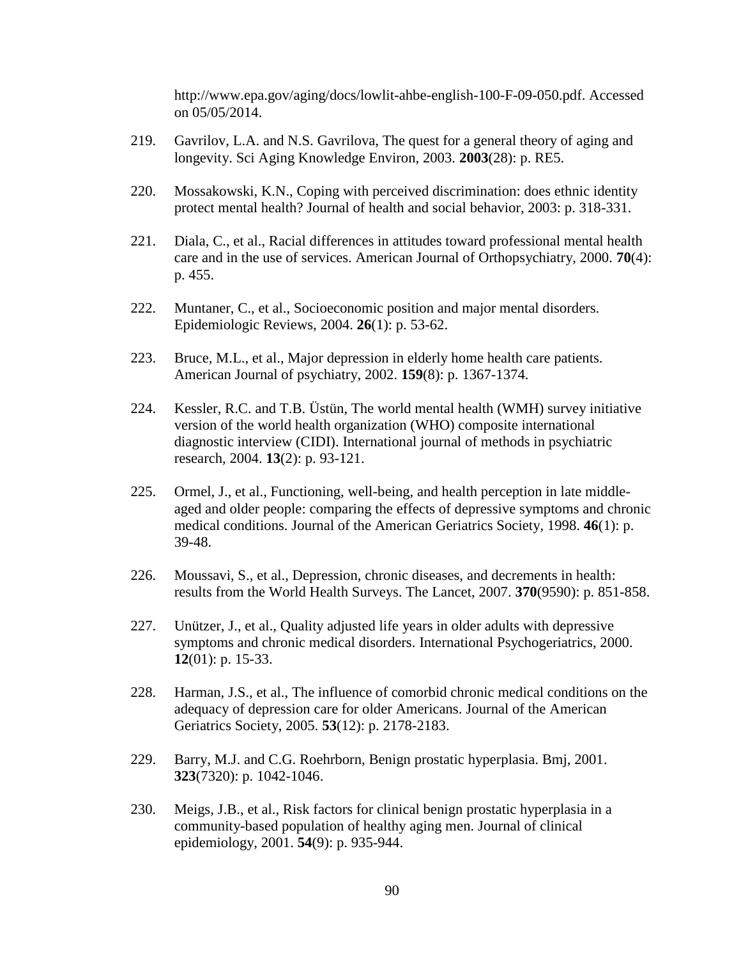http://www.epa.gov/aging/docs/lowlit-ahbe-english-100-F-09-050.pdf. Accessed on 05/05/2014.

- 219. Gavrilov, L.A. and N.S. Gavrilova, The quest for a general theory of aging and longevity. Sci Aging Knowledge Environ, 2003. **2003**(28): p. RE5.
- 220. Mossakowski, K.N., Coping with perceived discrimination: does ethnic identity protect mental health? Journal of health and social behavior, 2003: p. 318-331.
- 221. Diala, C., et al., Racial differences in attitudes toward professional mental health care and in the use of services. American Journal of Orthopsychiatry, 2000. **70**(4): p. 455.
- 222. Muntaner, C., et al., Socioeconomic position and major mental disorders. Epidemiologic Reviews, 2004. **26**(1): p. 53-62.
- 223. Bruce, M.L., et al., Major depression in elderly home health care patients. American Journal of psychiatry, 2002. **159**(8): p. 1367-1374.
- 224. Kessler, R.C. and T.B. Üstün, The world mental health (WMH) survey initiative version of the world health organization (WHO) composite international diagnostic interview (CIDI). International journal of methods in psychiatric research, 2004. **13**(2): p. 93-121.
- 225. Ormel, J., et al., Functioning, well-being, and health perception in late middleaged and older people: comparing the effects of depressive symptoms and chronic medical conditions. Journal of the American Geriatrics Society, 1998. **46**(1): p. 39-48.
- 226. Moussavi, S., et al., Depression, chronic diseases, and decrements in health: results from the World Health Surveys. The Lancet, 2007. **370**(9590): p. 851-858.
- 227. Unützer, J., et al., Quality adjusted life years in older adults with depressive symptoms and chronic medical disorders. International Psychogeriatrics, 2000. **12**(01): p. 15-33.
- 228. Harman, J.S., et al., The influence of comorbid chronic medical conditions on the adequacy of depression care for older Americans. Journal of the American Geriatrics Society, 2005. **53**(12): p. 2178-2183.
- 229. Barry, M.J. and C.G. Roehrborn, Benign prostatic hyperplasia. Bmj, 2001. **323**(7320): p. 1042-1046.
- 230. Meigs, J.B., et al., Risk factors for clinical benign prostatic hyperplasia in a community-based population of healthy aging men. Journal of clinical epidemiology, 2001. **54**(9): p. 935-944.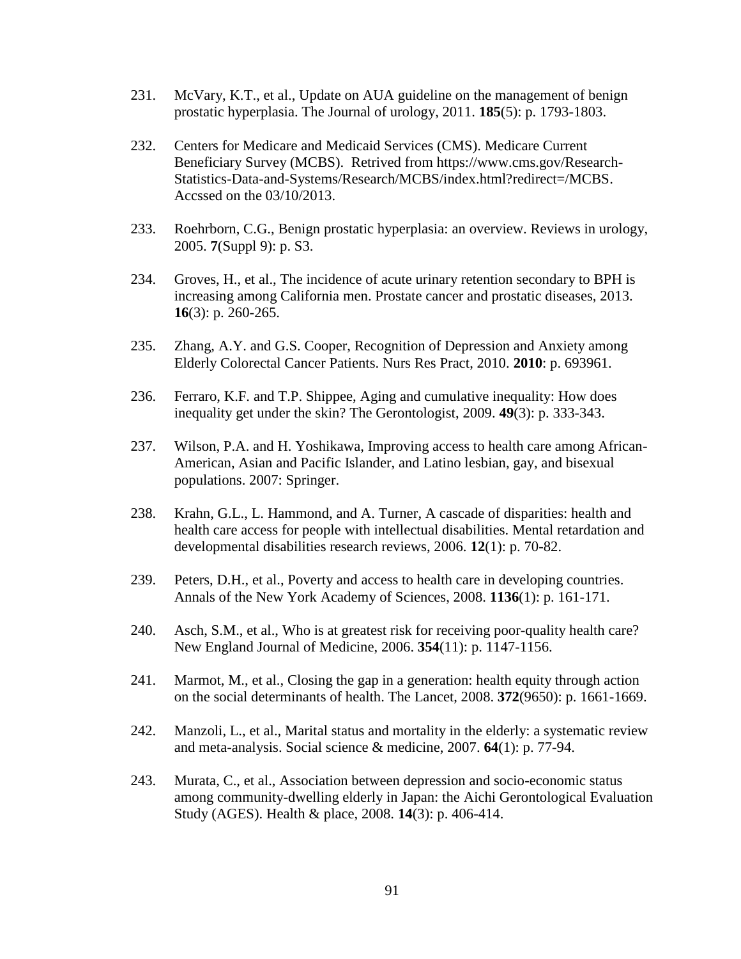- 231. McVary, K.T., et al., Update on AUA guideline on the management of benign prostatic hyperplasia. The Journal of urology, 2011. **185**(5): p. 1793-1803.
- 232. Centers for Medicare and Medicaid Services (CMS). Medicare Current Beneficiary Survey (MCBS). Retrived from https://www.cms.gov/Research-Statistics-Data-and-Systems/Research/MCBS/index.html?redirect=/MCBS. Accssed on the 03/10/2013.
- 233. Roehrborn, C.G., Benign prostatic hyperplasia: an overview. Reviews in urology, 2005. **7**(Suppl 9): p. S3.
- 234. Groves, H., et al., The incidence of acute urinary retention secondary to BPH is increasing among California men. Prostate cancer and prostatic diseases, 2013. **16**(3): p. 260-265.
- 235. Zhang, A.Y. and G.S. Cooper, Recognition of Depression and Anxiety among Elderly Colorectal Cancer Patients. Nurs Res Pract, 2010. **2010**: p. 693961.
- 236. Ferraro, K.F. and T.P. Shippee, Aging and cumulative inequality: How does inequality get under the skin? The Gerontologist, 2009. **49**(3): p. 333-343.
- 237. Wilson, P.A. and H. Yoshikawa, Improving access to health care among African-American, Asian and Pacific Islander, and Latino lesbian, gay, and bisexual populations. 2007: Springer.
- 238. Krahn, G.L., L. Hammond, and A. Turner, A cascade of disparities: health and health care access for people with intellectual disabilities. Mental retardation and developmental disabilities research reviews, 2006. **12**(1): p. 70-82.
- 239. Peters, D.H., et al., Poverty and access to health care in developing countries. Annals of the New York Academy of Sciences, 2008. **1136**(1): p. 161-171.
- 240. Asch, S.M., et al., Who is at greatest risk for receiving poor-quality health care? New England Journal of Medicine, 2006. **354**(11): p. 1147-1156.
- 241. Marmot, M., et al., Closing the gap in a generation: health equity through action on the social determinants of health. The Lancet, 2008. **372**(9650): p. 1661-1669.
- 242. Manzoli, L., et al., Marital status and mortality in the elderly: a systematic review and meta-analysis. Social science & medicine, 2007. **64**(1): p. 77-94.
- 243. Murata, C., et al., Association between depression and socio-economic status among community-dwelling elderly in Japan: the Aichi Gerontological Evaluation Study (AGES). Health & place, 2008. **14**(3): p. 406-414.